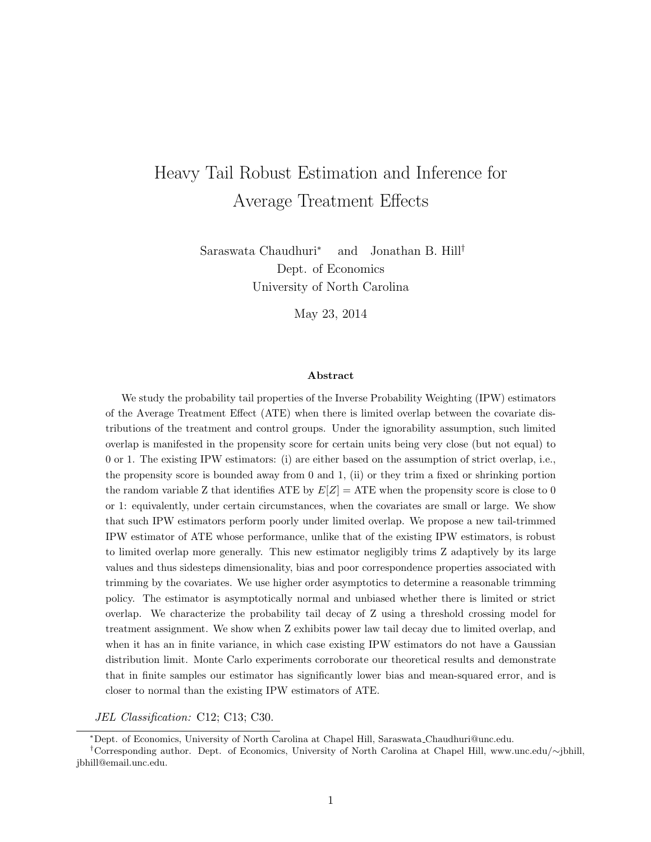# Heavy Tail Robust Estimation and Inference for Average Treatment Effects

Saraswata Chaudhuri<sup>∗</sup> and Jonathan B. Hill† Dept. of Economics University of North Carolina

May 23, 2014

#### Abstract

We study the probability tail properties of the Inverse Probability Weighting (IPW) estimators of the Average Treatment Effect (ATE) when there is limited overlap between the covariate distributions of the treatment and control groups. Under the ignorability assumption, such limited overlap is manifested in the propensity score for certain units being very close (but not equal) to 0 or 1. The existing IPW estimators: (i) are either based on the assumption of strict overlap, i.e., the propensity score is bounded away from 0 and 1, (ii) or they trim a fixed or shrinking portion the random variable Z that identifies ATE by  $E[Z] = ATE$  when the propensity score is close to 0 or 1: equivalently, under certain circumstances, when the covariates are small or large. We show that such IPW estimators perform poorly under limited overlap. We propose a new tail-trimmed IPW estimator of ATE whose performance, unlike that of the existing IPW estimators, is robust to limited overlap more generally. This new estimator negligibly trims Z adaptively by its large values and thus sidesteps dimensionality, bias and poor correspondence properties associated with trimming by the covariates. We use higher order asymptotics to determine a reasonable trimming policy. The estimator is asymptotically normal and unbiased whether there is limited or strict overlap. We characterize the probability tail decay of Z using a threshold crossing model for treatment assignment. We show when Z exhibits power law tail decay due to limited overlap, and when it has an in finite variance, in which case existing IPW estimators do not have a Gaussian distribution limit. Monte Carlo experiments corroborate our theoretical results and demonstrate that in finite samples our estimator has significantly lower bias and mean-squared error, and is closer to normal than the existing IPW estimators of ATE.

JEL Classification: C12; C13; C30.

<sup>∗</sup>Dept. of Economics, University of North Carolina at Chapel Hill, Saraswata Chaudhuri@unc.edu.

<sup>†</sup>Corresponding author. Dept. of Economics, University of North Carolina at Chapel Hill, www.unc.edu/∼jbhill, jbhill@email.unc.edu.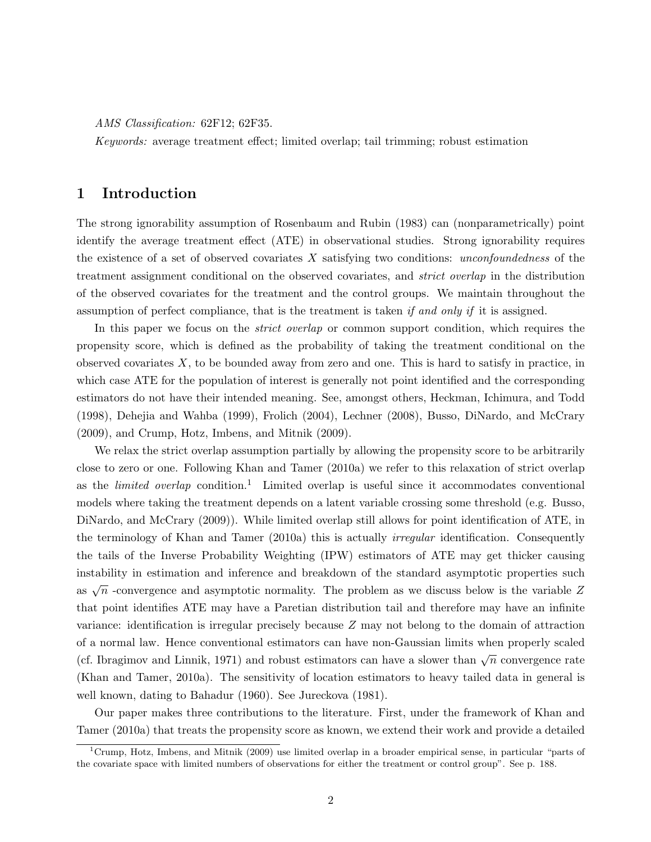AMS Classification: 62F12; 62F35.

Keywords: average treatment effect; limited overlap; tail trimming; robust estimation

## 1 Introduction

The strong ignorability assumption of Rosenbaum and Rubin (1983) can (nonparametrically) point identify the average treatment effect (ATE) in observational studies. Strong ignorability requires the existence of a set of observed covariates  $X$  satisfying two conditions: unconfoundedness of the treatment assignment conditional on the observed covariates, and strict overlap in the distribution of the observed covariates for the treatment and the control groups. We maintain throughout the assumption of perfect compliance, that is the treatment is taken if and only if it is assigned.

In this paper we focus on the *strict overlap* or common support condition, which requires the propensity score, which is defined as the probability of taking the treatment conditional on the observed covariates  $X$ , to be bounded away from zero and one. This is hard to satisfy in practice, in which case ATE for the population of interest is generally not point identified and the corresponding estimators do not have their intended meaning. See, amongst others, Heckman, Ichimura, and Todd (1998), Dehejia and Wahba (1999), Frolich (2004), Lechner (2008), Busso, DiNardo, and McCrary (2009), and Crump, Hotz, Imbens, and Mitnik (2009).

We relax the strict overlap assumption partially by allowing the propensity score to be arbitrarily close to zero or one. Following Khan and Tamer (2010a) we refer to this relaxation of strict overlap as the *limited overlap* condition.<sup>1</sup> Limited overlap is useful since it accommodates conventional models where taking the treatment depends on a latent variable crossing some threshold (e.g. Busso, DiNardo, and McCrary (2009)). While limited overlap still allows for point identification of ATE, in the terminology of Khan and Tamer (2010a) this is actually *irregular* identification. Consequently the tails of the Inverse Probability Weighting (IPW) estimators of ATE may get thicker causing instability in estimation and inference and breakdown of the standard asymptotic properties such as  $\sqrt{n}$  -convergence and asymptotic normality. The problem as we discuss below is the variable Z that point identifies ATE may have a Paretian distribution tail and therefore may have an infinite variance: identification is irregular precisely because Z may not belong to the domain of attraction of a normal law. Hence conventional estimators can have non-Gaussian limits when properly scaled (cf. Ibragimov and Linnik, 1971) and robust estimators can have a slower than  $\sqrt{n}$  convergence rate (Khan and Tamer, 2010a). The sensitivity of location estimators to heavy tailed data in general is well known, dating to Bahadur (1960). See Jureckova (1981).

Our paper makes three contributions to the literature. First, under the framework of Khan and Tamer (2010a) that treats the propensity score as known, we extend their work and provide a detailed

<sup>&</sup>lt;sup>1</sup>Crump, Hotz, Imbens, and Mitnik (2009) use limited overlap in a broader empirical sense, in particular "parts of the covariate space with limited numbers of observations for either the treatment or control group". See p. 188.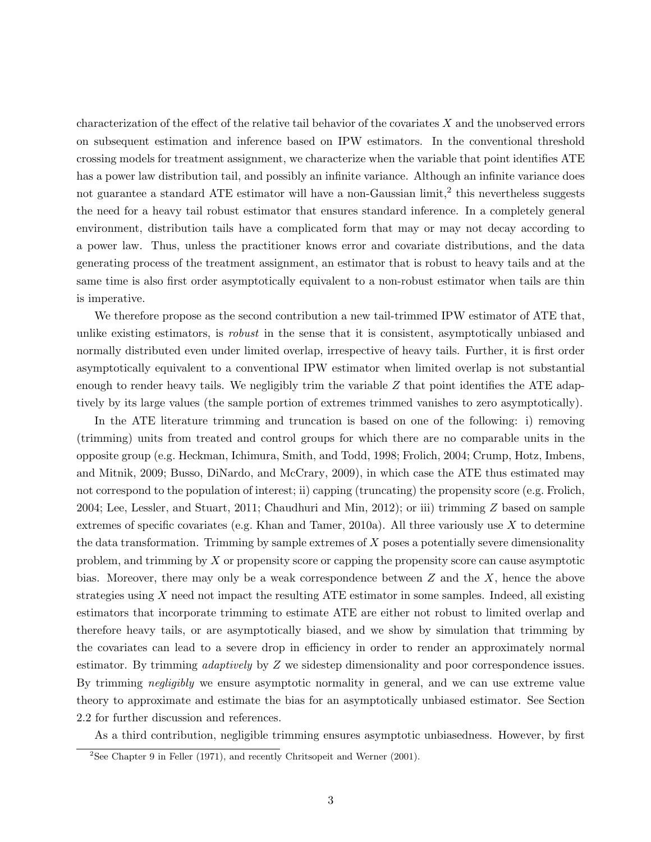characterization of the effect of the relative tail behavior of the covariates  $X$  and the unobserved errors on subsequent estimation and inference based on IPW estimators. In the conventional threshold crossing models for treatment assignment, we characterize when the variable that point identifies ATE has a power law distribution tail, and possibly an infinite variance. Although an infinite variance does not guarantee a standard ATE estimator will have a non-Gaussian  $\text{limit},^2$  this nevertheless suggests the need for a heavy tail robust estimator that ensures standard inference. In a completely general environment, distribution tails have a complicated form that may or may not decay according to a power law. Thus, unless the practitioner knows error and covariate distributions, and the data generating process of the treatment assignment, an estimator that is robust to heavy tails and at the same time is also first order asymptotically equivalent to a non-robust estimator when tails are thin is imperative.

We therefore propose as the second contribution a new tail-trimmed IPW estimator of ATE that, unlike existing estimators, is *robust* in the sense that it is consistent, asymptotically unbiased and normally distributed even under limited overlap, irrespective of heavy tails. Further, it is first order asymptotically equivalent to a conventional IPW estimator when limited overlap is not substantial enough to render heavy tails. We negligibly trim the variable  $Z$  that point identifies the ATE adaptively by its large values (the sample portion of extremes trimmed vanishes to zero asymptotically).

In the ATE literature trimming and truncation is based on one of the following: i) removing (trimming) units from treated and control groups for which there are no comparable units in the opposite group (e.g. Heckman, Ichimura, Smith, and Todd, 1998; Frolich, 2004; Crump, Hotz, Imbens, and Mitnik, 2009; Busso, DiNardo, and McCrary, 2009), in which case the ATE thus estimated may not correspond to the population of interest; ii) capping (truncating) the propensity score (e.g. Frolich, 2004; Lee, Lessler, and Stuart, 2011; Chaudhuri and Min, 2012); or iii) trimming Z based on sample extremes of specific covariates (e.g. Khan and Tamer, 2010a). All three variously use  $X$  to determine the data transformation. Trimming by sample extremes of  $X$  poses a potentially severe dimensionality problem, and trimming by  $X$  or propensity score or capping the propensity score can cause asymptotic bias. Moreover, there may only be a weak correspondence between  $Z$  and the  $X$ , hence the above strategies using  $X$  need not impact the resulting ATE estimator in some samples. Indeed, all existing estimators that incorporate trimming to estimate ATE are either not robust to limited overlap and therefore heavy tails, or are asymptotically biased, and we show by simulation that trimming by the covariates can lead to a severe drop in efficiency in order to render an approximately normal estimator. By trimming *adaptively* by Z we sidestep dimensionality and poor correspondence issues. By trimming *negligibly* we ensure asymptotic normality in general, and we can use extreme value theory to approximate and estimate the bias for an asymptotically unbiased estimator. See Section 2.2 for further discussion and references.

As a third contribution, negligible trimming ensures asymptotic unbiasedness. However, by first

 $2$ See Chapter 9 in Feller (1971), and recently Chritsopeit and Werner (2001).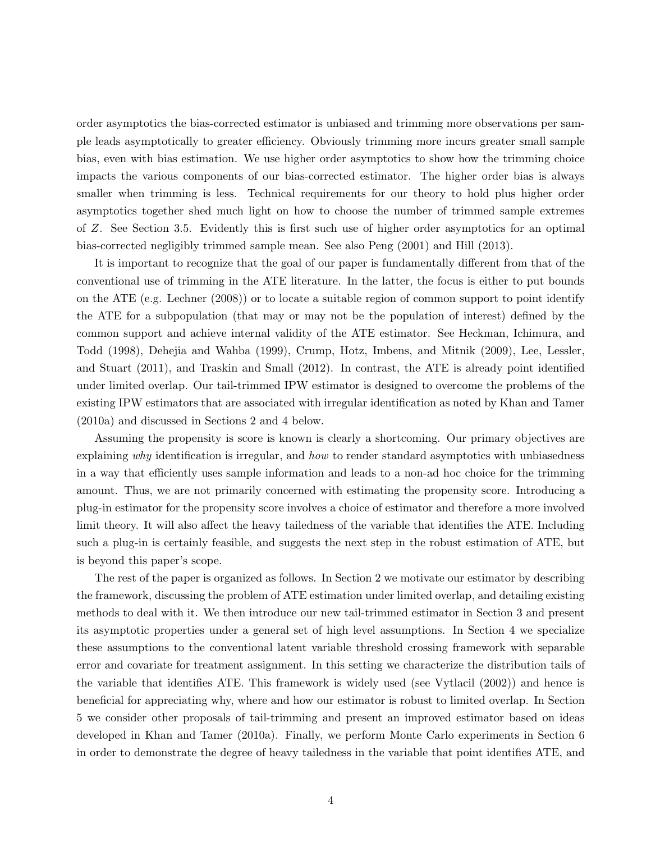order asymptotics the bias-corrected estimator is unbiased and trimming more observations per sample leads asymptotically to greater efficiency. Obviously trimming more incurs greater small sample bias, even with bias estimation. We use higher order asymptotics to show how the trimming choice impacts the various components of our bias-corrected estimator. The higher order bias is always smaller when trimming is less. Technical requirements for our theory to hold plus higher order asymptotics together shed much light on how to choose the number of trimmed sample extremes of Z. See Section 3.5. Evidently this is first such use of higher order asymptotics for an optimal bias-corrected negligibly trimmed sample mean. See also Peng (2001) and Hill (2013).

It is important to recognize that the goal of our paper is fundamentally different from that of the conventional use of trimming in the ATE literature. In the latter, the focus is either to put bounds on the ATE (e.g. Lechner (2008)) or to locate a suitable region of common support to point identify the ATE for a subpopulation (that may or may not be the population of interest) defined by the common support and achieve internal validity of the ATE estimator. See Heckman, Ichimura, and Todd (1998), Dehejia and Wahba (1999), Crump, Hotz, Imbens, and Mitnik (2009), Lee, Lessler, and Stuart (2011), and Traskin and Small (2012). In contrast, the ATE is already point identified under limited overlap. Our tail-trimmed IPW estimator is designed to overcome the problems of the existing IPW estimators that are associated with irregular identification as noted by Khan and Tamer (2010a) and discussed in Sections 2 and 4 below.

Assuming the propensity is score is known is clearly a shortcoming. Our primary objectives are explaining why identification is irregular, and how to render standard asymptotics with unbiasedness in a way that efficiently uses sample information and leads to a non-ad hoc choice for the trimming amount. Thus, we are not primarily concerned with estimating the propensity score. Introducing a plug-in estimator for the propensity score involves a choice of estimator and therefore a more involved limit theory. It will also affect the heavy tailedness of the variable that identifies the ATE. Including such a plug-in is certainly feasible, and suggests the next step in the robust estimation of ATE, but is beyond this paper's scope.

The rest of the paper is organized as follows. In Section 2 we motivate our estimator by describing the framework, discussing the problem of ATE estimation under limited overlap, and detailing existing methods to deal with it. We then introduce our new tail-trimmed estimator in Section 3 and present its asymptotic properties under a general set of high level assumptions. In Section 4 we specialize these assumptions to the conventional latent variable threshold crossing framework with separable error and covariate for treatment assignment. In this setting we characterize the distribution tails of the variable that identifies ATE. This framework is widely used (see Vytlacil (2002)) and hence is beneficial for appreciating why, where and how our estimator is robust to limited overlap. In Section 5 we consider other proposals of tail-trimming and present an improved estimator based on ideas developed in Khan and Tamer (2010a). Finally, we perform Monte Carlo experiments in Section 6 in order to demonstrate the degree of heavy tailedness in the variable that point identifies ATE, and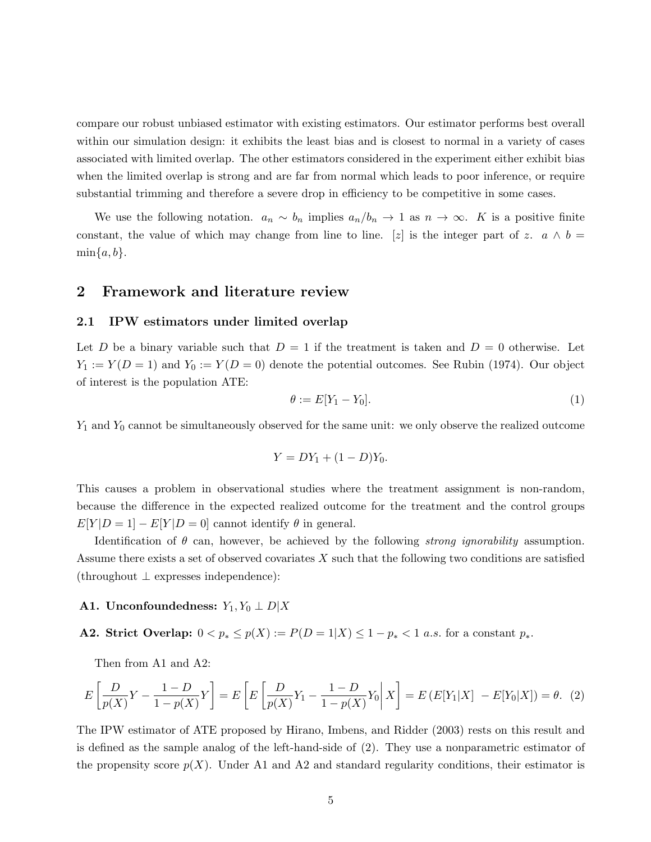compare our robust unbiased estimator with existing estimators. Our estimator performs best overall within our simulation design: it exhibits the least bias and is closest to normal in a variety of cases associated with limited overlap. The other estimators considered in the experiment either exhibit bias when the limited overlap is strong and are far from normal which leads to poor inference, or require substantial trimming and therefore a severe drop in efficiency to be competitive in some cases.

We use the following notation.  $a_n \sim b_n$  implies  $a_n/b_n \to 1$  as  $n \to \infty$ . K is a positive finite constant, the value of which may change from line to line. [z] is the integer part of z.  $a \wedge b =$  $\min\{a, b\}.$ 

## 2 Framework and literature review

#### 2.1 IPW estimators under limited overlap

Let D be a binary variable such that  $D = 1$  if the treatment is taken and  $D = 0$  otherwise. Let  $Y_1 := Y(D = 1)$  and  $Y_0 := Y(D = 0)$  denote the potential outcomes. See Rubin (1974). Our object of interest is the population ATE:

$$
\theta := E[Y_1 - Y_0].\tag{1}
$$

 $Y_1$  and  $Y_0$  cannot be simultaneously observed for the same unit: we only observe the realized outcome

$$
Y = DY_1 + (1 - D)Y_0.
$$

This causes a problem in observational studies where the treatment assignment is non-random, because the difference in the expected realized outcome for the treatment and the control groups  $E[Y|D=1]-E[Y|D=0]$  cannot identify  $\theta$  in general.

Identification of  $\theta$  can, however, be achieved by the following *strong ignorability* assumption. Assume there exists a set of observed covariates  $X$  such that the following two conditions are satisfied (throughout ⊥ expresses independence):

#### A1. Unconfoundedness:  $Y_1, Y_0 \perp D|X$

A2. Strict Overlap:  $0 < p_* \leq p(X) := P(D = 1|X) \leq 1 - p_* < 1$  a.s. for a constant  $p_*$ .

Then from A1 and A2:

$$
E\left[\frac{D}{p(X)}Y - \frac{1 - D}{1 - p(X)}Y\right] = E\left[E\left[\frac{D}{p(X)}Y_1 - \frac{1 - D}{1 - p(X)}Y_0\middle| X\right] = E\left(E[Y_1|X] - E[Y_0|X]\right) = \theta. \tag{2}
$$

The IPW estimator of ATE proposed by Hirano, Imbens, and Ridder (2003) rests on this result and is defined as the sample analog of the left-hand-side of (2). They use a nonparametric estimator of the propensity score  $p(X)$ . Under A1 and A2 and standard regularity conditions, their estimator is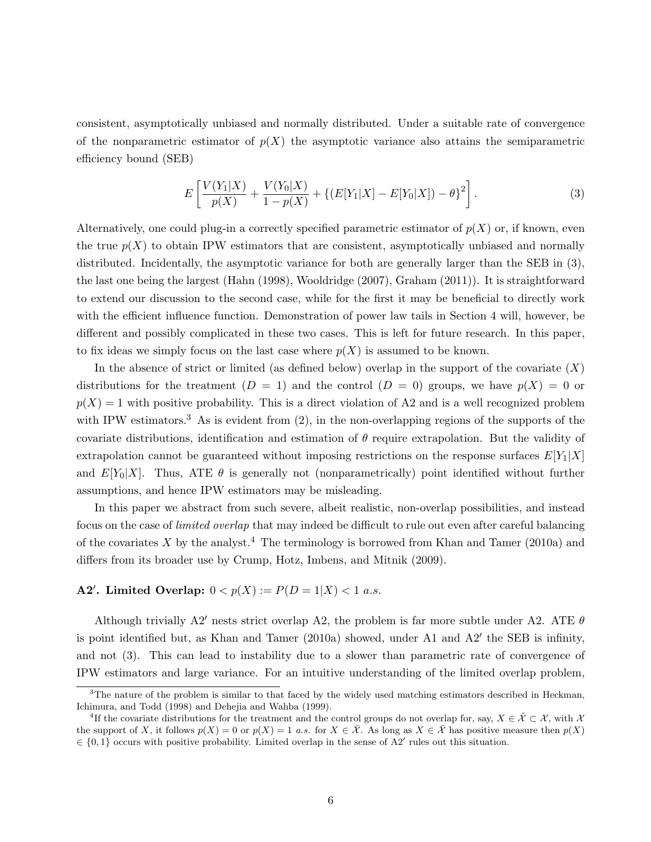consistent, asymptotically unbiased and normally distributed. Under a suitable rate of convergence of the nonparametric estimator of  $p(X)$  the asymptotic variance also attains the semiparametric efficiency bound (SEB)

$$
E\left[\frac{V(Y_1|X)}{p(X)} + \frac{V(Y_0|X)}{1 - p(X)} + \{(E[Y_1|X] - E[Y_0|X]) - \theta\}^2\right].
$$
\n(3)

Alternatively, one could plug-in a correctly specified parametric estimator of  $p(X)$  or, if known, even the true  $p(X)$  to obtain IPW estimators that are consistent, asymptotically unbiased and normally distributed. Incidentally, the asymptotic variance for both are generally larger than the SEB in (3), the last one being the largest (Hahn (1998), Wooldridge (2007), Graham (2011)). It is straightforward to extend our discussion to the second case, while for the first it may be beneficial to directly work with the efficient influence function. Demonstration of power law tails in Section 4 will, however, be different and possibly complicated in these two cases. This is left for future research. In this paper, to fix ideas we simply focus on the last case where  $p(X)$  is assumed to be known.

In the absence of strict or limited (as defined below) overlap in the support of the covariate  $(X)$ distributions for the treatment  $(D = 1)$  and the control  $(D = 0)$  groups, we have  $p(X) = 0$  or  $p(X) = 1$  with positive probability. This is a direct violation of A2 and is a well recognized problem with IPW estimators.<sup>3</sup> As is evident from  $(2)$ , in the non-overlapping regions of the supports of the covariate distributions, identification and estimation of  $\theta$  require extrapolation. But the validity of extrapolation cannot be guaranteed without imposing restrictions on the response surfaces  $E[Y_1|X]$ and  $E[Y_0|X]$ . Thus, ATE  $\theta$  is generally not (nonparametrically) point identified without further assumptions, and hence IPW estimators may be misleading.

In this paper we abstract from such severe, albeit realistic, non-overlap possibilities, and instead focus on the case of limited overlap that may indeed be difficult to rule out even after careful balancing of the covariates X by the analyst.<sup>4</sup> The terminology is borrowed from Khan and Tamer (2010a) and differs from its broader use by Crump, Hotz, Imbens, and Mitnik (2009).

### A2'. Limited Overlap:  $0 < p(X) := P(D = 1 | X) < 1 \text{ a.s.}$

Although trivially A2' nests strict overlap A2, the problem is far more subtle under A2. ATE  $\theta$ is point identified but, as Khan and Tamer (2010a) showed, under A1 and A2' the SEB is infinity, and not (3). This can lead to instability due to a slower than parametric rate of convergence of IPW estimators and large variance. For an intuitive understanding of the limited overlap problem,

<sup>&</sup>lt;sup>3</sup>The nature of the problem is similar to that faced by the widely used matching estimators described in Heckman, Ichimura, and Todd (1998) and Dehejia and Wahba (1999).

<sup>&</sup>lt;sup>4</sup>If the covariate distributions for the treatment and the control groups do not overlap for, say,  $X \in \tilde{\mathcal{X}} \subset \mathcal{X}$ , with  $\mathcal{X}$ the support of X, it follows  $p(X) = 0$  or  $p(X) = 1$  a.s. for  $X \in \overline{X}$ . As long as  $X \in \overline{X}$  has positive measure then  $p(X)$  $\in \{0,1\}$  occurs with positive probability. Limited overlap in the sense of A2' rules out this situation.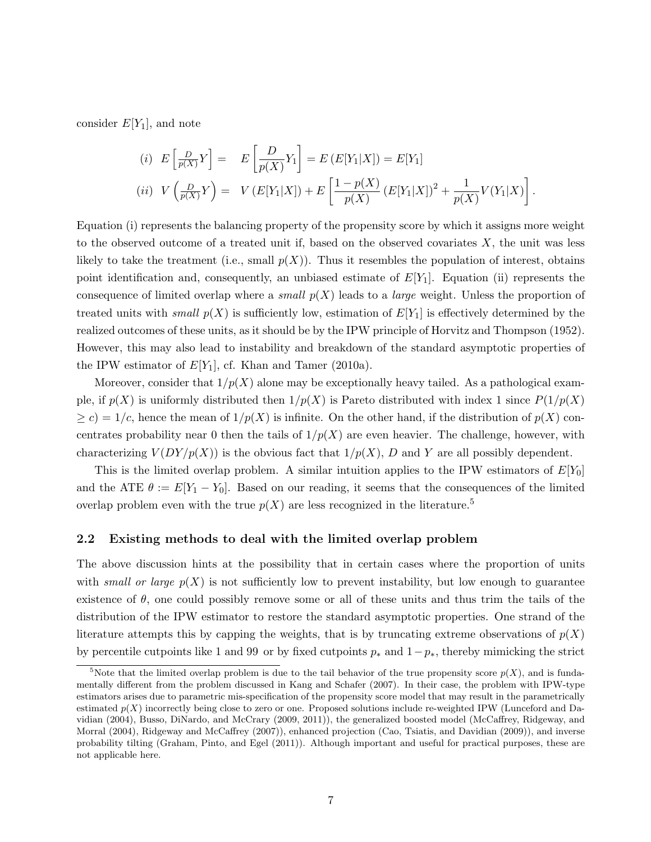consider  $E[Y_1]$ , and note

(i) 
$$
E\left[\frac{D}{p(X)}Y\right] = E\left[\frac{D}{p(X)}Y_1\right] = E(E[Y_1|X]) = E[Y_1]
$$
  
\n(ii)  $V\left(\frac{D}{p(X)}Y\right) = V(E[Y_1|X]) + E\left[\frac{1-p(X)}{p(X)}\left(E[Y_1|X]\right)^2 + \frac{1}{p(X)}V(Y_1|X)\right]$ 

.

Equation (i) represents the balancing property of the propensity score by which it assigns more weight to the observed outcome of a treated unit if, based on the observed covariates  $X$ , the unit was less likely to take the treatment (i.e., small  $p(X)$ ). Thus it resembles the population of interest, obtains point identification and, consequently, an unbiased estimate of  $E[Y_1]$ . Equation (ii) represents the consequence of limited overlap where a *small*  $p(X)$  leads to a *large* weight. Unless the proportion of treated units with *small*  $p(X)$  is sufficiently low, estimation of  $E[Y_1]$  is effectively determined by the realized outcomes of these units, as it should be by the IPW principle of Horvitz and Thompson (1952). However, this may also lead to instability and breakdown of the standard asymptotic properties of the IPW estimator of  $E[Y_1]$ , cf. Khan and Tamer (2010a).

Moreover, consider that  $1/p(X)$  alone may be exceptionally heavy tailed. As a pathological example, if  $p(X)$  is uniformly distributed then  $1/p(X)$  is Pareto distributed with index 1 since  $P(1/p(X))$  $\geq c$ ) = 1/c, hence the mean of  $1/p(X)$  is infinite. On the other hand, if the distribution of  $p(X)$  concentrates probability near 0 then the tails of  $1/p(X)$  are even heavier. The challenge, however, with characterizing  $V(DY/p(X))$  is the obvious fact that  $1/p(X)$ , D and Y are all possibly dependent.

This is the limited overlap problem. A similar intuition applies to the IPW estimators of  $E[Y_0]$ and the ATE  $\theta := E[Y_1 - Y_0]$ . Based on our reading, it seems that the consequences of the limited overlap problem even with the true  $p(X)$  are less recognized in the literature.<sup>5</sup>

#### 2.2 Existing methods to deal with the limited overlap problem

The above discussion hints at the possibility that in certain cases where the proportion of units with *small or large*  $p(X)$  is not sufficiently low to prevent instability, but low enough to guarantee existence of  $\theta$ , one could possibly remove some or all of these units and thus trim the tails of the distribution of the IPW estimator to restore the standard asymptotic properties. One strand of the literature attempts this by capping the weights, that is by truncating extreme observations of  $p(X)$ by percentile cutpoints like 1 and 99 or by fixed cutpoints  $p_*$  and  $1-p_*,$  thereby mimicking the strict

<sup>&</sup>lt;sup>5</sup>Note that the limited overlap problem is due to the tail behavior of the true propensity score  $p(X)$ , and is fundamentally different from the problem discussed in Kang and Schafer (2007). In their case, the problem with IPW-type estimators arises due to parametric mis-specification of the propensity score model that may result in the parametrically estimated  $p(X)$  incorrectly being close to zero or one. Proposed solutions include re-weighted IPW (Lunceford and Davidian (2004), Busso, DiNardo, and McCrary (2009, 2011)), the generalized boosted model (McCaffrey, Ridgeway, and Morral (2004), Ridgeway and McCaffrey (2007)), enhanced projection (Cao, Tsiatis, and Davidian (2009)), and inverse probability tilting (Graham, Pinto, and Egel (2011)). Although important and useful for practical purposes, these are not applicable here.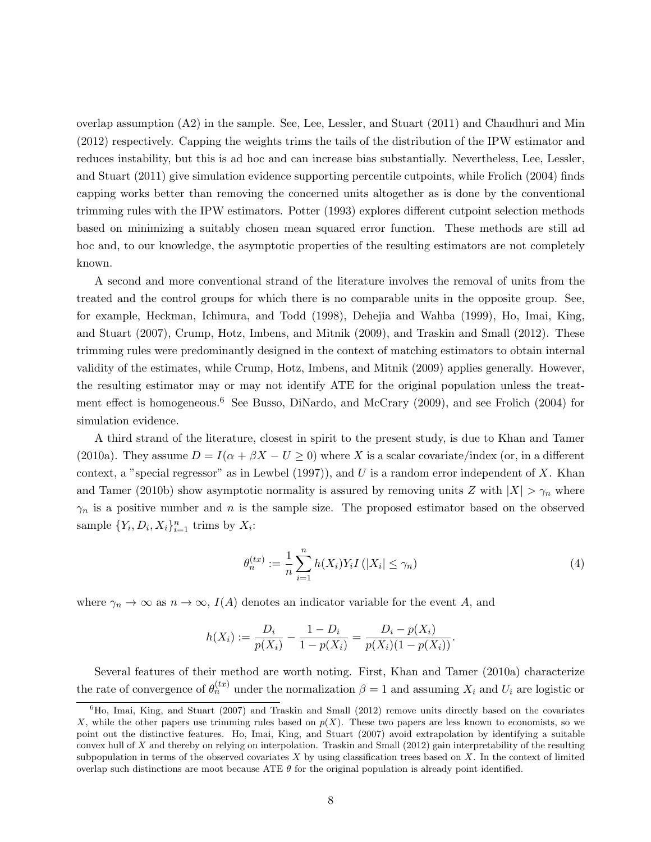overlap assumption (A2) in the sample. See, Lee, Lessler, and Stuart (2011) and Chaudhuri and Min (2012) respectively. Capping the weights trims the tails of the distribution of the IPW estimator and reduces instability, but this is ad hoc and can increase bias substantially. Nevertheless, Lee, Lessler, and Stuart (2011) give simulation evidence supporting percentile cutpoints, while Frolich (2004) finds capping works better than removing the concerned units altogether as is done by the conventional trimming rules with the IPW estimators. Potter (1993) explores different cutpoint selection methods based on minimizing a suitably chosen mean squared error function. These methods are still ad hoc and, to our knowledge, the asymptotic properties of the resulting estimators are not completely known.

A second and more conventional strand of the literature involves the removal of units from the treated and the control groups for which there is no comparable units in the opposite group. See, for example, Heckman, Ichimura, and Todd (1998), Dehejia and Wahba (1999), Ho, Imai, King, and Stuart (2007), Crump, Hotz, Imbens, and Mitnik (2009), and Traskin and Small (2012). These trimming rules were predominantly designed in the context of matching estimators to obtain internal validity of the estimates, while Crump, Hotz, Imbens, and Mitnik (2009) applies generally. However, the resulting estimator may or may not identify ATE for the original population unless the treatment effect is homogeneous.<sup>6</sup> See Busso, DiNardo, and McCrary (2009), and see Frolich (2004) for simulation evidence.

A third strand of the literature, closest in spirit to the present study, is due to Khan and Tamer (2010a). They assume  $D = I(\alpha + \beta X - U \ge 0)$  where X is a scalar covariate/index (or, in a different context, a "special regressor" as in Lewbel (1997)), and U is a random error independent of X. Khan and Tamer (2010b) show asymptotic normality is assured by removing units Z with  $|X| > \gamma_n$  where  $\gamma_n$  is a positive number and n is the sample size. The proposed estimator based on the observed sample  $\{Y_i, D_i, X_i\}_{i=1}^n$  trims by  $X_i$ :

$$
\theta_n^{(tx)} := \frac{1}{n} \sum_{i=1}^n h(X_i) Y_i I(|X_i| \le \gamma_n)
$$
\n(4)

where  $\gamma_n \to \infty$  as  $n \to \infty$ ,  $I(A)$  denotes an indicator variable for the event A, and

$$
h(X_i) := \frac{D_i}{p(X_i)} - \frac{1 - D_i}{1 - p(X_i)} = \frac{D_i - p(X_i)}{p(X_i)(1 - p(X_i))}.
$$

Several features of their method are worth noting. First, Khan and Tamer (2010a) characterize the rate of convergence of  $\theta_n^{(tx)}$  under the normalization  $\beta = 1$  and assuming  $X_i$  and  $U_i$  are logistic or

 $6H_0$ , Imai, King, and Stuart (2007) and Traskin and Small (2012) remove units directly based on the covariates X, while the other papers use trimming rules based on  $p(X)$ . These two papers are less known to economists, so we point out the distinctive features. Ho, Imai, King, and Stuart (2007) avoid extrapolation by identifying a suitable convex hull of X and thereby on relying on interpolation. Traskin and Small (2012) gain interpretability of the resulting subpopulation in terms of the observed covariates  $X$  by using classification trees based on  $X$ . In the context of limited overlap such distinctions are moot because ATE  $\theta$  for the original population is already point identified.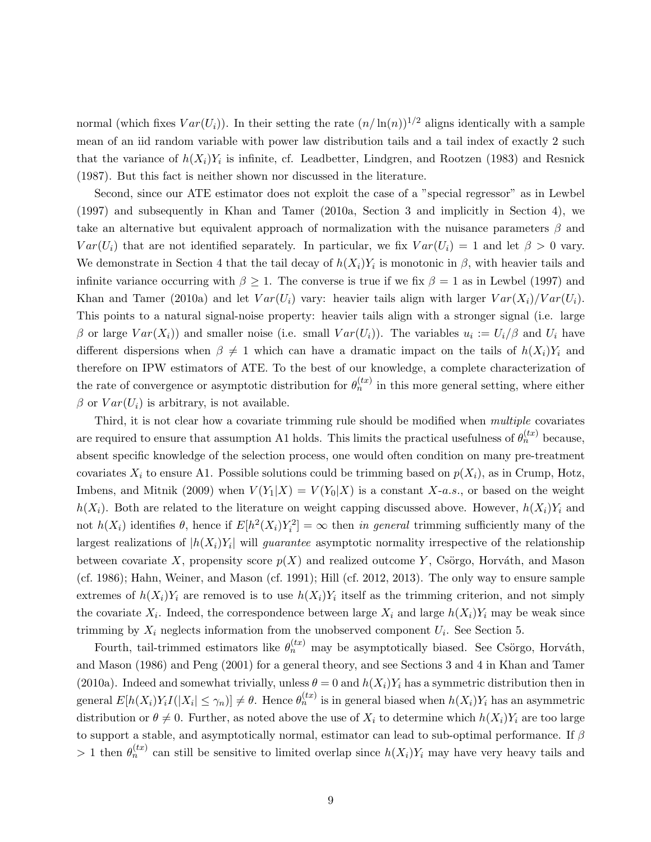normal (which fixes  $Var(U_i)$ ). In their setting the rate  $(n/\ln(n))^{1/2}$  aligns identically with a sample mean of an iid random variable with power law distribution tails and a tail index of exactly 2 such that the variance of  $h(X_i)Y_i$  is infinite, cf. Leadbetter, Lindgren, and Rootzen (1983) and Resnick (1987). But this fact is neither shown nor discussed in the literature.

Second, since our ATE estimator does not exploit the case of a "special regressor" as in Lewbel (1997) and subsequently in Khan and Tamer (2010a, Section 3 and implicitly in Section 4), we take an alternative but equivalent approach of normalization with the nuisance parameters  $\beta$  and  $Var(U_i)$  that are not identified separately. In particular, we fix  $Var(U_i) = 1$  and let  $\beta > 0$  vary. We demonstrate in Section 4 that the tail decay of  $h(X_i)Y_i$  is monotonic in  $\beta$ , with heavier tails and infinite variance occurring with  $\beta \geq 1$ . The converse is true if we fix  $\beta = 1$  as in Lewbel (1997) and Khan and Tamer (2010a) and let  $Var(U_i)$  vary: heavier tails align with larger  $Var(X_i)/Var(U_i)$ . This points to a natural signal-noise property: heavier tails align with a stronger signal (i.e. large β or large  $Var(X_i)$  and smaller noise (i.e. small  $Var(U_i)$ ). The variables  $u_i := U_i/\beta$  and  $U_i$  have different dispersions when  $\beta \neq 1$  which can have a dramatic impact on the tails of  $h(X_i)Y_i$  and therefore on IPW estimators of ATE. To the best of our knowledge, a complete characterization of the rate of convergence or asymptotic distribution for  $\theta_n^{(tx)}$  in this more general setting, where either  $\beta$  or  $Var(U_i)$  is arbitrary, is not available.

Third, it is not clear how a covariate trimming rule should be modified when multiple covariates are required to ensure that assumption A1 holds. This limits the practical usefulness of  $\theta_n^{(tx)}$  because, absent specific knowledge of the selection process, one would often condition on many pre-treatment covariates  $X_i$  to ensure A1. Possible solutions could be trimming based on  $p(X_i)$ , as in Crump, Hotz, Imbens, and Mitnik (2009) when  $V(Y_1|X) = V(Y_0|X)$  is a constant X-a.s., or based on the weight  $h(X_i)$ . Both are related to the literature on weight capping discussed above. However,  $h(X_i)Y_i$  and not  $h(X_i)$  identifies  $\theta$ , hence if  $E[h^2(X_i)Y_i^2] = \infty$  then in general trimming sufficiently many of the largest realizations of  $|h(X_i)Y_i|$  will *guarantee* asymptotic normality irrespective of the relationship between covariate X, propensity score  $p(X)$  and realized outcome Y, Csörgo, Horváth, and Mason (cf. 1986); Hahn, Weiner, and Mason (cf. 1991); Hill (cf. 2012, 2013). The only way to ensure sample extremes of  $h(X_i)Y_i$  are removed is to use  $h(X_i)Y_i$  itself as the trimming criterion, and not simply the covariate  $X_i$ . Indeed, the correspondence between large  $X_i$  and large  $h(X_i)Y_i$  may be weak since trimming by  $X_i$  neglects information from the unobserved component  $U_i$ . See Section 5.

Fourth, tail-trimmed estimators like  $\theta_n^{(tx)}$  may be asymptotically biased. See Csörgo, Horváth, and Mason (1986) and Peng (2001) for a general theory, and see Sections 3 and 4 in Khan and Tamer (2010a). Indeed and somewhat trivially, unless  $\theta = 0$  and  $h(X_i)Y_i$  has a symmetric distribution then in general  $E[h(X_i)Y_iI(|X_i|\leq \gamma_n)] \neq \theta$ . Hence  $\theta_n^{(tx)}$  is in general biased when  $h(X_i)Y_i$  has an asymmetric distribution or  $\theta \neq 0$ . Further, as noted above the use of  $X_i$  to determine which  $h(X_i)Y_i$  are too large to support a stable, and asymptotically normal, estimator can lead to sub-optimal performance. If  $\beta$ > 1 then  $\theta_n^{(tx)}$  can still be sensitive to limited overlap since  $h(X_i)Y_i$  may have very heavy tails and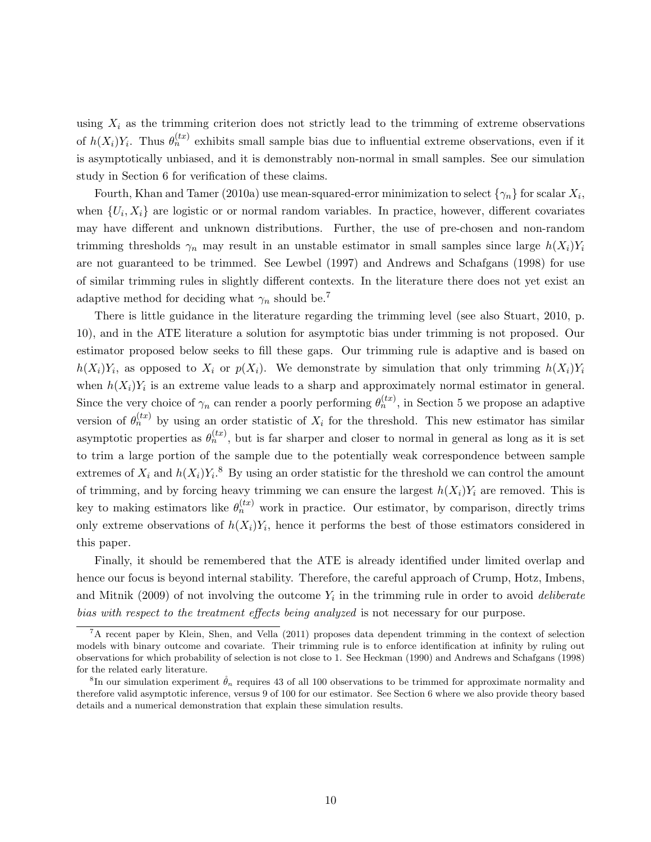using  $X_i$  as the trimming criterion does not strictly lead to the trimming of extreme observations of  $h(X_i)Y_i$ . Thus  $\theta_n^{(tx)}$  exhibits small sample bias due to influential extreme observations, even if it is asymptotically unbiased, and it is demonstrably non-normal in small samples. See our simulation study in Section 6 for verification of these claims.

Fourth, Khan and Tamer (2010a) use mean-squared-error minimization to select  $\{\gamma_n\}$  for scalar  $X_i$ , when  $\{U_i, X_i\}$  are logistic or or normal random variables. In practice, however, different covariates may have different and unknown distributions. Further, the use of pre-chosen and non-random trimming thresholds  $\gamma_n$  may result in an unstable estimator in small samples since large  $h(X_i)Y_i$ are not guaranteed to be trimmed. See Lewbel (1997) and Andrews and Schafgans (1998) for use of similar trimming rules in slightly different contexts. In the literature there does not yet exist an adaptive method for deciding what  $\gamma_n$  should be.<sup>7</sup>

There is little guidance in the literature regarding the trimming level (see also Stuart, 2010, p. 10), and in the ATE literature a solution for asymptotic bias under trimming is not proposed. Our estimator proposed below seeks to fill these gaps. Our trimming rule is adaptive and is based on  $h(X_i)Y_i$ , as opposed to  $X_i$  or  $p(X_i)$ . We demonstrate by simulation that only trimming  $h(X_i)Y_i$ when  $h(X_i)Y_i$  is an extreme value leads to a sharp and approximately normal estimator in general. Since the very choice of  $\gamma_n$  can render a poorly performing  $\theta_n^{(tx)}$ , in Section 5 we propose an adaptive version of  $\theta_n^{(tx)}$  by using an order statistic of  $X_i$  for the threshold. This new estimator has similar asymptotic properties as  $\theta_n^{(tx)}$ , but is far sharper and closer to normal in general as long as it is set to trim a large portion of the sample due to the potentially weak correspondence between sample extremes of  $X_i$  and  $h(X_i)Y_i$ .<sup>8</sup> By using an order statistic for the threshold we can control the amount of trimming, and by forcing heavy trimming we can ensure the largest  $h(X_i)Y_i$  are removed. This is key to making estimators like  $\theta_n^{(tx)}$  work in practice. Our estimator, by comparison, directly trims only extreme observations of  $h(X_i)Y_i$ , hence it performs the best of those estimators considered in this paper.

Finally, it should be remembered that the ATE is already identified under limited overlap and hence our focus is beyond internal stability. Therefore, the careful approach of Crump, Hotz, Imbens, and Mitnik (2009) of not involving the outcome  $Y_i$  in the trimming rule in order to avoid *deliberate* bias with respect to the treatment effects being analyzed is not necessary for our purpose.

<sup>7</sup>A recent paper by Klein, Shen, and Vella (2011) proposes data dependent trimming in the context of selection models with binary outcome and covariate. Their trimming rule is to enforce identification at infinity by ruling out observations for which probability of selection is not close to 1. See Heckman (1990) and Andrews and Schafgans (1998) for the related early literature.

<sup>&</sup>lt;sup>8</sup>In our simulation experiment  $\mathring{\theta}_n$  requires 43 of all 100 observations to be trimmed for approximate normality and therefore valid asymptotic inference, versus 9 of 100 for our estimator. See Section 6 where we also provide theory based details and a numerical demonstration that explain these simulation results.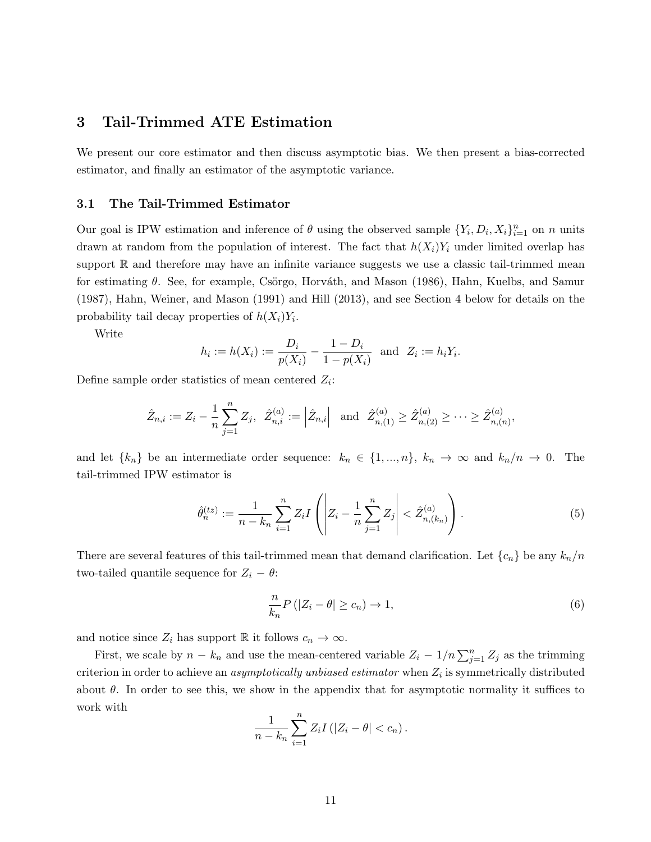## 3 Tail-Trimmed ATE Estimation

We present our core estimator and then discuss asymptotic bias. We then present a bias-corrected estimator, and finally an estimator of the asymptotic variance.

#### 3.1 The Tail-Trimmed Estimator

Our goal is IPW estimation and inference of  $\theta$  using the observed sample  $\{Y_i, D_i, X_i\}_{i=1}^n$  on n units drawn at random from the population of interest. The fact that  $h(X_i)Y_i$  under limited overlap has support  $\mathbb R$  and therefore may have an infinite variance suggests we use a classic tail-trimmed mean for estimating  $\theta$ . See, for example, Csörgo, Horváth, and Mason (1986), Hahn, Kuelbs, and Samur (1987), Hahn, Weiner, and Mason (1991) and Hill (2013), and see Section 4 below for details on the probability tail decay properties of  $h(X_i)Y_i$ .

Write

$$
h_i := h(X_i) := \frac{D_i}{p(X_i)} - \frac{1 - D_i}{1 - p(X_i)}
$$
 and  $Z_i := h_i Y_i$ .

Define sample order statistics of mean centered  $Z_i$ :

$$
\hat{Z}_{n,i} := Z_i - \frac{1}{n} \sum_{j=1}^n Z_j, \ \ \hat{Z}_{n,i}^{(a)} := \left| \hat{Z}_{n,i} \right| \ \ \text{and} \ \ \hat{Z}_{n,(1)}^{(a)} \ge \hat{Z}_{n,(2)}^{(a)} \ge \cdots \ge \hat{Z}_{n,(n)}^{(a)},
$$

and let  $\{k_n\}$  be an intermediate order sequence:  $k_n \in \{1, ..., n\}$ ,  $k_n \to \infty$  and  $k_n/n \to 0$ . The tail-trimmed IPW estimator is

$$
\hat{\theta}_n^{(tz)} := \frac{1}{n - k_n} \sum_{i=1}^n Z_i I\left( \left| Z_i - \frac{1}{n} \sum_{j=1}^n Z_j \right| < \hat{Z}_{n,(k_n)}^{(a)} \right). \tag{5}
$$

There are several features of this tail-trimmed mean that demand clarification. Let  $\{c_n\}$  be any  $k_n/n$ two-tailed quantile sequence for  $Z_i - \theta$ :

$$
\frac{n}{k_n}P(|Z_i - \theta| \ge c_n) \to 1,\tag{6}
$$

and notice since  $Z_i$  has support R it follows  $c_n \to \infty$ .

First, we scale by  $n - k_n$  and use the mean-centered variable  $Z_i - 1/n \sum_{j=1}^n Z_j$  as the trimming criterion in order to achieve an *asymptotically unbiased estimator* when  $Z_i$  is symmetrically distributed about  $\theta$ . In order to see this, we show in the appendix that for asymptotic normality it suffices to work with

$$
\frac{1}{n-k_n}\sum_{i=1}^n Z_i I(|Z_i - \theta| < c_n).
$$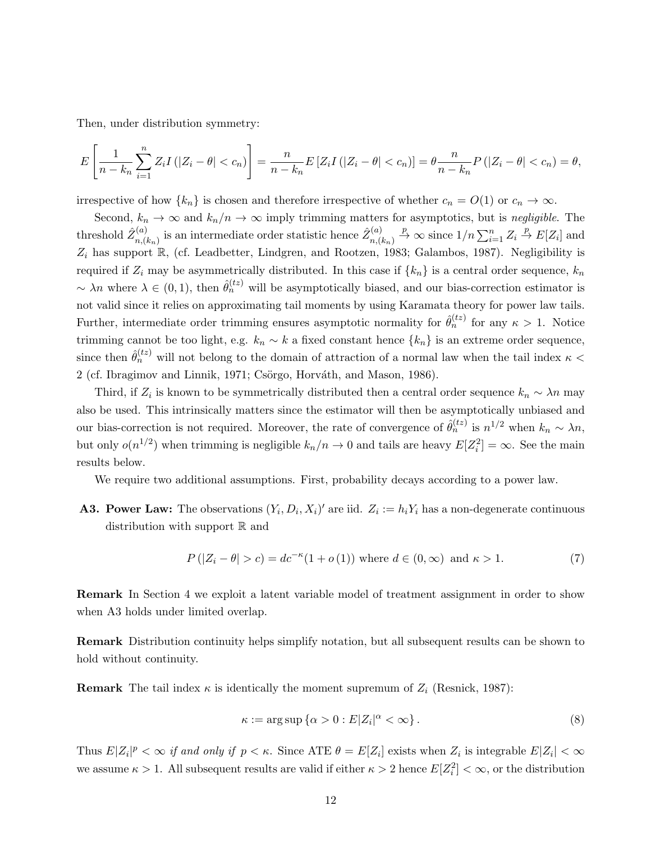Then, under distribution symmetry:

$$
E\left[\frac{1}{n-k_n}\sum_{i=1}^n Z_i I\left(|Z_i-\theta|
$$

irrespective of how  $\{k_n\}$  is chosen and therefore irrespective of whether  $c_n = O(1)$  or  $c_n \to \infty$ .

Second,  $k_n \to \infty$  and  $k_n/n \to \infty$  imply trimming matters for asymptotics, but is negligible. The threshold  $\hat{Z}_{n}^{(a)}$  $\hat{\mathbf{z}}_{n,(k_n)}^{(a)}$  is an intermediate order statistic hence  $\hat{Z}_{n,(k_n)}^{(a)}$  $\sum_{i=1}^{(a)} Z_i \stackrel{p}{\to} \infty$  since  $1/n \sum_{i=1}^n Z_i \stackrel{p}{\to} E[Z_i]$  and  $Z_i$  has support  $\mathbb{R}$ , (cf. Leadbetter, Lindgren, and Rootzen, 1983; Galambos, 1987). Negligibility is required if  $Z_i$  may be asymmetrically distributed. In this case if  $\{k_n\}$  is a central order sequence,  $k_n$  $\sim \lambda n$  where  $\lambda \in (0,1)$ , then  $\hat{\theta}_n^{(tz)}$  will be asymptotically biased, and our bias-correction estimator is not valid since it relies on approximating tail moments by using Karamata theory for power law tails. Further, intermediate order trimming ensures asymptotic normality for  $\hat{\theta}_n^{(tz)}$  for any  $\kappa > 1$ . Notice trimming cannot be too light, e.g.  $k_n \sim k$  a fixed constant hence  $\{k_n\}$  is an extreme order sequence, since then  $\hat{\theta}_n^{(tz)}$  will not belong to the domain of attraction of a normal law when the tail index  $\kappa$  < 2 (cf. Ibragimov and Linnik, 1971; Csörgo, Horváth, and Mason, 1986).

Third, if  $Z_i$  is known to be symmetrically distributed then a central order sequence  $k_n \sim \lambda n$  may also be used. This intrinsically matters since the estimator will then be asymptotically unbiased and our bias-correction is not required. Moreover, the rate of convergence of  $\hat{\theta}_n^{(tz)}$  is  $n^{1/2}$  when  $k_n \sim \lambda n$ , but only  $o(n^{1/2})$  when trimming is negligible  $k_n/n \to 0$  and tails are heavy  $E[Z_i^2] = \infty$ . See the main results below.

We require two additional assumptions. First, probability decays according to a power law.

**A3. Power Law:** The observations  $(Y_i, D_i, X_i)'$  are iid.  $Z_i := h_i Y_i$  has a non-degenerate continuous distribution with support  $\mathbb R$  and

$$
P(|Z_i - \theta| > c) = dc^{-\kappa}(1 + o(1)) \text{ where } d \in (0, \infty) \text{ and } \kappa > 1.
$$
 (7)

Remark In Section 4 we exploit a latent variable model of treatment assignment in order to show when A3 holds under limited overlap.

Remark Distribution continuity helps simplify notation, but all subsequent results can be shown to hold without continuity.

**Remark** The tail index  $\kappa$  is identically the moment supremum of  $Z_i$  (Resnick, 1987):

$$
\kappa := \arg \sup \{ \alpha > 0 : E |Z_i|^{\alpha} < \infty \}.
$$
\n(8)

Thus  $E|Z_i|^p < \infty$  if and only if  $p < \kappa$ . Since ATE  $\theta = E[Z_i]$  exists when  $Z_i$  is integrable  $E|Z_i| < \infty$ we assume  $\kappa > 1$ . All subsequent results are valid if either  $\kappa > 2$  hence  $E[Z_i^2] < \infty$ , or the distribution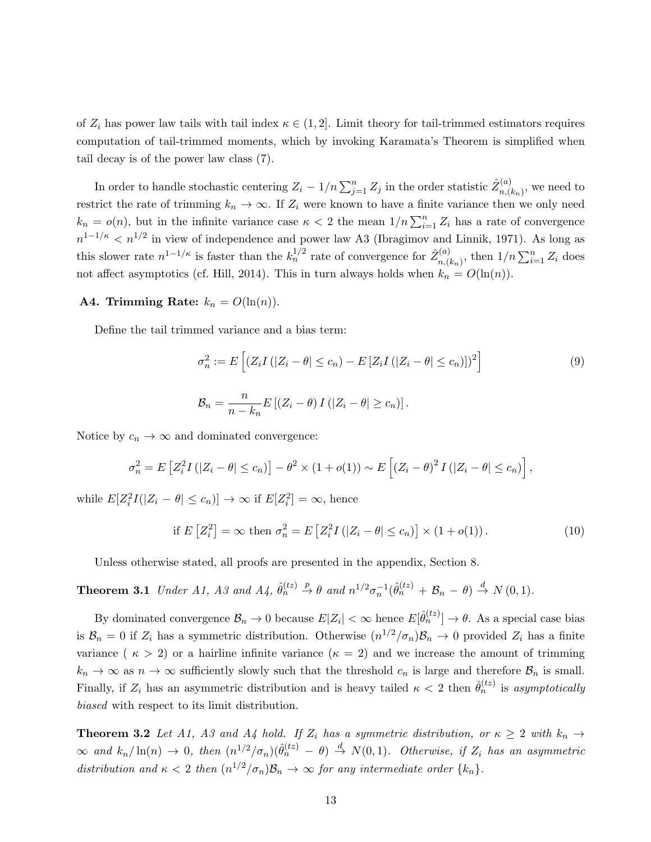of  $Z_i$  has power law tails with tail index  $\kappa \in (1,2]$ . Limit theory for tail-trimmed estimators requires computation of tail-trimmed moments, which by invoking Karamata's Theorem is simplified when tail decay is of the power law class (7).

In order to handle stochastic centering  $Z_i - 1/n \sum_{j=1}^n Z_j$  in the order statistic  $\hat{Z}_{n,(i)}^{(a)}$  $_{n,(k_n)}^{(a)}$ , we need to restrict the rate of trimming  $k_n \to \infty$ . If  $Z_i$  were known to have a finite variance then we only need  $k_n = o(n)$ , but in the infinite variance case  $\kappa < 2$  the mean  $1/n \sum_{i=1}^n Z_i$  has a rate of convergence  $n^{1-1/\kappa} < n^{1/2}$  in view of independence and power law A3 (Ibragimov and Linnik, 1971). As long as this slower rate  $n^{1-1/\kappa}$  is faster than the  $k_n^{1/2}$  rate of convergence for  $\hat{Z}_{n,\ell}^{(a)}$  $\sum_{i=1}^{(a)} Z_i$  does not affect asymptotics (cf. Hill, 2014). This in turn always holds when  $k_n = O(\ln(n))$ .

#### A4. Trimming Rate:  $k_n = O(\ln(n)).$

Define the tail trimmed variance and a bias term:

$$
\sigma_n^2 := E\left[ \left( Z_i I\left( |Z_i - \theta| \le c_n \right) - E\left[ Z_i I\left( |Z_i - \theta| \le c_n \right) \right] \right)^2 \right]
$$
\n
$$
\mathcal{B}_n = \frac{n}{n - k_n} E\left[ \left( Z_i - \theta \right) I\left( |Z_i - \theta| \ge c_n \right) \right].
$$
\n(9)

Notice by  $c_n \to \infty$  and dominated convergence:

$$
\sigma_n^2 = E\left[Z_i^2 I\left(|Z_i - \theta| \leq c_n\right)\right] - \theta^2 \times \left(1 + o(1)\right) \sim E\left[\left(Z_i - \theta\right)^2 I\left(|Z_i - \theta| \leq c_n\right)\right],
$$

while  $E[Z_i^2 I(|Z_i - \theta| \le c_n)] \to \infty$  if  $E[Z_i^2] = \infty$ , hence

$$
\text{if } E\left[Z_i^2\right] = \infty \text{ then } \sigma_n^2 = E\left[Z_i^2 I\left(|Z_i - \theta| \le c_n\right)\right] \times \left(1 + o(1)\right). \tag{10}
$$

Unless otherwise stated, all proofs are presented in the appendix, Section 8.

**Theorem 3.1** Under A1, A3 and A4, 
$$
\hat{\theta}_n^{(tz)} \stackrel{p}{\rightarrow} \theta
$$
 and  $n^{1/2}\sigma_n^{-1}(\hat{\theta}_n^{(tz)} + \mathcal{B}_n - \theta) \stackrel{d}{\rightarrow} N(0, 1)$ .

By dominated convergence  $\mathcal{B}_n \to 0$  because  $E|Z_i| < \infty$  hence  $E[\hat{\theta}_n^{(tz)}] \to \theta$ . As a special case bias is  $B_n = 0$  if  $Z_i$  has a symmetric distribution. Otherwise  $(n^{1/2}/\sigma_n)B_n \to 0$  provided  $Z_i$  has a finite variance ( $\kappa > 2$ ) or a hairline infinite variance ( $\kappa = 2$ ) and we increase the amount of trimming  $k_n \to \infty$  as  $n \to \infty$  sufficiently slowly such that the threshold  $c_n$  is large and therefore  $\mathcal{B}_n$  is small. Finally, if  $Z_i$  has an asymmetric distribution and is heavy tailed  $\kappa < 2$  then  $\hat{\theta}_n^{(tz)}$  is asymptotically biased with respect to its limit distribution.

**Theorem 3.2** Let A1, A3 and A4 hold. If  $Z_i$  has a symmetric distribution, or  $\kappa \geq 2$  with  $k_n \to$  $\infty$  and  $k_n/\ln(n) \to 0$ , then  $(n^{1/2}/\sigma_n)(\hat{\theta}_n^{(tz)} - \theta) \stackrel{d}{\to} N(0,1)$ . Otherwise, if  $Z_i$  has an asymmetric distribution and  $\kappa < 2$  then  $(n^{1/2}/\sigma_n)\mathcal{B}_n \to \infty$  for any intermediate order  $\{k_n\}$ .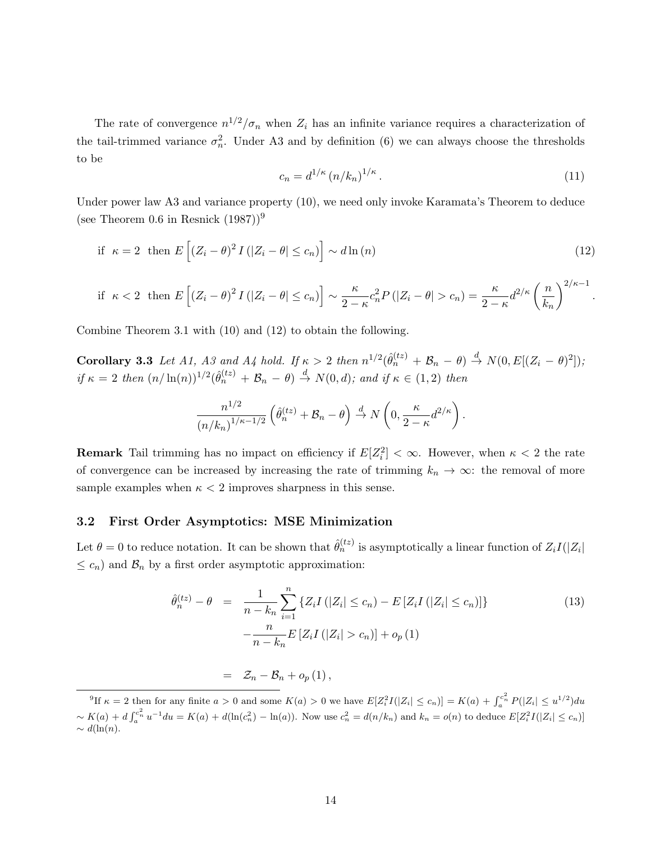The rate of convergence  $n^{1/2}/\sigma_n$  when  $Z_i$  has an infinite variance requires a characterization of the tail-trimmed variance  $\sigma_n^2$ . Under A3 and by definition (6) we can always choose the thresholds to be

$$
c_n = d^{1/\kappa} \left( n/k_n \right)^{1/\kappa} . \tag{11}
$$

.

Under power law A3 and variance property (10), we need only invoke Karamata's Theorem to deduce (see Theorem 0.6 in Resnick  $(1987)^9$ )

if 
$$
\kappa = 2
$$
 then  $E\left[ (Z_i - \theta)^2 I(|Z_i - \theta| \le c_n) \right] \sim d \ln(n)$  (12)

if 
$$
\kappa < 2
$$
 then  $E\left[ (Z_i - \theta)^2 I(|Z_i - \theta| \le c_n) \right] \sim \frac{\kappa}{2 - \kappa} c_n^2 P(|Z_i - \theta| > c_n) = \frac{\kappa}{2 - \kappa} d^{2/\kappa} \left( \frac{n}{k_n} \right)^{2/\kappa - 1}$ 

Combine Theorem 3.1 with (10) and (12) to obtain the following.

Corollary 3.3 Let A1, A3 and A4 hold. If  $\kappa > 2$  then  $n^{1/2}(\hat{\theta}_n^{(tz)} + \mathcal{B}_n - \theta) \stackrel{d}{\rightarrow} N(0, E[(Z_i - \theta)^2])$ ; if  $\kappa = 2$  then  $(n/\ln(n))^{1/2}(\hat{\theta}_n^{(tz)} + \mathcal{B}_n - \theta) \stackrel{d}{\rightarrow} N(0, d)$ ; and if  $\kappa \in (1, 2)$  then

$$
\frac{n^{1/2}}{(n/k_n)^{1/\kappa - 1/2}} \left( \hat{\theta}_n^{(tz)} + \mathcal{B}_n - \theta \right) \stackrel{d}{\to} N \left( 0, \frac{\kappa}{2 - \kappa} d^{2/\kappa} \right).
$$

**Remark** Tail trimming has no impact on efficiency if  $E[Z_i^2] < \infty$ . However, when  $\kappa < 2$  the rate of convergence can be increased by increasing the rate of trimming  $k_n \to \infty$ : the removal of more sample examples when  $\kappa < 2$  improves sharpness in this sense.

#### 3.2 First Order Asymptotics: MSE Minimization

Let  $\theta = 0$  to reduce notation. It can be shown that  $\hat{\theta}_n^{(tz)}$  is asymptotically a linear function of  $Z_i I(|Z_i|)$  $\leq c_n$ ) and  $\mathcal{B}_n$  by a first order asymptotic approximation:

$$
\hat{\theta}_n^{(tz)} - \theta = \frac{1}{n - k_n} \sum_{i=1}^n \{ Z_i I(|Z_i| \le c_n) - E[Z_i I(|Z_i| \le c_n)] \} - \frac{n}{n - k_n} E[Z_i I(|Z_i| > c_n)] + o_p(1)
$$
\n(13)

 $=$   $\mathcal{Z}_n - \mathcal{B}_n + o_p(1)$ ,

<sup>&</sup>lt;sup>9</sup>If  $\kappa = 2$  then for any finite  $a > 0$  and some  $K(a) > 0$  we have  $E[Z_i^2 I(|Z_i| \le c_n)] = K(a) + \int_a^{c_n^2} P(|Z_i| \le u^{1/2}) du$  $\sim K(a) + d \int_a^{c_n^2} u^{-1} du = K(a) + d(\ln(c_n^2) - \ln(a))$ . Now use  $c_n^2 = d(n/k_n)$  and  $k_n = o(n)$  to deduce  $E[Z_i^2 I(|Z_i| \le c_n)]$  $\sim d(\ln(n))$ .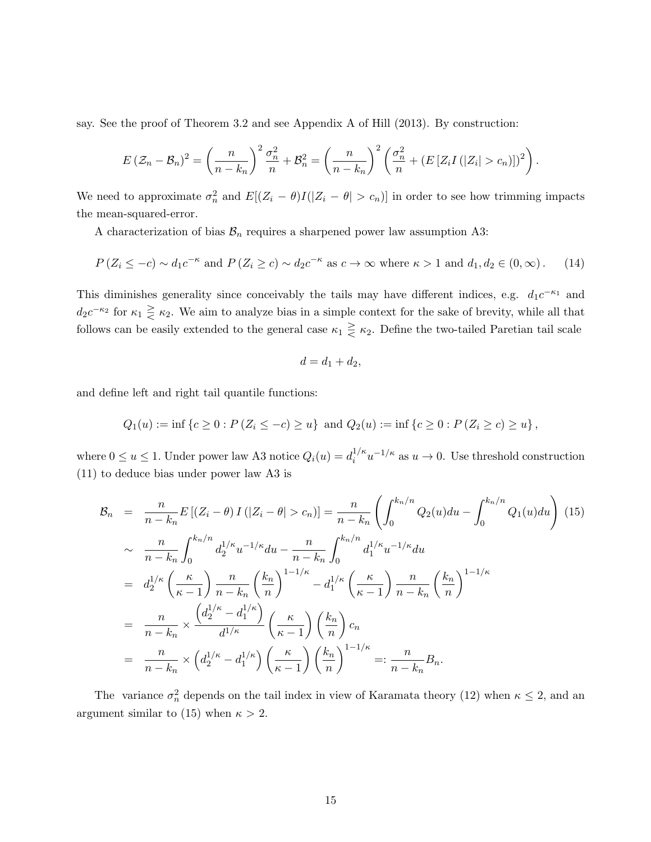say. See the proof of Theorem 3.2 and see Appendix A of Hill (2013). By construction:

$$
E(\mathcal{Z}_n-\mathcal{B}_n)^2=\left(\frac{n}{n-k_n}\right)^2\frac{\sigma_n^2}{n}+\mathcal{B}_n^2=\left(\frac{n}{n-k_n}\right)^2\left(\frac{\sigma_n^2}{n}+(E\left[Z_iI\left(|Z_i|>c_n\right])\right]^2\right).
$$

We need to approximate  $\sigma_n^2$  and  $E[(Z_i - \theta)I(|Z_i - \theta| > c_n)]$  in order to see how trimming impacts the mean-squared-error.

A characterization of bias  $\mathcal{B}_n$  requires a sharpened power law assumption A3:

$$
P(Z_i \le -c) \sim d_1 c^{-\kappa} \text{ and } P(Z_i \ge c) \sim d_2 c^{-\kappa} \text{ as } c \to \infty \text{ where } \kappa > 1 \text{ and } d_1, d_2 \in (0, \infty). \tag{14}
$$

This diminishes generality since conceivably the tails may have different indices, e.g.  $d_1c^{-\kappa_1}$  and  $d_2c^{-\kappa_2}$  for  $\kappa_1 \geq \kappa_2$ . We aim to analyze bias in a simple context for the sake of brevity, while all that follows can be easily extended to the general case  $\kappa_1 \geq \kappa_2$ . Define the two-tailed Paretian tail scale

$$
d = d_1 + d_2,
$$

and define left and right tail quantile functions:

$$
Q_1(u) := \inf \{ c \ge 0 : P(Z_i \le -c) \ge u \} \text{ and } Q_2(u) := \inf \{ c \ge 0 : P(Z_i \ge c) \ge u \},
$$

where  $0 \le u \le 1$ . Under power law A3 notice  $Q_i(u) = d_i^{1/\kappa}$  $i^{1/\kappa}u^{-1/\kappa}$  as  $u\to 0$ . Use threshold construction (11) to deduce bias under power law A3 is

$$
\mathcal{B}_{n} = \frac{n}{n - k_{n}} E\left[ (Z_{i} - \theta) I\left( |Z_{i} - \theta| > c_{n} \right) \right] = \frac{n}{n - k_{n}} \left( \int_{0}^{k_{n}/n} Q_{2}(u) du - \int_{0}^{k_{n}/n} Q_{1}(u) du \right) (15)
$$
\n
$$
\sim \frac{n}{n - k_{n}} \int_{0}^{k_{n}/n} d_{2}^{1/\kappa} u^{-1/\kappa} du - \frac{n}{n - k_{n}} \int_{0}^{k_{n}/n} d_{1}^{1/\kappa} u^{-1/\kappa} du
$$
\n
$$
= d_{2}^{1/\kappa} \left( \frac{\kappa}{\kappa - 1} \right) \frac{n}{n - k_{n}} \left( \frac{k_{n}}{n} \right)^{1 - 1/\kappa} - d_{1}^{1/\kappa} \left( \frac{\kappa}{\kappa - 1} \right) \frac{n}{n - k_{n}} \left( \frac{k_{n}}{n} \right)^{1 - 1/\kappa}
$$
\n
$$
= \frac{n}{n - k_{n}} \times \frac{\left( d_{2}^{1/\kappa} - d_{1}^{1/\kappa} \right)}{d^{1/\kappa}} \left( \frac{\kappa}{\kappa - 1} \right) \left( \frac{k_{n}}{n} \right) c_{n}
$$
\n
$$
= \frac{n}{n - k_{n}} \times \left( d_{2}^{1/\kappa} - d_{1}^{1/\kappa} \right) \left( \frac{\kappa}{\kappa - 1} \right) \left( \frac{k_{n}}{n} \right)^{1 - 1/\kappa} =: \frac{n}{n - k_{n}} B_{n}.
$$

The variance  $\sigma_n^2$  depends on the tail index in view of Karamata theory (12) when  $\kappa \leq 2$ , and an argument similar to (15) when  $\kappa > 2$ .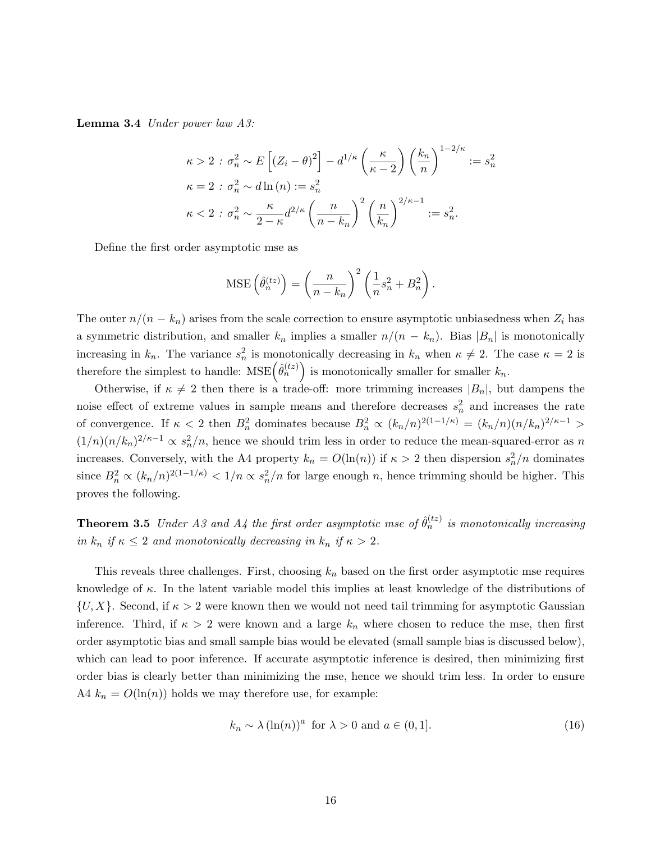Lemma 3.4 Under power law A3:

$$
\kappa > 2 : \sigma_n^2 \sim E\left[ (Z_i - \theta)^2 \right] - d^{1/\kappa} \left( \frac{\kappa}{\kappa - 2} \right) \left( \frac{k_n}{n} \right)^{1 - 2/\kappa} := s_n^2
$$
  

$$
\kappa = 2 : \sigma_n^2 \sim d \ln(n) := s_n^2
$$
  

$$
\kappa < 2 : \sigma_n^2 \sim \frac{\kappa}{2 - \kappa} d^{2/\kappa} \left( \frac{n}{n - k_n} \right)^2 \left( \frac{n}{k_n} \right)^{2/\kappa - 1} := s_n^2.
$$

Define the first order asymptotic mse as

MSE 
$$
\left(\hat{\theta}_n^{(tz)}\right) = \left(\frac{n}{n-k_n}\right)^2 \left(\frac{1}{n}s_n^2 + B_n^2\right).
$$

The outer  $n/(n - k_n)$  arises from the scale correction to ensure asymptotic unbiasedness when  $Z_i$  has a symmetric distribution, and smaller  $k_n$  implies a smaller  $n/(n - k_n)$ . Bias  $|B_n|$  is monotonically increasing in  $k_n$ . The variance  $s_n^2$  is monotonically decreasing in  $k_n$  when  $\kappa \neq 2$ . The case  $\kappa = 2$  is therefore the simplest to handle:  $MSE(\hat{\theta}_n^{(tz)})$  is monotonically smaller for smaller  $k_n$ .

Otherwise, if  $\kappa \neq 2$  then there is a trade-off: more trimming increases  $|B_n|$ , but dampens the noise effect of extreme values in sample means and therefore decreases  $s_n^2$  and increases the rate of convergence. If  $\kappa < 2$  then  $B_n^2$  dominates because  $B_n^2 \propto (k_n/n)^{2(1-1/\kappa)} = (k_n/n)(n/k_n)^{2/\kappa-1} >$  $(1/n)(n/k_n)^{2/\kappa-1} \propto s_n^2/n$ , hence we should trim less in order to reduce the mean-squared-error as n increases. Conversely, with the A4 property  $k_n = O(\ln(n))$  if  $\kappa > 2$  then dispersion  $s_n^2/n$  dominates since  $B_n^2 \propto (k_n/n)^{2(1-1/\kappa)} < 1/n \propto s_n^2/n$  for large enough n, hence trimming should be higher. This proves the following.

**Theorem 3.5** Under A3 and A4 the first order asymptotic mse of  $\hat{\theta}_n^{(tz)}$  is monotonically increasing in  $k_n$  if  $\kappa \leq 2$  and monotonically decreasing in  $k_n$  if  $\kappa > 2$ .

This reveals three challenges. First, choosing  $k_n$  based on the first order asymptotic mse requires knowledge of  $\kappa$ . In the latent variable model this implies at least knowledge of the distributions of  $\{U, X\}$ . Second, if  $\kappa > 2$  were known then we would not need tail trimming for asymptotic Gaussian inference. Third, if  $\kappa > 2$  were known and a large  $k_n$  where chosen to reduce the mse, then first order asymptotic bias and small sample bias would be elevated (small sample bias is discussed below), which can lead to poor inference. If accurate asymptotic inference is desired, then minimizing first order bias is clearly better than minimizing the mse, hence we should trim less. In order to ensure A4  $k_n = O(\ln(n))$  holds we may therefore use, for example:

$$
k_n \sim \lambda \left(\ln(n)\right)^a \text{ for } \lambda > 0 \text{ and } a \in (0, 1]. \tag{16}
$$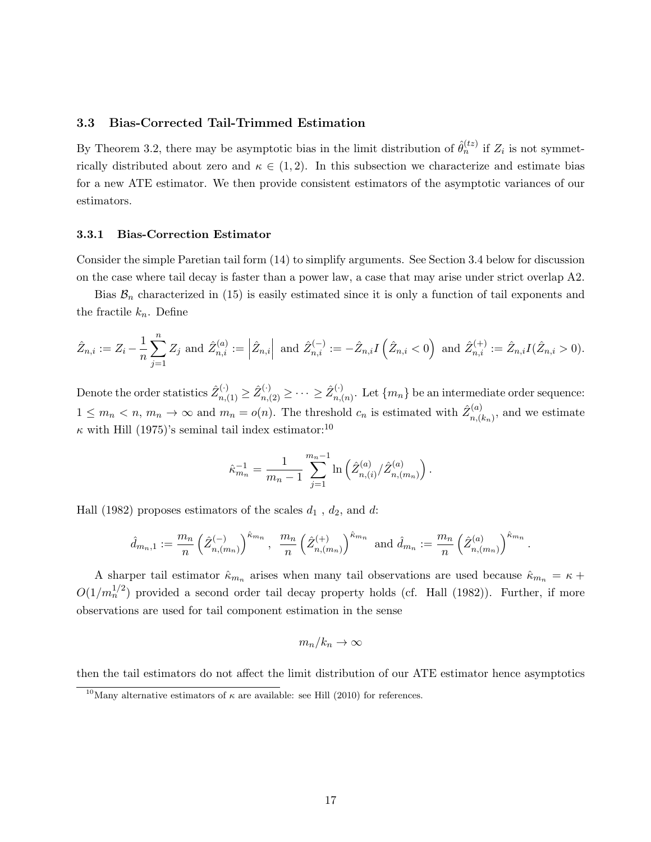#### 3.3 Bias-Corrected Tail-Trimmed Estimation

By Theorem 3.2, there may be asymptotic bias in the limit distribution of  $\hat{\theta}_n^{(tz)}$  if  $Z_i$  is not symmetrically distributed about zero and  $\kappa \in (1,2)$ . In this subsection we characterize and estimate bias for a new ATE estimator. We then provide consistent estimators of the asymptotic variances of our estimators.

#### 3.3.1 Bias-Correction Estimator

Consider the simple Paretian tail form (14) to simplify arguments. See Section 3.4 below for discussion on the case where tail decay is faster than a power law, a case that may arise under strict overlap A2.

Bias  $\mathcal{B}_n$  characterized in (15) is easily estimated since it is only a function of tail exponents and the fractile  $k_n$ . Define

$$
\hat{Z}_{n,i} := Z_i - \frac{1}{n} \sum_{j=1}^n Z_j \text{ and } \hat{Z}_{n,i}^{(a)} := \left| \hat{Z}_{n,i} \right| \text{ and } \hat{Z}_{n,i}^{(-)} := -\hat{Z}_{n,i} I(\hat{Z}_{n,i} < 0) \text{ and } \hat{Z}_{n,i}^{(+)} := \hat{Z}_{n,i} I(\hat{Z}_{n,i} > 0).
$$

Denote the order statistics  $\hat Z_{n,(1)}^{(\cdot)} \ge \hat Z_{n,(2)}^{(\cdot)} \ge \cdots \ge \hat Z_{n,(n)}^{(\cdot)}$  $\binom{N}{n}(n)$ . Let  $\{m_n\}$  be an intermediate order sequence:  $1 \leq m_n < n, m_n \to \infty$  and  $m_n = o(n)$ . The threshold  $c_n$  is estimated with  $\hat{Z}_{n}^{(a)}$ .  $\binom{n}{n,(k_n)}$ , and we estimate  $\kappa$  with Hill (1975)'s seminal tail index estimator:<sup>10</sup>

$$
\hat{\kappa}_{m_n}^{-1} = \frac{1}{m_n - 1} \sum_{j=1}^{m_n - 1} \ln \left( \hat{Z}_{n,(i)}^{(a)} / \hat{Z}_{n,(m_n)}^{(a)} \right).
$$

Hall (1982) proposes estimators of the scales  $d_1$ ,  $d_2$ , and  $d$ :

$$
\hat{d}_{m_n,1} := \frac{m_n}{n} \left(\hat{Z}_{n,(m_n)}^{(-)}\right)^{\hat{\kappa}_{m_n}}, \ \frac{m_n}{n} \left(\hat{Z}_{n,(m_n)}^{(+)}\right)^{\hat{\kappa}_{m_n}} \text{ and } \hat{d}_{m_n} := \frac{m_n}{n} \left(\hat{Z}_{n,(m_n)}^{(a)}\right)^{\hat{\kappa}_{m_n}}.
$$

A sharper tail estimator  $\hat{\kappa}_{m_n}$  arises when many tail observations are used because  $\hat{\kappa}_{m_n} = \kappa + \frac{1}{2}$  $O(1/m_n^{1/2})$  provided a second order tail decay property holds (cf. Hall (1982)). Further, if more observations are used for tail component estimation in the sense

$$
m_n/k_n \to \infty
$$

then the tail estimators do not affect the limit distribution of our ATE estimator hence asymptotics

<sup>&</sup>lt;sup>10</sup>Many alternative estimators of  $\kappa$  are available: see Hill (2010) for references.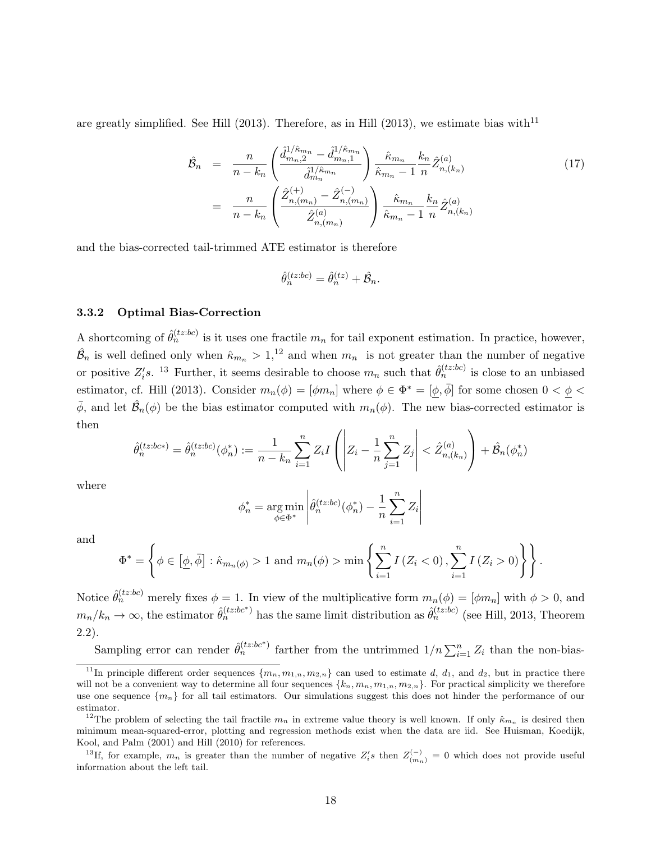are greatly simplified. See Hill (2013). Therefore, as in Hill (2013), we estimate bias with<sup>11</sup>

$$
\hat{\mathcal{B}}_{n} = \frac{n}{n - k_{n}} \left( \frac{\hat{d}_{m_{n},2}^{1/\hat{\kappa}_{m_{n}}}-\hat{d}_{m_{n},1}^{1/\hat{\kappa}_{m_{n}}}}{\hat{d}_{m_{n}}^{1/\hat{\kappa}_{m_{n}}}} \right) \frac{\hat{\kappa}_{m_{n}}}{\hat{\kappa}_{m_{n}}-1} \frac{k_{n}}{n} \hat{Z}_{n,(k_{n})}^{(a)}
$$
\n
$$
= \frac{n}{n - k_{n}} \left( \frac{\hat{Z}_{n,(m_{n})}^{(+)}-\hat{Z}_{n,(m_{n})}^{(-)}}{\hat{Z}_{n,(m_{n})}^{(a)}} \right) \frac{\hat{\kappa}_{m_{n}}}{\hat{\kappa}_{m_{n}}-1} \frac{k_{n}}{n} \hat{Z}_{n,(k_{n})}^{(a)}
$$
\n
$$
(17)
$$

and the bias-corrected tail-trimmed ATE estimator is therefore

$$
\hat{\theta}_n^{(tz:bc)} = \hat{\theta}_n^{(tz)} + \hat{\mathcal{B}}_n.
$$

#### 3.3.2 Optimal Bias-Correction

A shortcoming of  $\hat{\theta}_n^{(tz:bc)}$  is it uses one fractile  $m_n$  for tail exponent estimation. In practice, however,  $\hat{\mathcal{B}}_n$  is well defined only when  $\hat{\kappa}_{m_n} > 1$ ,<sup>12</sup> and when  $m_n$  is not greater than the number of negative or positive  $Z_i$ 's. <sup>13</sup> Further, it seems desirable to choose  $m_n$  such that  $\hat{\theta}_n^{(tz:bc)}$  is close to an unbiased estimator, cf. Hill (2013). Consider  $m_n(\phi) = [\phi m_n]$  where  $\phi \in \Phi^* = [\phi, \overline{\phi}]$  for some chosen  $0 < \phi <$  $\bar{\phi}$ , and let  $\hat{\mathcal{B}}_n(\phi)$  be the bias estimator computed with  $m_n(\phi)$ . The new bias-corrected estimator is then

$$
\hat{\theta}_n^{(tz:bc*)} = \hat{\theta}_n^{(tz:bc)}(\phi_n^*) := \frac{1}{n - k_n} \sum_{i=1}^n Z_i I\left( \left| Z_i - \frac{1}{n} \sum_{j=1}^n Z_j \right| < \hat{Z}_{n,(k_n)}^{(a)} \right) + \hat{\mathcal{B}}_n(\phi_n^*)
$$

where

$$
\phi_n^* = \underset{\phi \in \Phi^*}{\arg \min} \left| \hat{\theta}_n^{(tz:bc)}(\phi_n^*) - \frac{1}{n} \sum_{i=1}^n Z_i \right|
$$

and

$$
\Phi^* = \left\{ \phi \in [\underline{\phi}, \overline{\phi}] : \hat{\kappa}_{m_n(\phi)} > 1 \text{ and } m_n(\phi) > \min \left\{ \sum_{i=1}^n I(Z_i < 0), \sum_{i=1}^n I(Z_i > 0) \right\} \right\}.
$$

Notice  $\hat{\theta}_n^{(tz:bc)}$  merely fixes  $\phi = 1$ . In view of the multiplicative form  $m_n(\phi) = [\phi m_n]$  with  $\phi > 0$ , and  $m_n/k_n \to \infty$ , the estimator  $\hat{\theta}_n^{(tz:bc^*)}$  has the same limit distribution as  $\hat{\theta}_n^{(tz:bc)}$  (see Hill, 2013, Theorem 2.2).

Sampling error can render  $\hat{\theta}_n^{(tz:bc^*)}$  farther from the untrimmed  $1/n \sum_{i=1}^n Z_i$  than the non-bias-

<sup>13</sup>If, for example,  $m_n$  is greater than the number of negative  $Z_i$ 's then  $Z_{(m_n)}^{(-)} = 0$  which does not provide useful information about the left tail.

<sup>&</sup>lt;sup>11</sup>In principle different order sequences  $\{m_n, m_{1,n}, m_{2,n}\}$  can used to estimate d,  $d_1$ , and  $d_2$ , but in practice there will not be a convenient way to determine all four sequences  $\{k_n, m_n, m_{1,n}, m_{2,n}\}$ . For practical simplicity we therefore use one sequence  ${m_n}$  for all tail estimators. Our simulations suggest this does not hinder the performance of our estimator.

<sup>&</sup>lt;sup>12</sup>The problem of selecting the tail fractile  $m_n$  in extreme value theory is well known. If only  $\hat{\kappa}_{m_n}$  is desired then minimum mean-squared-error, plotting and regression methods exist when the data are iid. See Huisman, Koedijk, Kool, and Palm (2001) and Hill (2010) for references.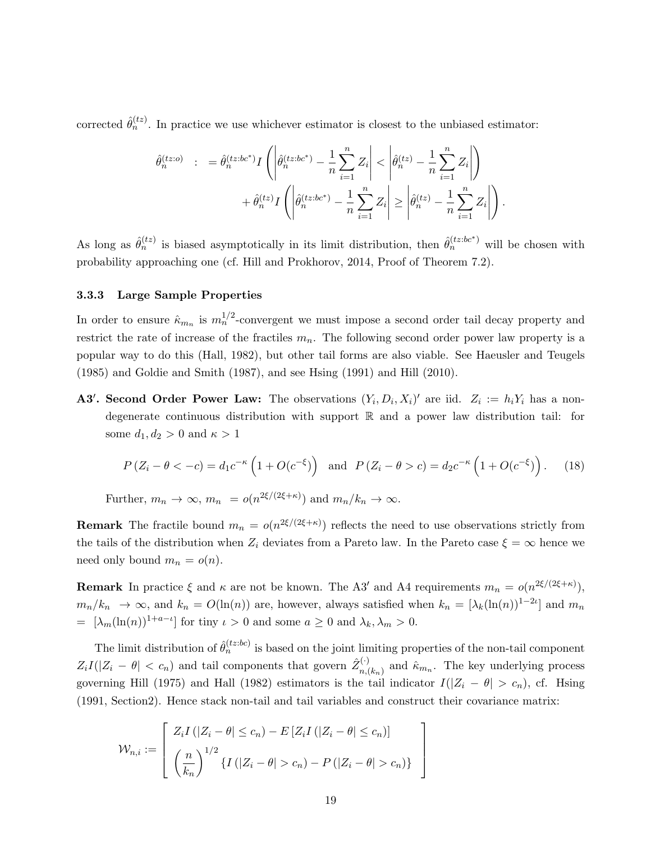corrected  $\hat{\theta}_n^{(tz)}$ . In practice we use whichever estimator is closest to the unbiased estimator:

$$
\hat{\theta}_n^{(tz:o)} \quad : \quad = \hat{\theta}_n^{(tz:bc^*)} I\left( \left| \hat{\theta}_n^{(tz:bc^*)} - \frac{1}{n} \sum_{i=1}^n Z_i \right| < \left| \hat{\theta}_n^{(tz)} - \frac{1}{n} \sum_{i=1}^n Z_i \right| \right) \\
 \quad + \hat{\theta}_n^{(tz)} I\left( \left| \hat{\theta}_n^{(tz:bc^*)} - \frac{1}{n} \sum_{i=1}^n Z_i \right| \ge \left| \hat{\theta}_n^{(tz)} - \frac{1}{n} \sum_{i=1}^n Z_i \right| \right).
$$

As long as  $\hat{\theta}_n^{(tz)}$  is biased asymptotically in its limit distribution, then  $\hat{\theta}_n^{(tz:bc^*)}$  will be chosen with probability approaching one (cf. Hill and Prokhorov, 2014, Proof of Theorem 7.2).

#### 3.3.3 Large Sample Properties

In order to ensure  $\hat{\kappa}_{m_n}$  is  $m_n^{1/2}$ -convergent we must impose a second order tail decay property and restrict the rate of increase of the fractiles  $m_n$ . The following second order power law property is a popular way to do this (Hall, 1982), but other tail forms are also viable. See Haeusler and Teugels (1985) and Goldie and Smith (1987), and see Hsing (1991) and Hill (2010).

A3'. Second Order Power Law: The observations  $(Y_i, D_i, X_i)'$  are iid.  $Z_i := h_i Y_i$  has a nondegenerate continuous distribution with support R and a power law distribution tail: for some  $d_1, d_2 > 0$  and  $\kappa > 1$ 

$$
P(Z_i - \theta < -c) = d_1 c^{-\kappa} \left( 1 + O(c^{-\xi}) \right) \quad \text{and} \quad P(Z_i - \theta > c) = d_2 c^{-\kappa} \left( 1 + O(c^{-\xi}) \right). \tag{18}
$$

Further,  $m_n \to \infty$ ,  $m_n = o(n^{2\xi/(2\xi + \kappa)})$  and  $m_n/k_n \to \infty$ .

**Remark** The fractile bound  $m_n = o(n^{2\xi/(2\xi+\kappa)})$  reflects the need to use observations strictly from the tails of the distribution when  $Z_i$  deviates from a Pareto law. In the Pareto case  $\xi = \infty$  hence we need only bound  $m_n = o(n)$ .

**Remark** In practice  $\xi$  and  $\kappa$  are not be known. The A3' and A4 requirements  $m_n = o(n^{2\xi/(2\xi + \kappa)})$ ,  $m_n/k_n \to \infty$ , and  $k_n = O(\ln(n))$  are, however, always satisfied when  $k_n = [\lambda_k(\ln(n))^{1-2\iota}]$  and  $m_n$ =  $[\lambda_m(\ln(n))^{1+a-\iota}]$  for tiny  $\iota > 0$  and some  $a \geq 0$  and  $\lambda_k, \lambda_m > 0$ .

The limit distribution of  $\hat{\theta}_n^{(tz:bc)}$  is based on the joint limiting properties of the non-tail component  $Z_iI(|Z_i - \theta| < c_n)$  and tail components that govern  $\hat{Z}_{n}^{(\cdot)}$  $\hat{R}_{n,(k_n)}^{(\cdot)}$  and  $\hat{\kappa}_{m_n}$ . The key underlying process governing Hill (1975) and Hall (1982) estimators is the tail indicator  $I(|Z_i - \theta| > c_n)$ , cf. Hsing (1991, Section2). Hence stack non-tail and tail variables and construct their covariance matrix:

$$
\mathcal{W}_{n,i} := \left[ \begin{array}{c} Z_i I\left( |Z_i - \theta| \leq c_n \right) - E\left[ Z_i I\left( |Z_i - \theta| \leq c_n \right) \right] \\ \left( \frac{n}{k_n} \right)^{1/2} \left\{ I\left( |Z_i - \theta| > c_n \right) - P\left( |Z_i - \theta| > c_n \right) \right\} \end{array} \right]
$$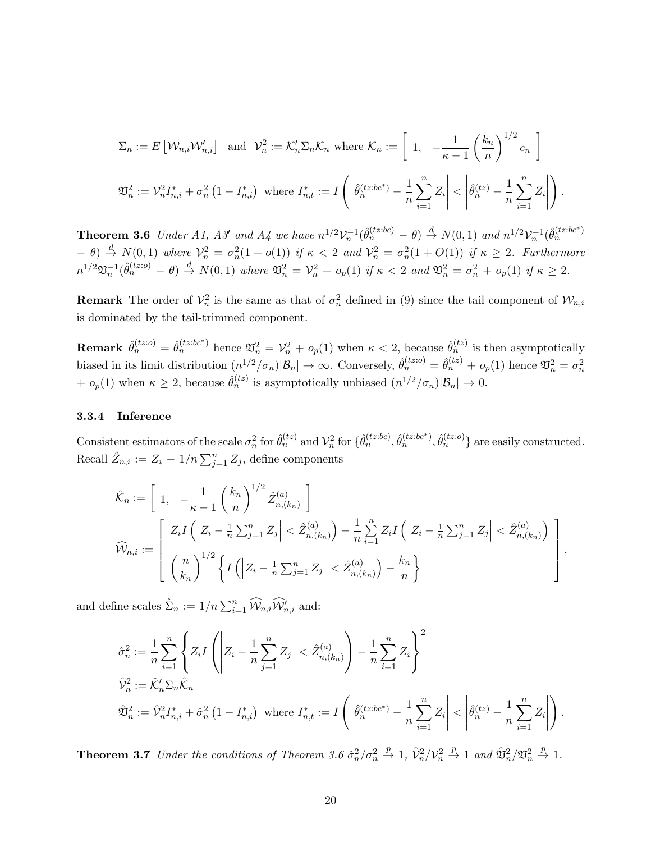$$
\Sigma_n := E\left[\mathcal{W}_{n,i}\mathcal{W}'_{n,i}\right] \text{ and } \mathcal{V}_n^2 := \mathcal{K}'_n \Sigma_n \mathcal{K}_n \text{ where } \mathcal{K}_n := \left[1, -\frac{1}{\kappa - 1} \left(\frac{k_n}{n}\right)^{1/2} c_n\right]
$$
  

$$
\mathfrak{V}_n^2 := \mathcal{V}_n^2 I_{n,i}^* + \sigma_n^2 \left(1 - I_{n,i}^*\right) \text{ where } I_{n,t}^* := I\left(\left|\hat{\theta}_n^{(tz;bc^*)} - \frac{1}{n} \sum_{i=1}^n Z_i\right| < \left|\hat{\theta}_n^{(tz)} - \frac{1}{n} \sum_{i=1}^n Z_i\right|\right).
$$

**Theorem 3.6** Under A1, A3' and A4 we have  $n^{1/2}V_n^{-1}(\hat{\theta}_n^{(tz:bc)} - \theta) \stackrel{d}{\rightarrow} N(0,1)$  and  $n^{1/2}V_n^{-1}(\hat{\theta}_n^{(tz:bc^*)})$  $(-\theta) \stackrel{d}{\rightarrow} N(0,1)$  where  $\mathcal{V}_n^2 = \sigma_n^2(1 + o(1))$  if  $\kappa < 2$  and  $\mathcal{V}_n^2 = \sigma_n^2(1 + O(1))$  if  $\kappa \geq 2$ . Furthermore  $n^{1/2}\mathfrak{V}_n^{-1}(\hat{\theta}_n^{(tz;o)} - \theta) \stackrel{d}{\rightarrow} N(0,1)$  where  $\mathfrak{V}_n^2 = \mathcal{V}_n^2 + o_p(1)$  if  $\kappa < 2$  and  $\mathfrak{V}_n^2 = \sigma_n^2 + o_p(1)$  if  $\kappa \geq 2$ .

**Remark** The order of  $\mathcal{V}_n^2$  is the same as that of  $\sigma_n^2$  defined in (9) since the tail component of  $\mathcal{W}_{n,i}$ is dominated by the tail-trimmed component.

**Remark**  $\hat{\theta}_n^{(tz;0)} = \hat{\theta}_n^{(tz;bc^*)}$  hence  $\mathfrak{V}_n^2 = \mathcal{V}_n^2 + o_p(1)$  when  $\kappa < 2$ , because  $\hat{\theta}_n^{(tz)}$  is then asymptotically biased in its limit distribution  $(n^{1/2}/\sigma_n)|B_n| \to \infty$ . Conversely,  $\hat{\theta}_n^{(tz)} = \hat{\theta}_n^{(tz)} + o_p(1)$  hence  $\mathfrak{V}_n^2 = \sigma_n^2$  $+ o_p(1)$  when  $\kappa \geq 2$ , because  $\hat{\theta}_n^{(tz)}$  is asymptotically unbiased  $(n^{1/2}/\sigma_n)|B_n| \to 0$ .

#### 3.3.4 Inference

Consistent estimators of the scale  $\sigma_n^2$  for  $\hat{\theta}_n^{(tz)}$  and  $\mathcal{V}_n^2$  for  $\{\hat{\theta}_n^{(tz:bc^*)}, \hat{\theta}_n^{(tz:bc^*)}, \hat{\theta}_n^{(tz:co)}\}$  are easily constructed. Recall  $\hat{Z}_{n,i} := Z_i - 1/n \sum_{j=1}^n Z_j$ , define components

$$
\hat{\mathcal{K}}_n := \left[ 1, \ -\frac{1}{\kappa - 1} \left( \frac{k_n}{n} \right)^{1/2} \hat{Z}_{n,(k_n)}^{(a)} \right] \n\widehat{\mathcal{W}}_{n,i} := \left[ Z_i I\left( \left| Z_i - \frac{1}{n} \sum_{j=1}^n Z_j \right| < \hat{Z}_{n,(k_n)}^{(a)} \right) - \frac{1}{n} \sum_{i=1}^n Z_i I\left( \left| Z_i - \frac{1}{n} \sum_{j=1}^n Z_j \right| < \hat{Z}_{n,(k_n)}^{(a)} \right) \right],
$$
\n
$$
\widehat{\mathcal{W}}_{n,i} := \left[ \left( \frac{n}{k_n} \right)^{1/2} \left\{ I\left( \left| Z_i - \frac{1}{n} \sum_{j=1}^n Z_j \right| < \hat{Z}_{n,(k_n)}^{(a)} \right) - \frac{k_n}{n} \right\} ,
$$

and define scales  $\hat{\Sigma}_n := 1/n \sum_{i=1}^n \widehat{\mathcal{W}}_{n,i} \widehat{\mathcal{W}}'_{n,i}$  and:

$$
\hat{\sigma}_n^2 := \frac{1}{n} \sum_{i=1}^n \left\{ Z_i I\left( \left| Z_i - \frac{1}{n} \sum_{j=1}^n Z_j \right| < \hat{Z}_{n,(k_n)}^{(a)} \right) - \frac{1}{n} \sum_{i=1}^n Z_i \right\}^2
$$
\n
$$
\hat{\mathcal{V}}_n^2 := \hat{\mathcal{K}}_n' \Sigma_n \hat{\mathcal{K}}_n
$$
\n
$$
\hat{\mathfrak{V}}_n^2 := \hat{\mathcal{V}}_n^2 I_{n,i}^* + \hat{\sigma}_n^2 \left( 1 - I_{n,i}^* \right) \text{ where } I_{n,t}^* := I\left( \left| \hat{\theta}_n^{(tz:bc^*)} - \frac{1}{n} \sum_{i=1}^n Z_i \right| < \left| \hat{\theta}_n^{(tz)} - \frac{1}{n} \sum_{i=1}^n Z_i \right| \right).
$$

**Theorem 3.7** Under the conditions of Theorem 3.6  $\hat{\sigma}_n^2/\sigma_n^2 \stackrel{p}{\rightarrow} 1$ ,  $\hat{\mathcal{V}}_n^2/\mathcal{V}_n^2 \stackrel{p}{\rightarrow} 1$  and  $\hat{\mathfrak{V}}_n^2/\mathfrak{V}_n^2 \stackrel{p}{\rightarrow} 1$ .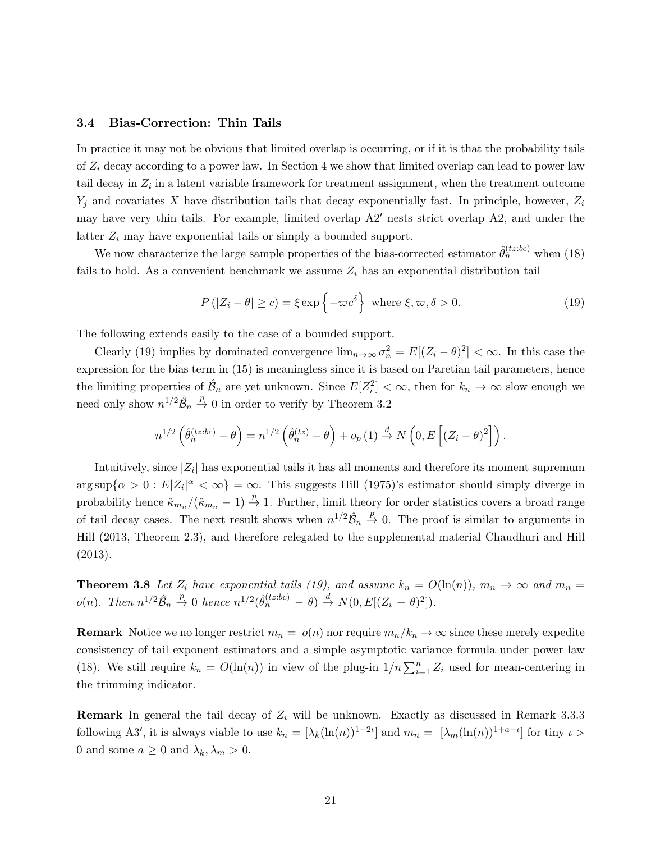#### 3.4 Bias-Correction: Thin Tails

In practice it may not be obvious that limited overlap is occurring, or if it is that the probability tails of  $Z_i$  decay according to a power law. In Section 4 we show that limited overlap can lead to power law tail decay in  $Z_i$  in a latent variable framework for treatment assignment, when the treatment outcome  $Y_i$  and covariates X have distribution tails that decay exponentially fast. In principle, however,  $Z_i$ may have very thin tails. For example, limited overlap  $A2'$  nests strict overlap  $A2$ , and under the latter  $Z_i$  may have exponential tails or simply a bounded support.

We now characterize the large sample properties of the bias-corrected estimator  $\hat{\theta}_n^{(tz:bc)}$  when (18) fails to hold. As a convenient benchmark we assume  $Z_i$  has an exponential distribution tail

$$
P(|Z_i - \theta| \ge c) = \xi \exp\left\{-\varpi c^{\delta}\right\} \text{ where } \xi, \varpi, \delta > 0.
$$
 (19)

The following extends easily to the case of a bounded support.

Clearly (19) implies by dominated convergence  $\lim_{n\to\infty} \sigma_n^2 = E[(Z_i - \theta)^2] < \infty$ . In this case the expression for the bias term in (15) is meaningless since it is based on Paretian tail parameters, hence the limiting properties of  $\hat{\mathcal{B}}_n$  are yet unknown. Since  $E[Z_i^2] < \infty$ , then for  $k_n \to \infty$  slow enough we need only show  $n^{1/2}\hat{\mathcal{B}}_n \stackrel{p}{\rightarrow} 0$  in order to verify by Theorem 3.2

$$
n^{1/2} \left( \hat{\theta}_n^{(tz:bc)} - \theta \right) = n^{1/2} \left( \hat{\theta}_n^{(tz)} - \theta \right) + o_p(1) \stackrel{d}{\to} N\left(0, E\left[ (Z_i - \theta)^2 \right] \right).
$$

Intuitively, since  $|Z_i|$  has exponential tails it has all moments and therefore its moment supremum  $\arg \sup \{\alpha > 0 : E |Z_i|^{\alpha} < \infty\} = \infty$ . This suggests Hill (1975)'s estimator should simply diverge in probability hence  $\hat{\kappa}_{m_n}/(\hat{\kappa}_{m_n} - 1) \stackrel{p}{\rightarrow} 1$ . Further, limit theory for order statistics covers a broad range of tail decay cases. The next result shows when  $n^{1/2}\hat{\mathcal{B}}_n \stackrel{p}{\to} 0$ . The proof is similar to arguments in Hill (2013, Theorem 2.3), and therefore relegated to the supplemental material Chaudhuri and Hill (2013).

**Theorem 3.8** Let  $Z_i$  have exponential tails (19), and assume  $k_n = O(\ln(n))$ ,  $m_n \to \infty$  and  $m_n =$  $o(n)$ . Then  $n^{1/2}\hat{\mathcal{B}}_n \stackrel{p}{\rightarrow} 0$  hence  $n^{1/2}(\hat{\theta}_n^{(tz:bc)} - \theta) \stackrel{d}{\rightarrow} N(0,E[(Z_i - \theta)^2])$ .

**Remark** Notice we no longer restrict  $m_n = o(n)$  nor require  $m_n/k_n \to \infty$  since these merely expedite consistency of tail exponent estimators and a simple asymptotic variance formula under power law (18). We still require  $k_n = O(\ln(n))$  in view of the plug-in  $1/n \sum_{i=1}^n Z_i$  used for mean-centering in the trimming indicator.

**Remark** In general the tail decay of  $Z_i$  will be unknown. Exactly as discussed in Remark 3.3.3 following A3', it is always viable to use  $k_n = [\lambda_k(\ln(n))^{1-2\iota}]$  and  $m_n = [\lambda_m(\ln(n))^{1+a-\iota}]$  for tiny  $\iota >$ 0 and some  $a \ge 0$  and  $\lambda_k, \lambda_m > 0$ .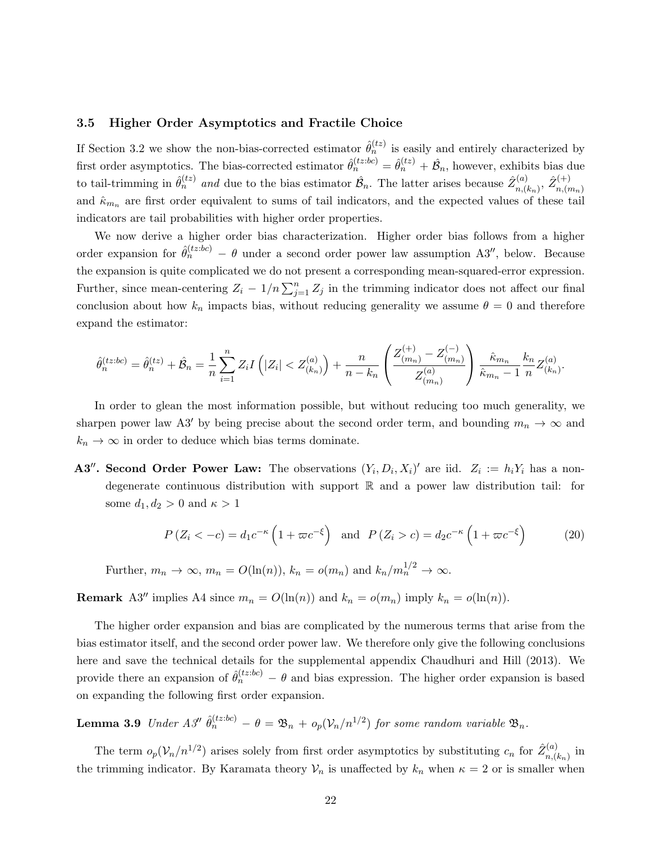#### 3.5 Higher Order Asymptotics and Fractile Choice

If Section 3.2 we show the non-bias-corrected estimator  $\hat{\theta}_n^{(tz)}$  is easily and entirely characterized by first order asymptotics. The bias-corrected estimator  $\hat{\theta}_n^{(tz:bc)} = \hat{\theta}_n^{(tz)} + \hat{\mathcal{B}}_n$ , however, exhibits bias due to tail-trimming in  $\hat{\theta}_n^{(tz)}$  and due to the bias estimator  $\hat{\mathcal{B}}_n$ . The latter arises because  $\hat{Z}_{n,(z)}^{(a)}$  $\hat{Z}_{n,(k_n)}^{(a)},\ \hat{Z}_{n,(r)}^{(+)}$  $n,(m_n)$ and  $\hat{\kappa}_{m_n}$  are first order equivalent to sums of tail indicators, and the expected values of these tail indicators are tail probabilities with higher order properties.

We now derive a higher order bias characterization. Higher order bias follows from a higher order expansion for  $\hat{\theta}_n^{(tz:bc)} - \theta$  under a second order power law assumption A3'', below. Because the expansion is quite complicated we do not present a corresponding mean-squared-error expression. Further, since mean-centering  $Z_i - 1/n \sum_{j=1}^n Z_j$  in the trimming indicator does not affect our final conclusion about how  $k_n$  impacts bias, without reducing generality we assume  $\theta = 0$  and therefore expand the estimator:

$$
\hat{\theta}_n^{(tz:bc)} = \hat{\theta}_n^{(tz)} + \hat{\mathcal{B}}_n = \frac{1}{n} \sum_{i=1}^n Z_i I\left(|Z_i| < Z_{(k_n)}^{(a)}\right) + \frac{n}{n - k_n} \left(\frac{Z_{(m_n)}^{(+)} - Z_{(m_n)}^{(-)}}{Z_{(m_n)}^{(a)}}\right) \frac{\hat{\kappa}_{m_n}}{\hat{\kappa}_{m_n} - 1} \frac{k_n}{n} Z_{(k_n)}^{(a)}.
$$

In order to glean the most information possible, but without reducing too much generality, we sharpen power law A3' by being precise about the second order term, and bounding  $m_n \to \infty$  and  $k_n \to \infty$  in order to deduce which bias terms dominate.

**A3<sup>''</sup>. Second Order Power Law:** The observations  $(Y_i, D_i, X_i)'$  are iid.  $Z_i := h_i Y_i$  has a nondegenerate continuous distribution with support R and a power law distribution tail: for some  $d_1, d_2 > 0$  and  $\kappa > 1$ 

$$
P(Z_i < -c) = d_1 c^{-\kappa} \left( 1 + \varpi c^{-\xi} \right) \quad \text{and} \quad P(Z_i > c) = d_2 c^{-\kappa} \left( 1 + \varpi c^{-\xi} \right) \tag{20}
$$

Further, 
$$
m_n \to \infty
$$
,  $m_n = O(\ln(n))$ ,  $k_n = o(m_n)$  and  $k_n/m_n^{1/2} \to \infty$ .

**Remark** A3'' implies A4 since  $m_n = O(\ln(n))$  and  $k_n = o(m_n)$  imply  $k_n = o(\ln(n))$ .

The higher order expansion and bias are complicated by the numerous terms that arise from the bias estimator itself, and the second order power law. We therefore only give the following conclusions here and save the technical details for the supplemental appendix Chaudhuri and Hill (2013). We provide there an expansion of  $\hat{\theta}_n^{(tz:bc)} - \theta$  and bias expression. The higher order expansion is based on expanding the following first order expansion.

**Lemma 3.9** Under A3''  $\hat{\theta}_n^{(tz:bc)} - \theta = \mathfrak{B}_n + o_p(\mathcal{V}_n/n^{1/2})$  for some random variable  $\mathfrak{B}_n$ .

The term  $o_p(\mathcal{V}_n/n^{1/2})$  arises solely from first order asymptotics by substituting  $c_n$  for  $\hat{Z}_{n,\ell}^{(a)}$  $\sum_{n,(k_n)}^{(a)}$  in the trimming indicator. By Karamata theory  $\mathcal{V}_n$  is unaffected by  $k_n$  when  $\kappa = 2$  or is smaller when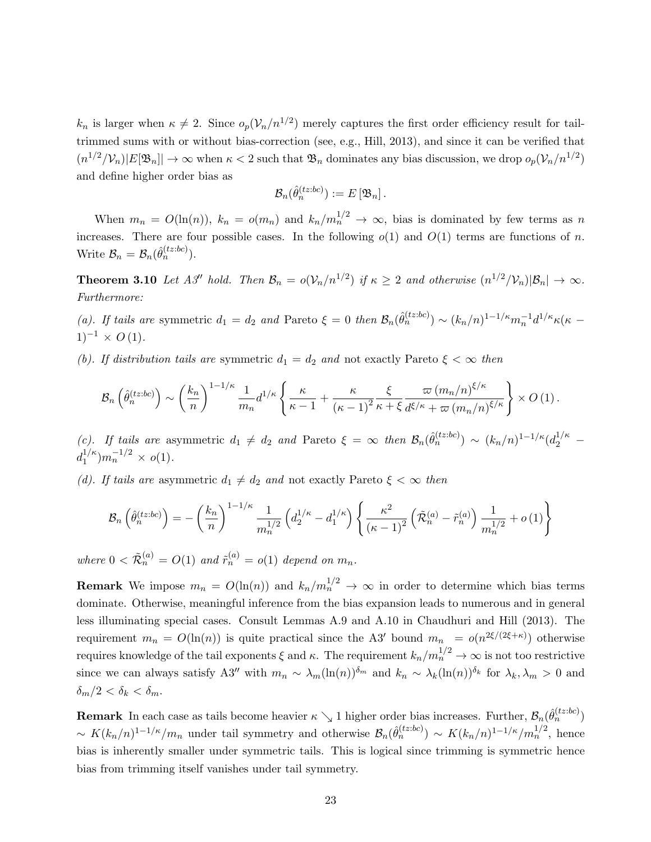$k_n$  is larger when  $\kappa \neq 2$ . Since  $o_p(\mathcal{V}_n/n^{1/2})$  merely captures the first order efficiency result for tailtrimmed sums with or without bias-correction (see, e.g., Hill, 2013), and since it can be verified that  $(n^{1/2}/\mathcal{V}_n)|E[\mathfrak{B}_n]| \to \infty$  when  $\kappa < 2$  such that  $\mathfrak{B}_n$  dominates any bias discussion, we drop  $o_p(\mathcal{V}_n/n^{1/2})$ and define higher order bias as

$$
\mathcal{B}_n(\hat{\theta}_n^{(tz:bc)}) := E[\mathfrak{B}_n].
$$

When  $m_n = O(\ln(n))$ ,  $k_n = o(m_n)$  and  $k_n/m_n^{1/2} \to \infty$ , bias is dominated by few terms as n increases. There are four possible cases. In the following  $o(1)$  and  $O(1)$  terms are functions of n. Write  $\mathcal{B}_n = \mathcal{B}_n(\hat{\theta}_n^{(tz:bc)})$ .

**Theorem 3.10** Let A3'' hold. Then  $\mathcal{B}_n = o(\mathcal{V}_n/n^{1/2})$  if  $\kappa \geq 2$  and otherwise  $(n^{1/2}/\mathcal{V}_n)|\mathcal{B}_n| \to \infty$ . Furthermore:

(a). If tails are symmetric  $d_1 = d_2$  and Pareto  $\xi = 0$  then  $\mathcal{B}_n(\hat{\theta}_n^{(tz:bc)}) \sim (k_n/n)^{1-1/\kappa} m_n^{-1} d^{1/\kappa} \kappa(\kappa 1)^{-1} \times O(1)$ .

(b). If distribution tails are symmetric  $d_1 = d_2$  and not exactly Pareto  $\xi < \infty$  then

$$
\mathcal{B}_{n}\left(\hat{\theta}_{n}^{(tz:bc)}\right) \sim \left(\frac{k_{n}}{n}\right)^{1-1/\kappa} \frac{1}{m_{n}} d^{1/\kappa} \left\{\frac{\kappa}{\kappa-1} + \frac{\kappa}{(\kappa-1)^{2}} \frac{\xi}{\kappa+\xi} \frac{\varpi (m_{n}/n)^{\xi/\kappa}}{d^{\xi/\kappa} + \varpi (m_{n}/n)^{\xi/\kappa}}\right\} \times O\left(1\right).
$$

(c). If tails are asymmetric  $d_1 \neq d_2$  and Pareto  $\xi = \infty$  then  $\mathcal{B}_n(\hat{\theta}_n^{(tz:bc)}) \sim (k_n/n)^{1-1/\kappa} (d_2^{1/\kappa}$  $d_1^{1/\kappa}$  $n_1^{1/\kappa}$ ) $m_n^{-1/2} \times o(1)$ .

(d). If tails are asymmetric  $d_1 \neq d_2$  and not exactly Pareto  $\xi < \infty$  then

$$
\mathcal{B}_{n}\left(\hat{\theta}_{n}^{(tz:bc)}\right) = -\left(\frac{k_{n}}{n}\right)^{1-1/\kappa} \frac{1}{m_{n}^{1/2}} \left(d_{2}^{1/\kappa} - d_{1}^{1/\kappa}\right) \left\{\frac{\kappa^{2}}{(\kappa-1)^{2}} \left(\tilde{\mathcal{R}}_{n}^{(a)} - \tilde{r}_{n}^{(a)}\right) \frac{1}{m_{n}^{1/2}} + o\left(1\right)\right\}
$$

where  $0 < \tilde{\mathcal{R}}_n^{(a)} = O(1)$  and  $\tilde{r}_n^{(a)} = o(1)$  depend on  $m_n$ .

**Remark** We impose  $m_n = O(\ln(n))$  and  $k_n/m_n^{1/2} \to \infty$  in order to determine which bias terms dominate. Otherwise, meaningful inference from the bias expansion leads to numerous and in general less illuminating special cases. Consult Lemmas A.9 and A.10 in Chaudhuri and Hill (2013). The requirement  $m_n = O(\ln(n))$  is quite practical since the A3' bound  $m_n = o(n^{2\xi/(2\xi+\kappa)})$  otherwise requires knowledge of the tail exponents  $\xi$  and  $\kappa$ . The requirement  $k_n/m_n^{1/2} \to \infty$  is not too restrictive since we can always satisfy A3<sup>n</sup> with  $m_n \sim \lambda_m(\ln(n))^{\delta_m}$  and  $k_n \sim \lambda_k(\ln(n))^{\delta_k}$  for  $\lambda_k, \lambda_m > 0$  and  $\delta_m/2 < \delta_k < \delta_m$ .

**Remark** In each case as tails become heavier  $\kappa \searrow 1$  higher order bias increases. Further,  $\mathcal{B}_n(\hat{\theta}_n^{(tz:bc)})$  $\sim K(k_n/n)^{1-1/\kappa}/m_n$  under tail symmetry and otherwise  $\mathcal{B}_n(\hat{\theta}_n^{(tz:bc)}) \sim K(k_n/n)^{1-1/\kappa}/m_n^{1/2}$ , hence bias is inherently smaller under symmetric tails. This is logical since trimming is symmetric hence bias from trimming itself vanishes under tail symmetry.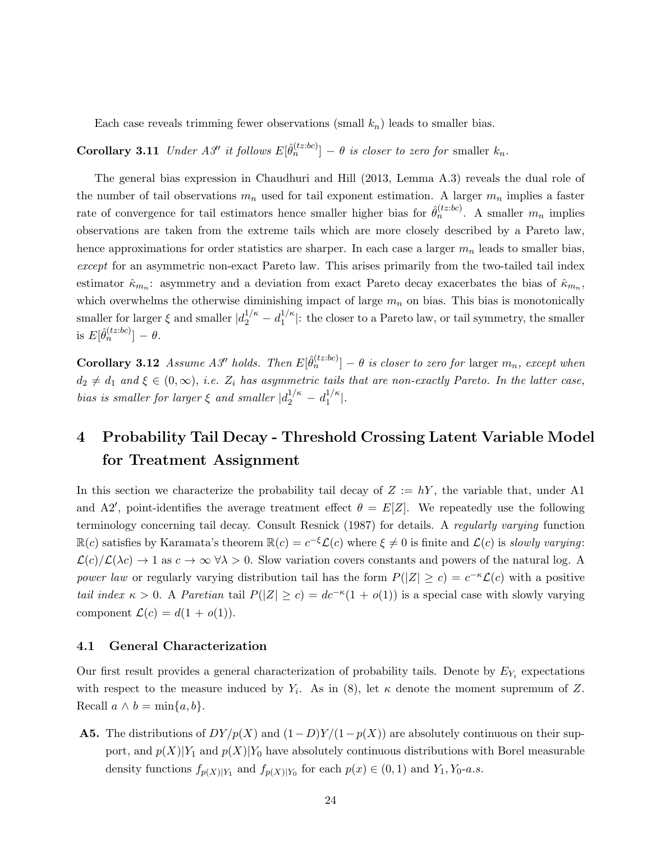Each case reveals trimming fewer observations (small  $k_n$ ) leads to smaller bias.

**Corollary 3.11** Under A3'' it follows  $E[\hat{\theta}_n^{(tz:bc)}] - \theta$  is closer to zero for smaller  $k_n$ .

The general bias expression in Chaudhuri and Hill (2013, Lemma A.3) reveals the dual role of the number of tail observations  $m_n$  used for tail exponent estimation. A larger  $m_n$  implies a faster rate of convergence for tail estimators hence smaller higher bias for  $\hat{\theta}_n^{(tz:bc)}$ . A smaller  $m_n$  implies observations are taken from the extreme tails which are more closely described by a Pareto law, hence approximations for order statistics are sharper. In each case a larger  $m_n$  leads to smaller bias, except for an asymmetric non-exact Pareto law. This arises primarily from the two-tailed tail index estimator  $\hat{\kappa}_{m_n}$ : asymmetry and a deviation from exact Pareto decay exacerbates the bias of  $\hat{\kappa}_{m_n}$ , which overwhelms the otherwise diminishing impact of large  $m_n$  on bias. This bias is monotonically smaller for larger  $\xi$  and smaller  $|d_2^{1/\kappa} - d_1^{1/\kappa}$  $1/k$ : the closer to a Pareto law, or tail symmetry, the smaller is  $E[\hat{\theta}_n^{(tz:bc)}] - \theta$ .

**Corollary 3.12** Assume A3<sup>*n*</sup> holds. Then  $E[\hat{\theta}_n^{(tz:bc)}] - \theta$  is closer to zero for larger  $m_n$ , except when  $d_2 \neq d_1$  and  $\xi \in (0,\infty)$ , i.e.  $Z_i$  has asymmetric tails that are non-exactly Pareto. In the latter case, bias is smaller for larger  $\xi$  and smaller  $|d_2^{1/\kappa} - d_1^{1/\kappa}|$  $\frac{1}{k}$ .

## 4 Probability Tail Decay - Threshold Crossing Latent Variable Model for Treatment Assignment

In this section we characterize the probability tail decay of  $Z := hY$ , the variable that, under A1 and A2', point-identifies the average treatment effect  $\theta = E[Z]$ . We repeatedly use the following terminology concerning tail decay. Consult Resnick (1987) for details. A regularly varying function  $\mathbb{R}(c)$  satisfies by Karamata's theorem  $\mathbb{R}(c) = c^{-\xi} \mathcal{L}(c)$  where  $\xi \neq 0$  is finite and  $\mathcal{L}(c)$  is slowly varying:  $\mathcal{L}(c)/\mathcal{L}(\lambda c) \to 1$  as  $c \to \infty$   $\forall \lambda > 0$ . Slow variation covers constants and powers of the natural log. A power law or regularly varying distribution tail has the form  $P(|Z| \ge c) = c^{-\kappa} \mathcal{L}(c)$  with a positive tail index  $\kappa > 0$ . A Paretian tail  $P(|Z| \ge c) = dc^{-\kappa}(1 + o(1))$  is a special case with slowly varying component  $\mathcal{L}(c) = d(1 + o(1)).$ 

#### 4.1 General Characterization

Our first result provides a general characterization of probability tails. Denote by  $E_{Y_i}$  expectations with respect to the measure induced by  $Y_i$ . As in (8), let  $\kappa$  denote the moment supremum of Z. Recall  $a \wedge b = \min\{a, b\}.$ 

**A5.** The distributions of  $DY/p(X)$  and  $(1-D)Y/(1-p(X))$  are absolutely continuous on their support, and  $p(X)|Y_1$  and  $p(X)|Y_0$  have absolutely continuous distributions with Borel measurable density functions  $f_{p(X)|Y_1}$  and  $f_{p(X)|Y_0}$  for each  $p(x) \in (0,1)$  and  $Y_1, Y_0$ -a.s.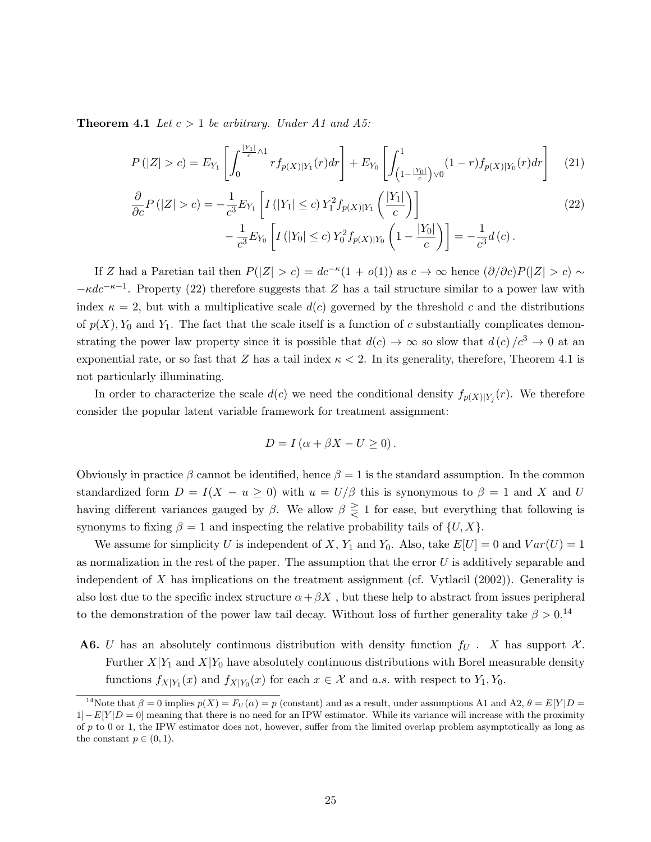**Theorem 4.1** Let  $c > 1$  be arbitrary. Under A1 and A5:

$$
P(|Z|>c) = E_{Y_1}\left[\int_0^{\frac{|Y_1|}{c}\wedge 1} r f_{p(X)|Y_1}(r) dr\right] + E_{Y_0}\left[\int_{\left(1-\frac{|Y_0|}{c}\right)\vee 0}^1 (1-r) f_{p(X)|Y_0}(r) dr\right] \tag{21}
$$

$$
\frac{\partial}{\partial c} P(|Z| > c) = -\frac{1}{c^3} E_{Y_1} \left[ I\left( |Y_1| \le c \right) Y_1^2 f_{p(X)|Y_1} \left( \frac{|Y_1|}{c} \right) \right] \n- \frac{1}{c^3} E_{Y_0} \left[ I\left( |Y_0| \le c \right) Y_0^2 f_{p(X)|Y_0} \left( 1 - \frac{|Y_0|}{c} \right) \right] = -\frac{1}{c^3} d(c).
$$
\n(22)

If Z had a Paretian tail then  $P(|Z| > c) = dc^{-\kappa}(1 + o(1))$  as  $c \to \infty$  hence  $(\partial/\partial c)P(|Z| > c) \sim$  $-\kappa dc^{-\kappa-1}$ . Property (22) therefore suggests that Z has a tail structure similar to a power law with index  $\kappa = 2$ , but with a multiplicative scale  $d(c)$  governed by the threshold c and the distributions of  $p(X)$ ,  $Y_0$  and  $Y_1$ . The fact that the scale itself is a function of c substantially complicates demonstrating the power law property since it is possible that  $d(c) \rightarrow \infty$  so slow that  $d(c)/c^3 \rightarrow 0$  at an exponential rate, or so fast that Z has a tail index  $\kappa < 2$ . In its generality, therefore, Theorem 4.1 is not particularly illuminating.

In order to characterize the scale  $d(c)$  we need the conditional density  $f_{p(X)|Y_j}(r)$ . We therefore consider the popular latent variable framework for treatment assignment:

$$
D = I(\alpha + \beta X - U \ge 0).
$$

Obviously in practice  $\beta$  cannot be identified, hence  $\beta = 1$  is the standard assumption. In the common standardized form  $D = I(X - u \ge 0)$  with  $u = U/\beta$  this is synonymous to  $\beta = 1$  and X and U having different variances gauged by  $\beta$ . We allow  $\beta \geq 1$  for ease, but everything that following is synonyms to fixing  $\beta = 1$  and inspecting the relative probability tails of  $\{U, X\}$ .

We assume for simplicity U is independent of X,  $Y_1$  and  $Y_0$ . Also, take  $E[U] = 0$  and  $Var(U) = 1$ as normalization in the rest of the paper. The assumption that the error  $U$  is additively separable and independent of X has implications on the treatment assignment (cf. Vytlacil  $(2002)$ ). Generality is also lost due to the specific index structure  $\alpha + \beta X$ , but these help to abstract from issues peripheral to the demonstration of the power law tail decay. Without loss of further generality take  $\beta > 0$ .<sup>14</sup>

**A6.** U has an absolutely continuous distribution with density function  $f_U$ . X has support X. Further  $X|Y_1$  and  $X|Y_0$  have absolutely continuous distributions with Borel measurable density functions  $f_{X|Y_1}(x)$  and  $f_{X|Y_0}(x)$  for each  $x \in \mathcal{X}$  and a.s. with respect to  $Y_1, Y_0$ .

<sup>&</sup>lt;sup>14</sup>Note that  $\beta = 0$  implies  $p(X) = F_U(\alpha) = p$  (constant) and as a result, under assumptions A1 and A2,  $\theta = E[Y|D =$  $1|-E[Y|D=0]$  meaning that there is no need for an IPW estimator. While its variance will increase with the proximity of p to 0 or 1, the IPW estimator does not, however, suffer from the limited overlap problem asymptotically as long as the constant  $p \in (0, 1)$ .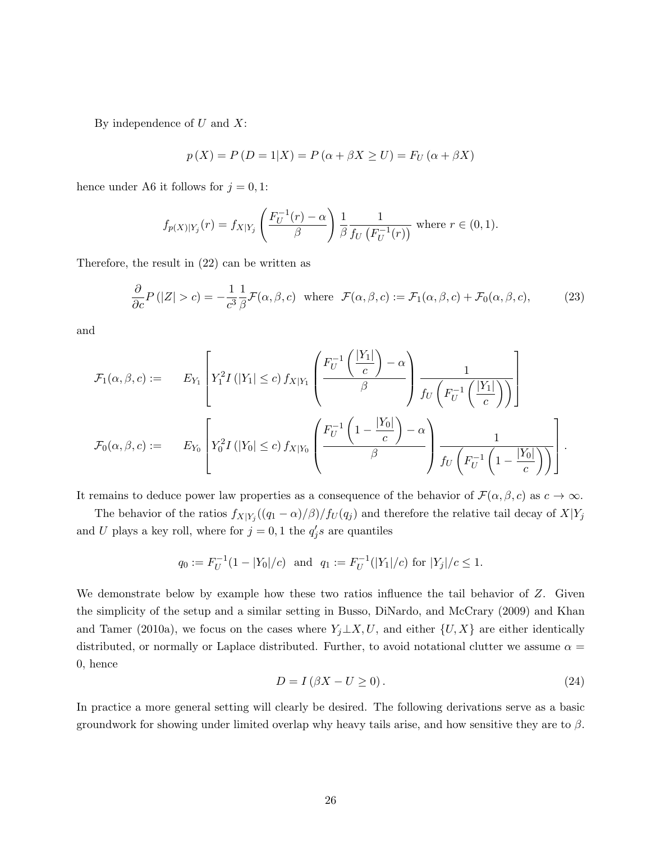By independence of  $U$  and  $X$ :

$$
p(X) = P(D = 1|X) = P(\alpha + \beta X \ge U) = F_U(\alpha + \beta X)
$$

hence under A6 it follows for  $j = 0, 1$ :

$$
f_{p(X)|Y_j}(r) = f_{X|Y_j}\left(\frac{F_U^{-1}(r) - \alpha}{\beta}\right) \frac{1}{\beta} \frac{1}{f_U\left(F_U^{-1}(r)\right)}
$$
 where  $r \in (0, 1)$ .

Therefore, the result in (22) can be written as

$$
\frac{\partial}{\partial c}P(|Z|>c) = -\frac{1}{c^3}\frac{1}{\beta}\mathcal{F}(\alpha,\beta,c) \text{ where } \mathcal{F}(\alpha,\beta,c) := \mathcal{F}_1(\alpha,\beta,c) + \mathcal{F}_0(\alpha,\beta,c),\tag{23}
$$

and

$$
\mathcal{F}_{1}(\alpha, \beta, c) := \qquad E_{Y_{1}} \left[ Y_{1}^{2} I\left( |Y_{1}| \leq c \right) f_{X|Y_{1}} \left( \frac{F_{U}^{-1} \left( \frac{|Y_{1}|}{c} \right) - \alpha}{\beta} \right) \frac{1}{f_{U} \left( F_{U}^{-1} \left( \frac{|Y_{1}|}{c} \right) \right)} \right]
$$
\n
$$
\mathcal{F}_{0}(\alpha, \beta, c) := \qquad E_{Y_{0}} \left[ Y_{0}^{2} I\left( |Y_{0}| \leq c \right) f_{X|Y_{0}} \left( \frac{F_{U}^{-1} \left( 1 - \frac{|Y_{0}|}{c} \right) - \alpha}{\beta} \right) \frac{1}{f_{U} \left( F_{U}^{-1} \left( 1 - \frac{|Y_{0}|}{c} \right) \right)} \right].
$$

It remains to deduce power law properties as a consequence of the behavior of  $\mathcal{F}(\alpha,\beta,c)$  as  $c \to \infty$ .

The behavior of the ratios  $f_{X|Y_j}((q_1 - \alpha)/\beta)/f_U(q_j)$  and therefore the relative tail decay of  $X|Y_j$ and U plays a key roll, where for  $j = 0, 1$  the  $q'_j s$  are quantiles

$$
q_0 := F_U^{-1}(1 - |Y_0|/c)
$$
 and  $q_1 := F_U^{-1}(|Y_1|/c)$  for  $|Y_j|/c \le 1$ .

We demonstrate below by example how these two ratios influence the tail behavior of Z. Given the simplicity of the setup and a similar setting in Busso, DiNardo, and McCrary (2009) and Khan and Tamer (2010a), we focus on the cases where  $Y_j \perp X, U$ , and either  $\{U, X\}$  are either identically distributed, or normally or Laplace distributed. Further, to avoid notational clutter we assume  $\alpha =$ 0, hence

$$
D = I\left(\beta X - U \ge 0\right). \tag{24}
$$

In practice a more general setting will clearly be desired. The following derivations serve as a basic groundwork for showing under limited overlap why heavy tails arise, and how sensitive they are to  $\beta$ .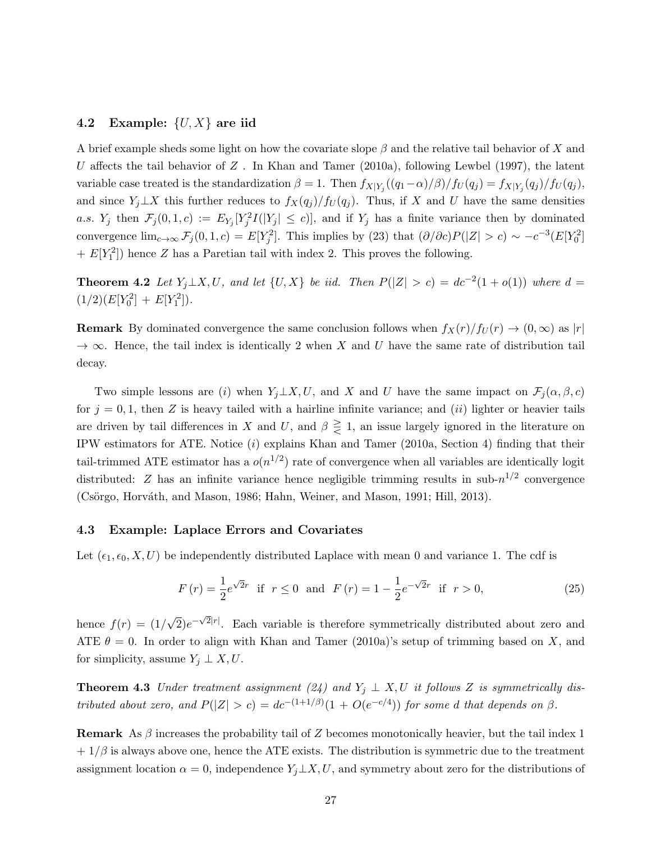#### 4.2 Example:  $\{U, X\}$  are iid

A brief example sheds some light on how the covariate slope  $\beta$  and the relative tail behavior of X and U affects the tail behavior of  $Z$ . In Khan and Tamer (2010a), following Lewbel (1997), the latent variable case treated is the standardization  $\beta = 1$ . Then  $f_{X|Y_j}((q_1 - \alpha)/\beta)/f_U(q_j) = f_{X|Y_j}(q_j)/f_U(q_j)$ , and since  $Y_j \perp X$  this further reduces to  $f_X(q_j)/f_U(q_j)$ . Thus, if X and U have the same densities a.s.  $Y_j$  then  $\mathcal{F}_j(0,1,c) := E_{Y_j}[Y_j^2I(|Y_j| \leq c)]$ , and if  $Y_j$  has a finite variance then by dominated convergence  $\lim_{c\to\infty} \mathcal{F}_j(0,1,c) = E[Y_j^2]$ . This implies by (23) that  $(\partial/\partial c)P(|Z| > c) \sim -c^{-3}(E[Y_0^2]$  $+ E[Y_1^2]$  hence Z has a Paretian tail with index 2. This proves the following.

**Theorem 4.2** Let  $Y_j \perp X, U$ , and let  $\{U, X\}$  be iid. Then  $P(|Z| > c) = dc^{-2}(1 + o(1))$  where  $d =$  $(1/2)(E[Y_0^2] + E[Y_1^2]).$ 

**Remark** By dominated convergence the same conclusion follows when  $f_X(r)/f_U(r) \to (0,\infty)$  as  $|r|$  $\rightarrow \infty$ . Hence, the tail index is identically 2 when X and U have the same rate of distribution tail decay.

Two simple lessons are (i) when  $Y_j \perp X, U$ , and X and U have the same impact on  $\mathcal{F}_j(\alpha, \beta, c)$ for  $j = 0, 1$ , then Z is heavy tailed with a hairline infinite variance; and *(ii)* lighter or heavier tails are driven by tail differences in X and U, and  $\beta \geq 1$ , an issue largely ignored in the literature on IPW estimators for ATE. Notice (i) explains Khan and Tamer (2010a, Section 4) finding that their tail-trimmed ATE estimator has a  $o(n^{1/2})$  rate of convergence when all variables are identically logit distributed: Z has an infinite variance hence negligible trimming results in sub- $n^{1/2}$  convergence  $(Csörgo, Horváth, and Mason, 1986; Hahn, Weiner, and Mason, 1991; Hill, 2013).$ 

#### 4.3 Example: Laplace Errors and Covariates

Let  $(\epsilon_1, \epsilon_0, X, U)$  be independently distributed Laplace with mean 0 and variance 1. The cdf is

$$
F(r) = \frac{1}{2}e^{\sqrt{2}r} \text{ if } r \le 0 \text{ and } F(r) = 1 - \frac{1}{2}e^{-\sqrt{2}r} \text{ if } r > 0,
$$
\n(25)

hence  $f(r) = (1/$ √  $\sqrt{2}e^{-\sqrt{2}|r|}$ . Each variable is therefore symmetrically distributed about zero and ATE  $\theta = 0$ . In order to align with Khan and Tamer (2010a)'s setup of trimming based on X, and for simplicity, assume  $Y_j \perp X, U$ .

**Theorem 4.3** Under treatment assignment (24) and  $Y_j \perp X, U$  it follows Z is symmetrically distributed about zero, and  $P(|Z| > c) = dc^{-(1+1/\beta)}(1 + O(e^{-c/4}))$  for some d that depends on  $\beta$ .

**Remark** As  $\beta$  increases the probability tail of Z becomes monotonically heavier, but the tail index 1  $+1/\beta$  is always above one, hence the ATE exists. The distribution is symmetric due to the treatment assignment location  $\alpha = 0$ , independence  $Y_j \perp X, U$ , and symmetry about zero for the distributions of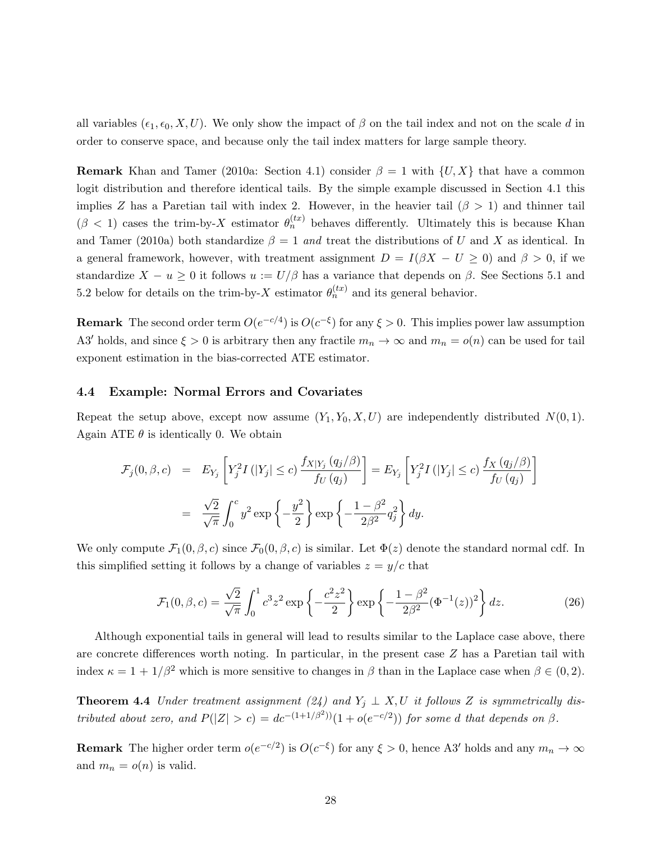all variables  $(\epsilon_1, \epsilon_0, X, U)$ . We only show the impact of  $\beta$  on the tail index and not on the scale d in order to conserve space, and because only the tail index matters for large sample theory.

**Remark** Khan and Tamer (2010a: Section 4.1) consider  $\beta = 1$  with  $\{U, X\}$  that have a common logit distribution and therefore identical tails. By the simple example discussed in Section 4.1 this implies Z has a Paretian tail with index 2. However, in the heavier tail  $(\beta > 1)$  and thinner tail  $(\beta < 1)$  cases the trim-by-X estimator  $\theta_n^{(tx)}$  behaves differently. Ultimately this is because Khan and Tamer (2010a) both standardize  $\beta = 1$  and treat the distributions of U and X as identical. In a general framework, however, with treatment assignment  $D = I(\beta X - U \ge 0)$  and  $\beta > 0$ , if we standardize  $X - u \geq 0$  it follows  $u := U/\beta$  has a variance that depends on  $\beta$ . See Sections 5.1 and 5.2 below for details on the trim-by-X estimator  $\theta_n^{(tx)}$  and its general behavior.

**Remark** The second order term  $O(e^{-c/4})$  is  $O(c^{-\xi})$  for any  $\xi > 0$ . This implies power law assumption A3' holds, and since  $\xi > 0$  is arbitrary then any fractile  $m_n \to \infty$  and  $m_n = o(n)$  can be used for tail exponent estimation in the bias-corrected ATE estimator.

#### 4.4 Example: Normal Errors and Covariates

Repeat the setup above, except now assume  $(Y_1, Y_0, X, U)$  are independently distributed  $N(0, 1)$ . Again ATE  $\theta$  is identically 0. We obtain

$$
\mathcal{F}_j(0,\beta,c) = E_{Y_j} \left[ Y_j^2 I\left( |Y_j| \le c \right) \frac{f_{X|Y_j}(q_j/\beta)}{f_U(q_j)} \right] = E_{Y_j} \left[ Y_j^2 I\left( |Y_j| \le c \right) \frac{f_X(q_j/\beta)}{f_U(q_j)} \right]
$$

$$
= \frac{\sqrt{2}}{\sqrt{\pi}} \int_0^c y^2 \exp\left\{-\frac{y^2}{2}\right\} \exp\left\{-\frac{1-\beta^2}{2\beta^2}q_j^2\right\} dy.
$$

We only compute  $\mathcal{F}_1(0,\beta,c)$  since  $\mathcal{F}_0(0,\beta,c)$  is similar. Let  $\Phi(z)$  denote the standard normal cdf. In this simplified setting it follows by a change of variables  $z = y/c$  that

$$
\mathcal{F}_1(0,\beta,c) = \frac{\sqrt{2}}{\sqrt{\pi}} \int_0^1 c^3 z^2 \exp\left\{-\frac{c^2 z^2}{2}\right\} \exp\left\{-\frac{1-\beta^2}{2\beta^2} (\Phi^{-1}(z))^2\right\} dz.
$$
 (26)

Although exponential tails in general will lead to results similar to the Laplace case above, there are concrete differences worth noting. In particular, in the present case Z has a Paretian tail with index  $\kappa = 1 + 1/\beta^2$  which is more sensitive to changes in  $\beta$  than in the Laplace case when  $\beta \in (0, 2)$ .

**Theorem 4.4** Under treatment assignment (24) and  $Y_j \perp X, U$  it follows Z is symmetrically distributed about zero, and  $P(|Z| > c) = dc^{-(1+1/\beta^2)/(1 + o(e^{-c/2}))}$  for some d that depends on  $\beta$ .

**Remark** The higher order term  $o(e^{-c/2})$  is  $O(c^{-\xi})$  for any  $\xi > 0$ , hence A3' holds and any  $m_n \to \infty$ and  $m_n = o(n)$  is valid.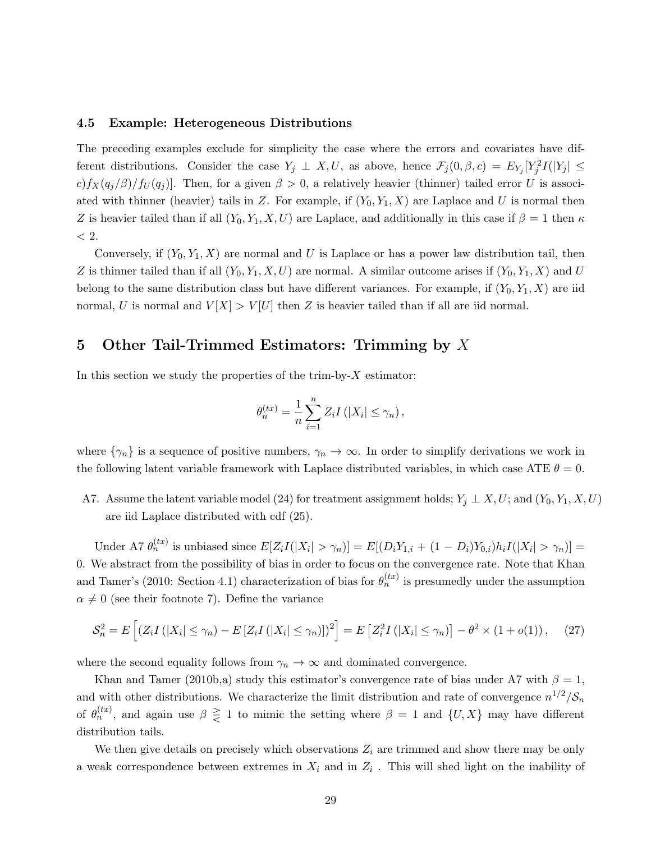#### 4.5 Example: Heterogeneous Distributions

The preceding examples exclude for simplicity the case where the errors and covariates have different distributions. Consider the case  $Y_j \perp X, U$ , as above, hence  $\mathcal{F}_j(0, \beta, c) = E_{Y_j}[Y_j^2 I(|Y_j| \leq$  $c) f_X(q_i/\beta)/f_U(q_i)$ . Then, for a given  $\beta > 0$ , a relatively heavier (thinner) tailed error U is associated with thinner (heavier) tails in Z. For example, if  $(Y_0, Y_1, X)$  are Laplace and U is normal then Z is heavier tailed than if all  $(Y_0, Y_1, X, U)$  are Laplace, and additionally in this case if  $\beta = 1$  then  $\kappa$  $<$  2.

Conversely, if  $(Y_0, Y_1, X)$  are normal and U is Laplace or has a power law distribution tail, then Z is thinner tailed than if all  $(Y_0, Y_1, X, U)$  are normal. A similar outcome arises if  $(Y_0, Y_1, X)$  and U belong to the same distribution class but have different variances. For example, if  $(Y_0, Y_1, X)$  are iid normal, U is normal and  $V[X] > V[U]$  then Z is heavier tailed than if all are iid normal.

## 5 Other Tail-Trimmed Estimators: Trimming by X

In this section we study the properties of the trim-by- $X$  estimator:

$$
\theta_n^{(tx)} = \frac{1}{n} \sum_{i=1}^n Z_i I(|X_i| \le \gamma_n),
$$

where  $\{\gamma_n\}$  is a sequence of positive numbers,  $\gamma_n \to \infty$ . In order to simplify derivations we work in the following latent variable framework with Laplace distributed variables, in which case ATE  $\theta = 0$ .

A7. Assume the latent variable model (24) for treatment assignment holds;  $Y_j \perp X, U$ ; and  $(Y_0, Y_1, X, U)$ are iid Laplace distributed with cdf (25).

Under A7  $\theta_n^{(tx)}$  is unbiased since  $E[Z_i I(|X_i| > \gamma_n)] = E[(D_i Y_{1,i} + (1 - D_i) Y_{0,i}) h_i I(|X_i| > \gamma_n)] =$ 0. We abstract from the possibility of bias in order to focus on the convergence rate. Note that Khan and Tamer's (2010: Section 4.1) characterization of bias for  $\theta_n^{(tx)}$  is presumedly under the assumption  $\alpha \neq 0$  (see their footnote 7). Define the variance

$$
\mathcal{S}_n^2 = E\left[\left(Z_i I\left(|X_i| \le \gamma_n\right) - E\left[Z_i I\left(|X_i| \le \gamma_n\right)\right]\right)^2\right] = E\left[Z_i^2 I\left(|X_i| \le \gamma_n\right)\right] - \theta^2 \times \left(1 + o(1)\right),\tag{27}
$$

where the second equality follows from  $\gamma_n \to \infty$  and dominated convergence.

Khan and Tamer (2010b,a) study this estimator's convergence rate of bias under A7 with  $\beta = 1$ , and with other distributions. We characterize the limit distribution and rate of convergence  $n^{1/2}/S_n$ of  $\theta_n^{(tx)}$ , and again use  $\beta \geq 1$  to mimic the setting where  $\beta = 1$  and  $\{U, X\}$  may have different distribution tails.

We then give details on precisely which observations  $Z_i$  are trimmed and show there may be only a weak correspondence between extremes in  $X_i$  and in  $Z_i$ . This will shed light on the inability of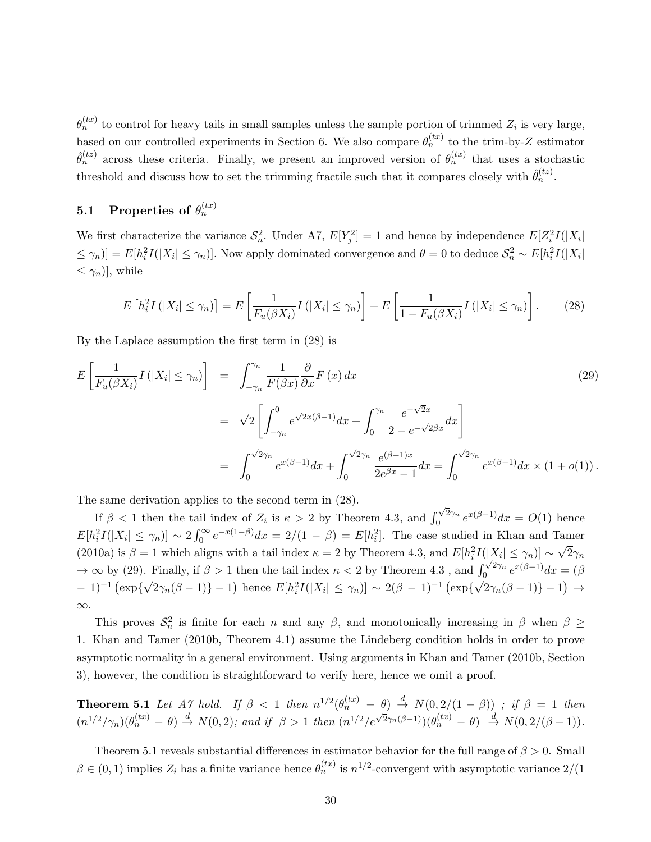$\theta_n^{(tx)}$  to control for heavy tails in small samples unless the sample portion of trimmed  $Z_i$  is very large, based on our controlled experiments in Section 6. We also compare  $\theta_n^{(tx)}$  to the trim-by-Z estimator  $\hat{\theta}_n^{(tz)}$  across these criteria. Finally, we present an improved version of  $\theta_n^{(tx)}$  that uses a stochastic threshold and discuss how to set the trimming fractile such that it compares closely with  $\hat{\theta}_n^{(tz)}$ .

## $5.1$  Properties of  $\theta_n^{(tx)}$

We first characterize the variance  $S_n^2$ . Under A7,  $E[Y_j^2] = 1$  and hence by independence  $E[Z_i^2 I(|X_i|)]$  $\leq \gamma_n$ ] =  $E[h_i^2 I(|X_i| \leq \gamma_n)]$ . Now apply dominated convergence and  $\theta = 0$  to deduce  $S_n^2 \sim E[h_i^2 I(|X_i|$  $\leq \gamma_n$ ], while

$$
E\left[h_i^2 I\left(|X_i| \leq \gamma_n\right)\right] = E\left[\frac{1}{F_u(\beta X_i)} I\left(|X_i| \leq \gamma_n\right)\right] + E\left[\frac{1}{1 - F_u(\beta X_i)} I\left(|X_i| \leq \gamma_n\right)\right].\tag{28}
$$

By the Laplace assumption the first term in (28) is

$$
E\left[\frac{1}{F_u(\beta X_i)}I(|X_i| \le \gamma_n)\right] = \int_{-\gamma_n}^{\gamma_n} \frac{1}{F(\beta x)} \frac{\partial}{\partial x} F(x) dx
$$
\n
$$
= \sqrt{2} \left[ \int_{-\gamma_n}^0 e^{\sqrt{2}x(\beta - 1)} dx + \int_0^{\gamma_n} \frac{e^{-\sqrt{2}x}}{2 - e^{-\sqrt{2}\beta x}} dx \right]
$$
\n
$$
= \int_0^{\sqrt{2}\gamma_n} e^{x(\beta - 1)} dx + \int_0^{\sqrt{2}\gamma_n} \frac{e^{(\beta - 1)x}}{2e^{\beta x} - 1} dx = \int_0^{\sqrt{2}\gamma_n} e^{x(\beta - 1)} dx \times (1 + o(1)).
$$
\n(29)

The same derivation applies to the second term in (28).

If  $\beta$  < 1 then the tail index of  $Z_i$  is  $\kappa > 2$  by Theorem 4.3, and  $\int_0^{\sqrt{2}\gamma_n}$  $e^{x(2\gamma_n} e^{x(\beta-1)}dx = O(1)$  hence  $E[h_i^2I(|X_i| \leq \gamma_n)] \sim 2\int_0^\infty e^{-x(1-\beta)}dx = 2/(1-\beta) = E[h_i^2]$ . The case studied in Khan and Tamer (2010a) is  $\beta = 1$  which aligns with a tail index  $\kappa = 2$  by Theorem 4.3, and  $E[h_i^2 I(|X_i| \leq \gamma_n)] \sim$ √  $2\gamma_n$  $\rightarrow \infty$  by (29). Finally, if  $\beta > 1$  then the tail index  $\kappa < 2$  by Theorem 4.3, and  $\int_0^{\sqrt{2}\gamma_n}$ Finally, if  $\beta > 1$  then the tail index  $\kappa < 2$  by Theorem 4.3, and  $\int_0^{\sqrt{2\gamma_n}} e^{x(\beta-1)} dx = (\beta - 1)$ .  $-1$ <sup>-1</sup> (exp{ $\sqrt{2}\gamma_n(\beta-1)$ } -1) hence  $E[h_i^2I(|X_i| \leq \gamma_n)] \sim 2(\beta-1)^{-1}$  (exp{ $\sqrt{2}\gamma_n(\beta-1)$ } -1) → ∞.

This proves  $S_n^2$  is finite for each n and any  $\beta$ , and monotonically increasing in  $\beta$  when  $\beta \geq$ 1. Khan and Tamer (2010b, Theorem 4.1) assume the Lindeberg condition holds in order to prove asymptotic normality in a general environment. Using arguments in Khan and Tamer (2010b, Section 3), however, the condition is straightforward to verify here, hence we omit a proof.

**Theorem 5.1** Let A7 hold. If  $\beta < 1$  then  $n^{1/2}(\theta_n^{(tx)} - \theta) \stackrel{d}{\rightarrow} N(0, 2/(1 - \beta))$ ; if  $\beta = 1$  then  $(n^{1/2}/\gamma_n)(\theta_n^{(tx)} - \theta) \stackrel{d}{\rightarrow} N(0, 2)$ ; and if  $\beta > 1$  then  $(n^{1/2}/e^{\sqrt{2}\gamma_n(\beta-1)})(\theta_n^{(tx)} - \theta) \stackrel{d}{\rightarrow} N(0, 2/(\beta-1))$ .

Theorem 5.1 reveals substantial differences in estimator behavior for the full range of  $\beta > 0$ . Small  $\beta \in (0,1)$  implies  $Z_i$  has a finite variance hence  $\theta_n^{(tx)}$  is  $n^{1/2}$ -convergent with asymptotic variance  $2/(1)$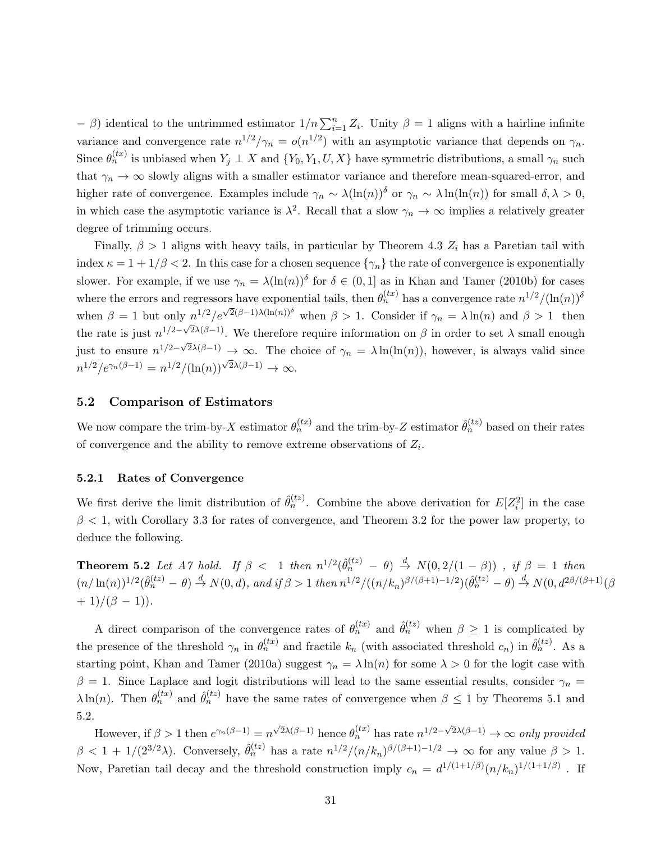$-$  β) identical to the untrimmed estimator  $1/n \sum_{i=1}^{n} Z_i$ . Unity  $\beta = 1$  aligns with a hairline infinite variance and convergence rate  $n^{1/2}/\gamma_n = o(n^{1/2})$  with an asymptotic variance that depends on  $\gamma_n$ . Since  $\theta_n^{(tx)}$  is unbiased when  $Y_j \perp X$  and  $\{Y_0, Y_1, U, X\}$  have symmetric distributions, a small  $\gamma_n$  such that  $\gamma_n \to \infty$  slowly aligns with a smaller estimator variance and therefore mean-squared-error, and higher rate of convergence. Examples include  $\gamma_n \sim \lambda (\ln(n))^{\delta}$  or  $\gamma_n \sim \lambda \ln(\ln(n))$  for small  $\delta, \lambda > 0$ , in which case the asymptotic variance is  $\lambda^2$ . Recall that a slow  $\gamma_n \to \infty$  implies a relatively greater degree of trimming occurs.

Finally,  $\beta > 1$  aligns with heavy tails, in particular by Theorem 4.3  $Z_i$  has a Paretian tail with index  $\kappa = 1 + 1/\beta < 2$ . In this case for a chosen sequence  $\{\gamma_n\}$  the rate of convergence is exponentially slower. For example, if we use  $\gamma_n = \lambda(\ln(n))^{\delta}$  for  $\delta \in (0,1]$  as in Khan and Tamer (2010b) for cases where the errors and regressors have exponential tails, then  $\theta_n^{(tx)}$  has a convergence rate  $n^{1/2}/(\ln(n))^{\delta}$ when  $\beta = 1$  but only  $n^{1/2}/e^{\sqrt{2}(\beta-1)\lambda(\ln(n))^\delta}$  when  $\beta > 1$ . Consider if  $\gamma_n = \lambda \ln(n)$  and  $\beta > 1$  then the rate is just  $n^{1/2-\sqrt{2}\lambda(\beta-1)}$ . We therefore require information on  $\beta$  in order to set  $\lambda$  small enough just to ensure  $n^{1/2-\sqrt{2}\lambda(\beta-1)} \to \infty$ . The choice of  $\gamma_n = \lambda \ln(\ln(n))$ , however, is always valid since  $n^{1/2}/e^{\gamma_n(\beta-1)} = n^{1/2}/(\ln(n))^{\sqrt{2\lambda(\beta-1)}} \to \infty.$ 

#### 5.2 Comparison of Estimators

We now compare the trim-by-X estimator  $\theta_n^{(tx)}$  and the trim-by-Z estimator  $\hat{\theta}_n^{(tz)}$  based on their rates of convergence and the ability to remove extreme observations of  $Z_i$ .

#### 5.2.1 Rates of Convergence

We first derive the limit distribution of  $\hat{\theta}_n^{(tz)}$ . Combine the above derivation for  $E[Z_i^2]$  in the case  $\beta$  < 1, with Corollary 3.3 for rates of convergence, and Theorem 3.2 for the power law property, to deduce the following.

**Theorem 5.2** Let A7 hold. If  $\beta < 1$  then  $n^{1/2}(\hat{\theta}_n^{(tz)} - \theta) \stackrel{d}{\rightarrow} N(0, 2/(1 - \beta))$ , if  $\beta = 1$  then  $(n/\ln(n))^{1/2}(\hat{\theta}_n^{(tz)} - \theta) \stackrel{d}{\rightarrow} N(0, d)$ , and if  $\beta > 1$  then  $n^{1/2}/((n/k_n)^{\beta/(\beta+1)-1/2})(\hat{\theta}_n^{(tz)} - \theta) \stackrel{d}{\rightarrow} N(0, d^{2\beta/(\beta+1)}(\beta$  $+ 1)/(\beta - 1)$ .

A direct comparison of the convergence rates of  $\theta_n^{(tx)}$  and  $\hat{\theta}_n^{(tz)}$  when  $\beta \geq 1$  is complicated by the presence of the threshold  $\gamma_n$  in  $\theta_n^{(tx)}$  and fractile  $k_n$  (with associated threshold  $c_n$ ) in  $\hat{\theta}_n^{(tz)}$ . As a starting point, Khan and Tamer (2010a) suggest  $\gamma_n = \lambda \ln(n)$  for some  $\lambda > 0$  for the logit case with  $β = 1$ . Since Laplace and logit distributions will lead to the same essential results, consider  $γ_n =$  $\lambda \ln(n)$ . Then  $\theta_n^{(tx)}$  and  $\hat{\theta}_n^{(tz)}$  have the same rates of convergence when  $\beta \leq 1$  by Theorems 5.1 and 5.2.

However, if  $\beta > 1$  then  $e^{\gamma_n(\beta-1)} = n^{\sqrt{2}\lambda(\beta-1)}$  hence  $\theta_n^{(tx)}$  has rate  $n^{1/2-\sqrt{2}\lambda(\beta-1)} \to \infty$  only provided  $\beta < 1 + 1/(2^{3/2}\lambda)$ . Conversely,  $\hat{\theta}_n^{(tz)}$  has a rate  $n^{1/2}/(n/k_n)^{\beta/(\beta+1)-1/2} \to \infty$  for any value  $\beta > 1$ . Now, Paretian tail decay and the threshold construction imply  $c_n = d^{1/(1+1/\beta)}(n/k_n)^{1/(1+1/\beta)}$ . If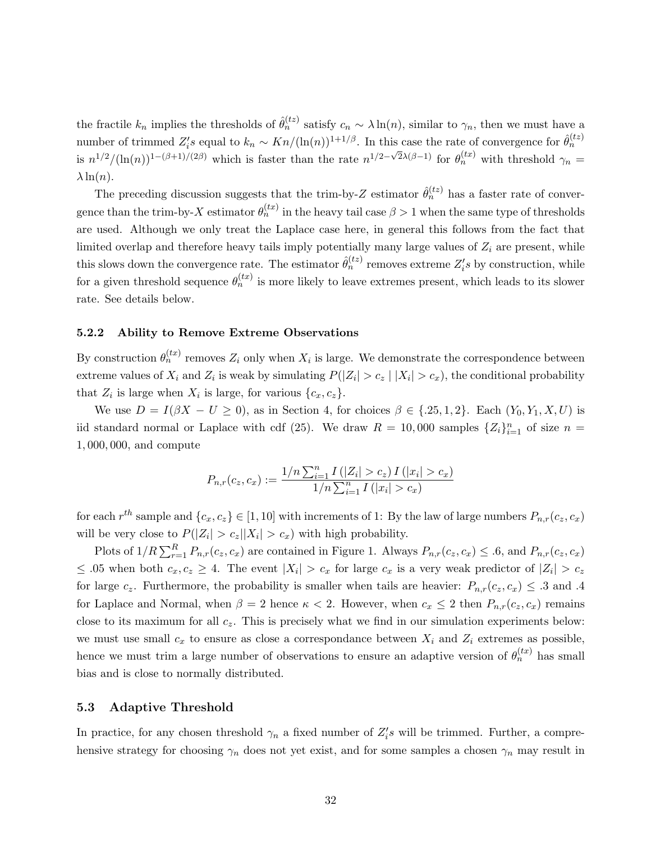the fractile  $k_n$  implies the thresholds of  $\hat{\theta}_n^{(tz)}$  satisfy  $c_n \sim \lambda \ln(n)$ , similar to  $\gamma_n$ , then we must have a number of trimmed  $Z_i$ 's equal to  $k_n \sim Kn/(\ln(n))^{1+1/\beta}$ . In this case the rate of convergence for  $\hat{\theta}_n^{(tz)}$ is  $n^{1/2}/(\ln(n))^{1-(\beta+1)/(2\beta)}$  which is faster than the rate  $n^{1/2-\sqrt{2}\lambda(\beta-1)}$  for  $\theta_n^{(tx)}$  with threshold  $\gamma_n =$  $\lambda \ln(n)$ .

The preceding discussion suggests that the trim-by-Z estimator  $\hat{\theta}_n^{(tz)}$  has a faster rate of convergence than the trim-by-X estimator  $\theta_n^{(tx)}$  in the heavy tail case  $\beta > 1$  when the same type of thresholds are used. Although we only treat the Laplace case here, in general this follows from the fact that limited overlap and therefore heavy tails imply potentially many large values of  $Z_i$  are present, while this slows down the convergence rate. The estimator  $\hat{\theta}_n^{(tz)}$  removes extreme  $Z_i$ 's by construction, while for a given threshold sequence  $\theta_n^{(tx)}$  is more likely to leave extremes present, which leads to its slower rate. See details below.

#### 5.2.2 Ability to Remove Extreme Observations

By construction  $\theta_n^{(tx)}$  removes  $Z_i$  only when  $X_i$  is large. We demonstrate the correspondence between extreme values of  $X_i$  and  $Z_i$  is weak by simulating  $P(|Z_i| > c_z | |X_i| > c_x)$ , the conditional probability that  $Z_i$  is large when  $X_i$  is large, for various  $\{c_x, c_z\}$ .

We use  $D = I(\beta X - U \ge 0)$ , as in Section 4, for choices  $\beta \in \{.25, 1, 2\}$ . Each  $(Y_0, Y_1, X, U)$  is iid standard normal or Laplace with cdf (25). We draw  $R = 10,000$  samples  $\{Z_i\}_{i=1}^n$  of size  $n =$ 1, 000, 000, and compute

$$
P_{n,r}(c_z, c_x) := \frac{1/n \sum_{i=1}^n I(|Z_i| > c_z) I(|x_i| > c_x)}{1/n \sum_{i=1}^n I(|x_i| > c_x)}
$$

for each  $r^{th}$  sample and  $\{c_x, c_z\} \in [1, 10]$  with increments of 1: By the law of large numbers  $P_{n,r}(c_z, c_x)$ will be very close to  $P(|Z_i| > c_z ||X_i| > c_x)$  with high probability.

Plots of  $1/R \sum_{r=1}^{R} P_{n,r}(c_z, c_x)$  are contained in Figure 1. Always  $P_{n,r}(c_z, c_x) \leq .6$ , and  $P_{n,r}(c_z, c_x)$  $\leq$  0.5 when both  $c_x, c_z \geq 4$ . The event  $|X_i| > c_x$  for large  $c_x$  is a very weak predictor of  $|Z_i| > c_z$ for large  $c_z$ . Furthermore, the probability is smaller when tails are heavier:  $P_{n,r}(c_z, c_x) \leq .3$  and .4 for Laplace and Normal, when  $\beta = 2$  hence  $\kappa < 2$ . However, when  $c_x \leq 2$  then  $P_{n,r}(c_z, c_x)$  remains close to its maximum for all  $c_z$ . This is precisely what we find in our simulation experiments below: we must use small  $c_x$  to ensure as close a correspondance between  $X_i$  and  $Z_i$  extremes as possible, hence we must trim a large number of observations to ensure an adaptive version of  $\theta_n^{(tx)}$  has small bias and is close to normally distributed.

#### 5.3 Adaptive Threshold

In practice, for any chosen threshold  $\gamma_n$  a fixed number of  $Z_i$ 's will be trimmed. Further, a comprehensive strategy for choosing  $\gamma_n$  does not yet exist, and for some samples a chosen  $\gamma_n$  may result in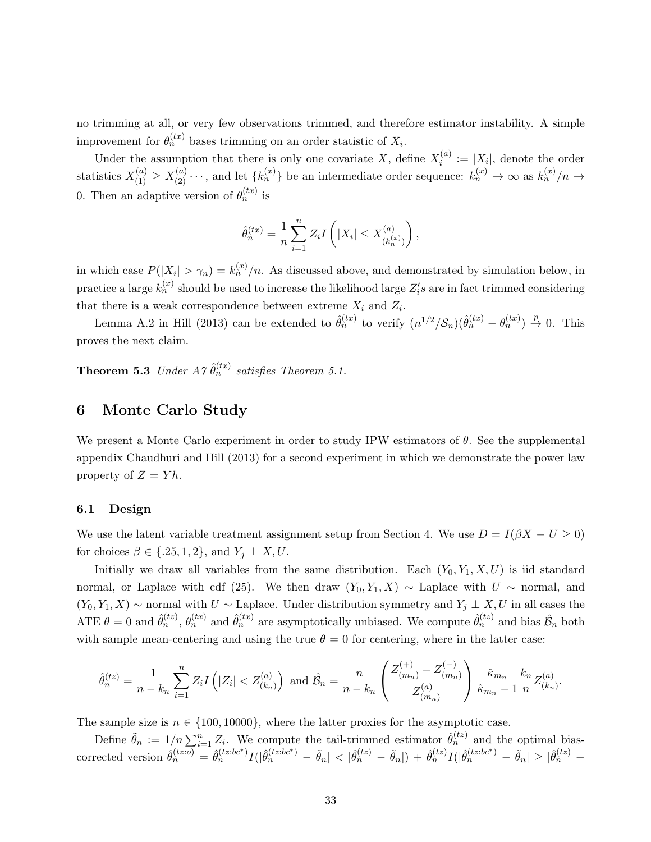no trimming at all, or very few observations trimmed, and therefore estimator instability. A simple improvement for  $\theta_n^{(tx)}$  bases trimming on an order statistic of  $X_i$ .

Under the assumption that there is only one covariate X, define  $X_i^{(a)}$  $i_i^{(a)} := |X_i|$ , denote the order statistics  $X_{(1)}^{(a)} \ge X_{(2)}^{(a)} \cdots$ , and let  $\{k_n^{(x)}\}$  be an intermediate order sequence:  $k_n^{(x)} \to \infty$  as  $k_n^{(x)}/n \to \infty$ 0. Then an adaptive version of  $\theta_n^{(tx)}$  is

$$
\hat{\theta}_n^{(tx)} = \frac{1}{n} \sum_{i=1}^n Z_i I\left(|X_i| \le X_{(k_n^{(x)})}^{(a)}\right),
$$

in which case  $P(|X_i| > \gamma_n) = k_n^{(x)}/n$ . As discussed above, and demonstrated by simulation below, in practice a large  $k_n^{(x)}$  should be used to increase the likelihood large  $Z_i$ 's are in fact trimmed considering that there is a weak correspondence between extreme  $X_i$  and  $Z_i$ .

Lemma A.2 in Hill (2013) can be extended to  $\hat{\theta}_n^{(tx)}$  to verify  $(n^{1/2} / S_n)(\hat{\theta}_n^{(tx)} - \theta_n^{(tx)}) \stackrel{p}{\to} 0$ . This proves the next claim.

**Theorem 5.3** Under  $A \gamma \hat{\theta}_n^{(tx)}$  satisfies Theorem 5.1.

## 6 Monte Carlo Study

We present a Monte Carlo experiment in order to study IPW estimators of  $\theta$ . See the supplemental appendix Chaudhuri and Hill (2013) for a second experiment in which we demonstrate the power law property of  $Z = Y h$ .

#### 6.1 Design

We use the latent variable treatment assignment setup from Section 4. We use  $D = I(\beta X - U \ge 0)$ for choices  $\beta \in \{.25, 1, 2\}$ , and  $Y_j \perp X, U$ .

Initially we draw all variables from the same distribution. Each  $(Y_0, Y_1, X, U)$  is iid standard normal, or Laplace with cdf (25). We then draw  $(Y_0, Y_1, X) \sim$  Laplace with  $U \sim$  normal, and  $(Y_0, Y_1, X)$  ∼ normal with  $U$  ∼ Laplace. Under distribution symmetry and  $Y_j \perp X, U$  in all cases the ATE  $\theta = 0$  and  $\hat{\theta}_n^{(tz)}$ ,  $\theta_n^{(tx)}$  and  $\hat{\theta}_n^{(tx)}$  are asymptotically unbiased. We compute  $\hat{\theta}_n^{(tz)}$  and bias  $\hat{\mathcal{B}}_n$  both with sample mean-centering and using the true  $\theta = 0$  for centering, where in the latter case:

$$
\hat{\theta}_n^{(tz)} = \frac{1}{n - k_n} \sum_{i=1}^n Z_i I\left(|Z_i| < Z_{(k_n)}^{(a)}\right) \text{ and } \hat{\mathcal{B}}_n = \frac{n}{n - k_n} \left(\frac{Z_{(m_n)}^{(+)} - Z_{(m_n)}^{(-)}}{Z_{(m_n)}^{(a)}}\right) \frac{\hat{\kappa}_{m_n}}{\hat{\kappa}_{m_n} - 1} \frac{k_n}{n} Z_{(k_n)}^{(a)}.
$$

The sample size is  $n \in \{100, 10000\}$ , where the latter proxies for the asymptotic case.

Define  $\tilde{\theta}_n := 1/n \sum_{i=1}^n Z_i$ . We compute the tail-trimmed estimator  $\hat{\theta}_n^{(tz)}$  and the optimal bias- $\text{corrected version }\hat{\theta}_n^{(tz;bc)} = \hat{\theta}_n^{(tz;bc*)}I(|\hat{\theta}_n^{(tz;bc*)} - \tilde{\theta}_n| < |\hat{\theta}_n^{(tz)} - \tilde{\theta}_n|) + \hat{\theta}_n^{(tz)}I(|\hat{\theta}_n^{(tz;bc^*)} - \tilde{\theta}_n| \geq |\hat{\theta}_n^{(tz)} - \tilde{\theta}_n|$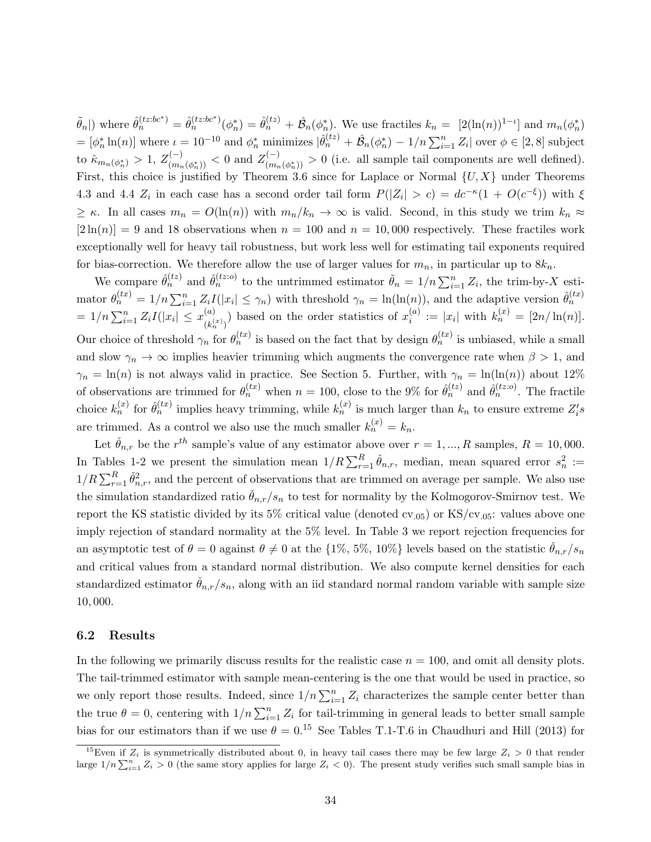$\tilde{\theta}_n$  m where  $\hat{\theta}_n^{(tz:bc^*)} = \hat{\theta}_n^{(tz:bc^*)}(\phi_n^*) = \hat{\theta}_n^{(tz)} + \hat{\mathcal{B}}_n(\phi_n^*)$ . We use fractiles  $k_n = [2(\ln(n))^{1-\iota}]$  and  $m_n(\phi_n^*)$  $\mathcal{L} = [\phi_n^* \ln(n)]$  where  $\iota = 10^{-10}$  and  $\phi_n^*$  minimizes  $|\hat{\theta}_n^{(tz)} + \hat{\mathcal{B}}_n(\phi_n^*) - 1/n \sum_{i=1}^n Z_i|$  over  $\phi \in [2, 8]$  subject to  $\hat{\kappa}_{m_{n}(\phi_{n}^{\ast})}>1,\, Z_{(m_{n}}^{(-)}$  $\chi^{(-)}_{(m_n(\phi_n^*))} < 0 \text{ and } Z^{(-)}_{(m_n)}$  $\binom{n}{(m_n(\phi_n^*))} > 0$  (i.e. all sample tail components are well defined). First, this choice is justified by Theorem 3.6 since for Laplace or Normal  $\{U, X\}$  under Theorems 4.3 and 4.4  $Z_i$  in each case has a second order tail form  $P(|Z_i| > c) = dc^{-\kappa}(1 + O(c^{-\xi}))$  with  $\xi$  $\geq \kappa$ . In all cases  $m_n = O(\ln(n))$  with  $m_n/k_n \to \infty$  is valid. Second, in this study we trim  $k_n \approx$  $[2\ln(n)] = 9$  and 18 observations when  $n = 100$  and  $n = 10,000$  respectively. These fractiles work exceptionally well for heavy tail robustness, but work less well for estimating tail exponents required for bias-correction. We therefore allow the use of larger values for  $m_n$ , in particular up to  $8k_n$ .

We compare  $\hat{\theta}_n^{(tz)}$  and  $\hat{\theta}_n^{(tz;o)}$  to the untrimmed estimator  $\tilde{\theta}_n = 1/n \sum_{i=1}^n Z_i$ , the trim-by-X estimator  $\theta_n^{(tx)} = 1/n \sum_{i=1}^n Z_i I(|x_i| \leq \gamma_n)$  with threshold  $\gamma_n = \ln(\ln(n))$ , and the adaptive version  $\hat{\theta}_n^{(tx)}$  $= 1/n \sum_{i=1}^n Z_i I(|x_i| \leq x_{\mu}^{(a)})$  $\binom{(a)}{(k_n^{(x)})}$  based on the order statistics of  $x_i^{(a)}$  $i_i^{(a)} := |x_i|$  with  $k_n^{(x)} = [2n/\ln(n)].$ Our choice of threshold  $\gamma_n$  for  $\theta_n^{(tx)}$  is based on the fact that by design  $\theta_n^{(tx)}$  is unbiased, while a small and slow  $\gamma_n \to \infty$  implies heavier trimming which augments the convergence rate when  $\beta > 1$ , and  $\gamma_n = \ln(n)$  is not always valid in practice. See Section 5. Further, with  $\gamma_n = \ln(\ln(n))$  about 12% of observations are trimmed for  $\theta_n^{(tx)}$  when  $n = 100$ , close to the 9% for  $\hat{\theta}_n^{(tz)}$  and  $\hat{\theta}_n^{(tz)}$ . The fractile choice  $k_n^{(x)}$  for  $\hat{\theta}_n^{(tx)}$  implies heavy trimming, while  $k_n^{(x)}$  is much larger than  $k_n$  to ensure extreme  $Z_i's$ are trimmed. As a control we also use the much smaller  $k_n^{(x)} = k_n$ .

Let  $\check{\theta}_{n,r}$  be the  $r^{th}$  sample's value of any estimator above over  $r = 1, ..., R$  samples,  $R = 10,000$ . In Tables 1-2 we present the simulation mean  $1/R \sum_{r=1}^{R} \check{\theta}_{n,r}$ , median, mean squared error  $s_n^2 :=$  $1/R \sum_{r=1}^{R} \check{\theta}_{n,r}^2$ , and the percent of observations that are trimmed on average per sample. We also use the simulation standardized ratio  $\ddot{\theta}_{n,r}/s_n$  to test for normality by the Kolmogorov-Smirnov test. We report the KS statistic divided by its 5% critical value (denoted cv.05) or KS/cv.05: values above one imply rejection of standard normality at the 5% level. In Table 3 we report rejection frequencies for an asymptotic test of  $\theta = 0$  against  $\theta \neq 0$  at the  $\{1\%, 5\%, 10\%\}$  levels based on the statistic  $\dot{\theta}_{n,r}/s_n$ and critical values from a standard normal distribution. We also compute kernel densities for each standardized estimator  $\dot{\theta}_{n,r}/s_n$ , along with an iid standard normal random variable with sample size 10, 000.

#### 6.2 Results

In the following we primarily discuss results for the realistic case  $n = 100$ , and omit all density plots. The tail-trimmed estimator with sample mean-centering is the one that would be used in practice, so we only report those results. Indeed, since  $1/n \sum_{i=1}^{n} Z_i$  characterizes the sample center better than the true  $\theta = 0$ , centering with  $1/n \sum_{i=1}^{n} Z_i$  for tail-trimming in general leads to better small sample bias for our estimators than if we use  $\theta = 0.15$  See Tables T.1-T.6 in Chaudhuri and Hill (2013) for

<sup>&</sup>lt;sup>15</sup>Even if  $Z_i$  is symmetrically distributed about 0, in heavy tail cases there may be few large  $Z_i > 0$  that render large  $1/n \sum_{i=1}^n Z_i > 0$  (the same story applies for large  $Z_i < 0$ ). The present study verifies such small sample bias in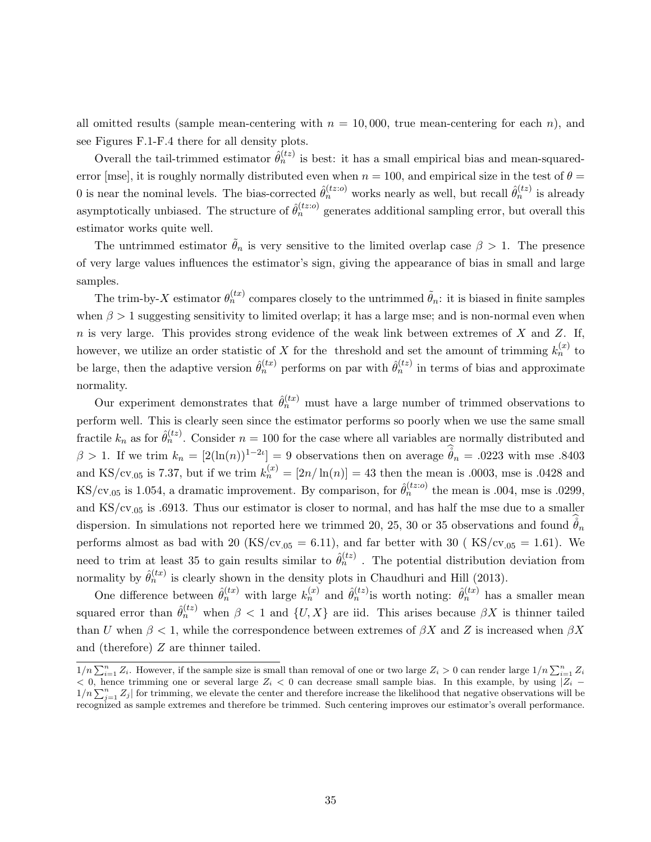all omitted results (sample mean-centering with  $n = 10,000$ , true mean-centering for each n), and see Figures F.1-F.4 there for all density plots.

Overall the tail-trimmed estimator  $\hat{\theta}_n^{(tz)}$  is best: it has a small empirical bias and mean-squarederror [mse], it is roughly normally distributed even when  $n = 100$ , and empirical size in the test of  $\theta =$ 0 is near the nominal levels. The bias-corrected  $\hat{\theta}_n^{(tz;o)}$  works nearly as well, but recall  $\hat{\theta}_n^{(tz)}$  is already asymptotically unbiased. The structure of  $\hat{\theta}_n^{(tz;o)}$  generates additional sampling error, but overall this estimator works quite well.

The untrimmed estimator  $\tilde{\theta}_n$  is very sensitive to the limited overlap case  $\beta > 1$ . The presence of very large values influences the estimator's sign, giving the appearance of bias in small and large samples.

The trim-by-X estimator  $\theta_n^{(tx)}$  compares closely to the untrimmed  $\tilde{\theta}_n$ : it is biased in finite samples when  $\beta > 1$  suggesting sensitivity to limited overlap; it has a large mse; and is non-normal even when  $n$  is very large. This provides strong evidence of the weak link between extremes of  $X$  and  $Z$ . If, however, we utilize an order statistic of X for the threshold and set the amount of trimming  $k_n^{(x)}$  to be large, then the adaptive version  $\hat{\theta}_n^{(tx)}$  performs on par with  $\hat{\theta}_n^{(tz)}$  in terms of bias and approximate normality.

Our experiment demonstrates that  $\hat{\theta}_n^{(tx)}$  must have a large number of trimmed observations to perform well. This is clearly seen since the estimator performs so poorly when we use the same small fractile  $k_n$  as for  $\hat{\theta}_n^{(tz)}$ . Consider  $n = 100$  for the case where all variables are normally distributed and  $\beta > 1$ . If we trim  $k_n = [2(\ln(n))^{1-2i}] = 9$  observations then on average  $\mathring{\theta}_n = .0223$  with mse .8403 and KS/cv.<sub>05</sub> is 7.37, but if we trim  $k_n^{(x)} = [2n/\ln(n)] = 43$  then the mean is .0003, mse is .0428 and KS/cv.<sub>05</sub> is 1.054, a dramatic improvement. By comparison, for  $\hat{\theta}_n^{(tz;0)}$  the mean is .004, mse is .0299, and  $\text{KS/cv}_{.05}$  is .6913. Thus our estimator is closer to normal, and has half the mse due to a smaller dispersion. In simulations not reported here we trimmed 20, 25, 30 or 35 observations and found  $\mathring{\theta}_n$ performs almost as bad with 20 (KS/cv<sub>.05</sub> = 6.11), and far better with 30 (KS/cv<sub>.05</sub> = 1.61). We need to trim at least 35 to gain results similar to  $\hat{\theta}_n^{(tz)}$ . The potential distribution deviation from normality by  $\hat{\theta}_n^{(tx)}$  is clearly shown in the density plots in Chaudhuri and Hill (2013).

One difference between  $\hat{\theta}_n^{(tx)}$  with large  $k_n^{(x)}$  and  $\hat{\theta}_n^{(tz)}$  is worth noting:  $\hat{\theta}_n^{(tx)}$  has a smaller mean squared error than  $\hat{\theta}_n^{(tz)}$  when  $\beta < 1$  and  $\{U, X\}$  are iid. This arises because  $\beta X$  is thinner tailed than U when  $\beta < 1$ , while the correspondence between extremes of  $\beta X$  and Z is increased when  $\beta X$ and (therefore) Z are thinner tailed.

 $1/n \sum_{i=1}^{n} Z_i$ . However, if the sample size is small than removal of one or two large  $Z_i > 0$  can render large  $1/n \sum_{i=1}^{n} Z_i$  $<$  0, hence trimming one or several large  $Z_i$   $<$  0 can decrease small sample bias. In this example, by using  $|Z_i$  –  $1/n \sum_{j=1}^{n} Z_j$  for trimming, we elevate the center and therefore increase the likelihood that negative observations will be recognized as sample extremes and therefore be trimmed. Such centering improves our estimator's overall performance.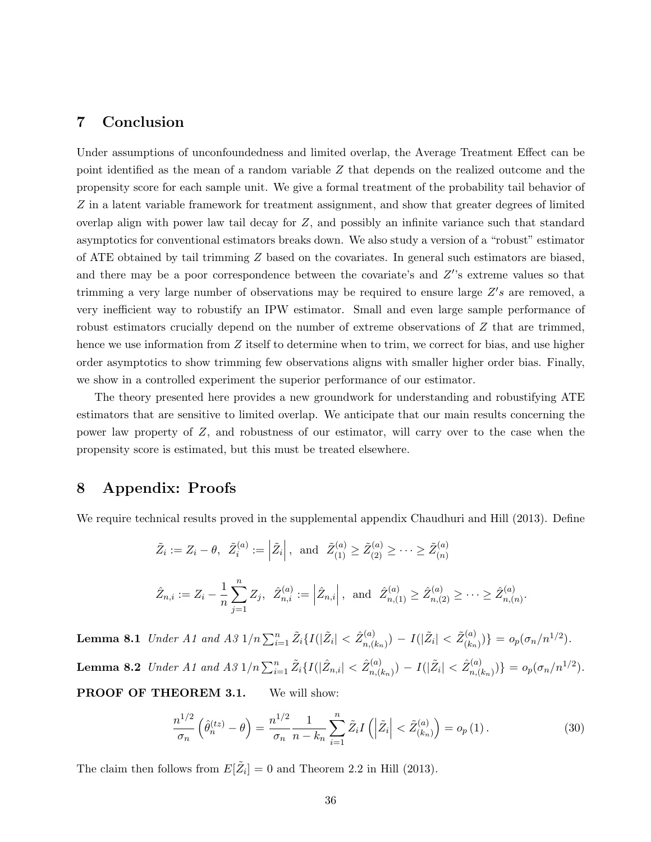## 7 Conclusion

Under assumptions of unconfoundedness and limited overlap, the Average Treatment Effect can be point identified as the mean of a random variable Z that depends on the realized outcome and the propensity score for each sample unit. We give a formal treatment of the probability tail behavior of Z in a latent variable framework for treatment assignment, and show that greater degrees of limited overlap align with power law tail decay for Z, and possibly an infinite variance such that standard asymptotics for conventional estimators breaks down. We also study a version of a "robust" estimator of ATE obtained by tail trimming Z based on the covariates. In general such estimators are biased, and there may be a poor correspondence between the covariate's and  $Z$ 's extreme values so that trimming a very large number of observations may be required to ensure large  $Z's$  are removed, a very inefficient way to robustify an IPW estimator. Small and even large sample performance of robust estimators crucially depend on the number of extreme observations of Z that are trimmed, hence we use information from Z itself to determine when to trim, we correct for bias, and use higher order asymptotics to show trimming few observations aligns with smaller higher order bias. Finally, we show in a controlled experiment the superior performance of our estimator.

The theory presented here provides a new groundwork for understanding and robustifying ATE estimators that are sensitive to limited overlap. We anticipate that our main results concerning the power law property of Z, and robustness of our estimator, will carry over to the case when the propensity score is estimated, but this must be treated elsewhere.

## 8 Appendix: Proofs

We require technical results proved in the supplemental appendix Chaudhuri and Hill (2013). Define

$$
\tilde{Z}_i := Z_i - \theta, \quad \tilde{Z}_i^{(a)} := \left| \tilde{Z}_i \right|, \text{ and } \quad \tilde{Z}_{(1)}^{(a)} \ge \tilde{Z}_{(2)}^{(a)} \ge \dots \ge \tilde{Z}_{(n)}^{(a)}
$$
\n
$$
\hat{Z}_{n,i} := Z_i - \frac{1}{n} \sum_{j=1}^n Z_j, \quad \hat{Z}_{n,i}^{(a)} := \left| \hat{Z}_{n,i} \right|, \text{ and } \quad \hat{Z}_{n,(1)}^{(a)} \ge \hat{Z}_{n,(2)}^{(a)} \ge \dots \ge \hat{Z}_{n,(n)}^{(a)}.
$$

**Lemma 8.1** Under A1 and A3  $1/n \sum_{i=1}^{n} \tilde{Z}_i \{I(|\tilde{Z}_i| < \hat{Z}_{n,(i)}^{(a)})\}$  $\tilde{Z}_{n,(k_n)}^{(a)}) - I(|\tilde{Z}_i| < \tilde{Z}_{(k_n)}^{(a)})$  $(c_{(k_n)}^{(a)})\} = o_p(\sigma_n/n^{1/2}).$ Lemma 8.2  $\;Under\; A1\; and\; A3\; 1/n \sum_{i=1}^n \tilde{Z}_i \{I(|\hat{Z}_{n,i}|<\hat{Z}_{n,(i)}^{(a)})\}$  $\hat{Z}_{n,(k_n)}^{(a)}$ ) –  $I(|\tilde{Z}_i| < \hat{Z}_{n,(k_n)}^{(a)})$  $\{a_{n,(k_n)}^{(a)})\} = o_p(\sigma_n/n^{1/2}).$ PROOF OF THEOREM 3.1. We will show:

$$
\frac{n^{1/2}}{\sigma_n} \left( \hat{\theta}_n^{(tz)} - \theta \right) = \frac{n^{1/2}}{\sigma_n} \frac{1}{n - k_n} \sum_{i=1}^n \tilde{Z}_i I \left( \left| \tilde{Z}_i \right| < \tilde{Z}_{(k_n)}^{(a)} \right) = o_p(1) \,. \tag{30}
$$

The claim then follows from  $E[\tilde{Z}_i] = 0$  and Theorem 2.2 in Hill (2013).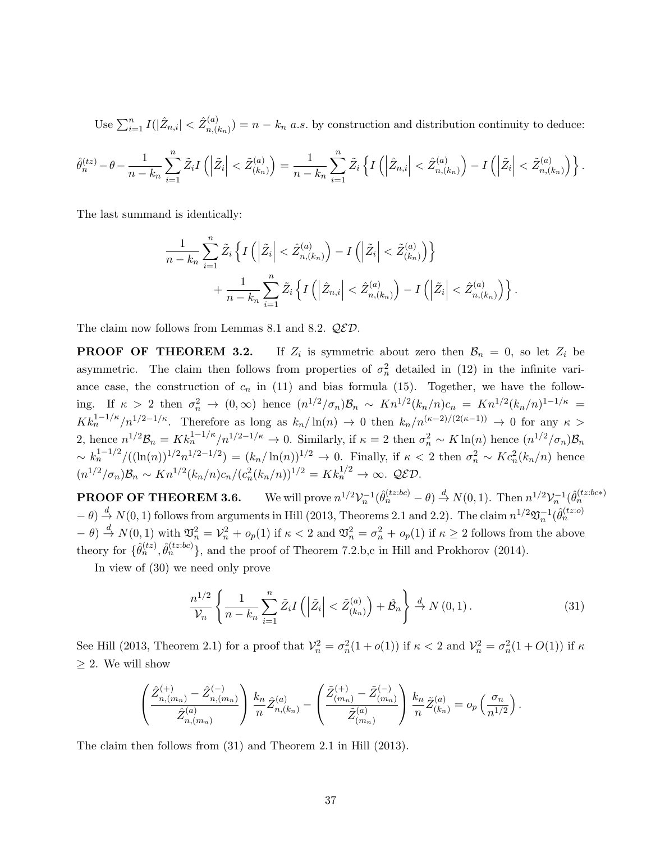Use  $\sum_{i=1}^n I(|\hat{Z}_{n,i}| < \hat{Z}_{n,(i)}^{(a)}$  $n_{n(k_n)}^{(a)}$  =  $n - k_n$  a.s. by construction and distribution continuity to deduce:

$$
\hat{\theta}_n^{(tz)} - \theta - \frac{1}{n-k_n} \sum_{i=1}^n \tilde{Z}_i I\left(\left|\tilde{Z}_i\right| < \tilde{Z}_{(k_n)}^{(a)}\right) = \frac{1}{n-k_n} \sum_{i=1}^n \tilde{Z}_i \left\{ I\left(\left|\hat{Z}_{n,i}\right| < \hat{Z}_{n,(k_n)}^{(a)}\right) - I\left(\left|\tilde{Z}_i\right| < \tilde{Z}_{n,(k_n)}^{(a)}\right)\right\}.
$$

The last summand is identically:

$$
\frac{1}{n-k_n}\sum_{i=1}^n \tilde{Z}_i\left\{I\left(\left|\tilde{Z}_i\right|<\hat{Z}_{n,(k_n)}^{(a)}\right)-I\left(\left|\tilde{Z}_i\right|<\tilde{Z}_{(k_n)}^{(a)}\right)\right\} +\frac{1}{n-k_n}\sum_{i=1}^n \tilde{Z}_i\left\{I\left(\left|\hat{Z}_{n,i}\right|<\hat{Z}_{n,(k_n)}^{(a)}\right)-I\left(\left|\tilde{Z}_i\right|<\hat{Z}_{n,(k_n)}^{(a)}\right)\right\}.
$$

The claim now follows from Lemmas 8.1 and 8.2.  $QED$ .

PROOF OF THEOREM 3.2. If  $Z_i$  is symmetric about zero then  $\mathcal{B}_n = 0$ , so let  $Z_i$  be asymmetric. The claim then follows from properties of  $\sigma_n^2$  detailed in (12) in the infinite variance case, the construction of  $c_n$  in (11) and bias formula (15). Together, we have the following. If  $\kappa > 2$  then  $\sigma_n^2 \to (0,\infty)$  hence  $(n^{1/2}/\sigma_n)\mathcal{B}_n \sim Kn^{1/2}(k_n/n)c_n = Kn^{1/2}(k_n/n)^{1-1/\kappa}$  $K k_n^{1-1/\kappa}/n^{1/2-1/\kappa}$ . Therefore as long as  $k_n/\ln(n) \to 0$  then  $k_n/n^{(\kappa-2)/(2(\kappa-1))} \to 0$  for any  $\kappa >$ 2, hence  $n^{1/2}B_n = K k_n^{1-1/\kappa}/n^{1/2-1/\kappa} \to 0$ . Similarly, if  $\kappa = 2$  then  $\sigma_n^2 \sim K \ln(n)$  hence  $(n^{1/2}/\sigma_n)B_n$  $\sim k_n^{1-1/2}/((\ln(n))^{1/2}n^{1/2-1/2}) = (k_n/\ln(n))^{1/2} \to 0.$  Finally, if  $\kappa < 2$  then  $\sigma_n^2 \sim Kc_n^2(k_n/n)$  hence  $(n^{1/2}/\sigma_n)B_n \sim Kn^{1/2}(k_n/n)c_n/(c_n^2(k_n/n))^{1/2} = Kk_n^{1/2} \to \infty$ . QED.

**PROOF OF THEOREM 3.6.** We will prove  $n^{1/2}V_n^{-1}(\hat{\theta}_n^{(tz:bc)} - \theta) \stackrel{d}{\rightarrow} N(0, 1)$ . Then  $n^{1/2}V_n^{-1}(\hat{\theta}_n^{(tz:bc*)})$  $-\theta$ )  $\stackrel{d}{\rightarrow} N(0, 1)$  follows from arguments in Hill (2013, Theorems 2.1 and 2.2). The claim  $n^{1/2}\mathfrak{V}_n^{-1}(\hat{\theta}_n^{(tz;o)})$  $(-\theta) \stackrel{d}{\to} N(0,1)$  with  $\mathfrak{V}_n^2 = \mathcal{V}_n^2 + o_p(1)$  if  $\kappa < 2$  and  $\mathfrak{V}_n^2 = \sigma_n^2 + o_p(1)$  if  $\kappa \ge 2$  follows from the above theory for  $\{\hat{\theta}_n^{(tz)}\},$   $\hat{\theta}_n^{(tz:bc)}\},$  and the proof of Theorem 7.2.b,c in Hill and Prokhorov (2014).

In view of (30) we need only prove

$$
\frac{n^{1/2}}{\mathcal{V}_n} \left\{ \frac{1}{n - k_n} \sum_{i=1}^n \tilde{Z}_i I\left( \left| \tilde{Z}_i \right| < \tilde{Z}_{(k_n)}^{(a)} \right) + \hat{\mathcal{B}}_n \right\} \stackrel{d}{\to} N\left(0, 1\right). \tag{31}
$$

See Hill (2013, Theorem 2.1) for a proof that  $\mathcal{V}_n^2 = \sigma_n^2(1 + o(1))$  if  $\kappa < 2$  and  $\mathcal{V}_n^2 = \sigma_n^2(1 + O(1))$  if  $\kappa$  $\geq$  2. We will show

$$
\left(\frac{\hat{Z}_{n,(m_n)}^{(+)} - \hat{Z}_{n,(m_n)}^{(-)}}{\hat{Z}_{n,(m_n)}^{(a)}}\right) \frac{k_n}{n} \hat{Z}_{n,(k_n)}^{(a)} - \left(\frac{\tilde{Z}_{(m_n)}^{(+)} - \tilde{Z}_{(m_n)}^{(-)}}{\tilde{Z}_{(m_n)}^{(a)}}\right) \frac{k_n}{n} \tilde{Z}_{(k_n)}^{(a)} = o_p\left(\frac{\sigma_n}{n^{1/2}}\right).
$$

The claim then follows from (31) and Theorem 2.1 in Hill (2013).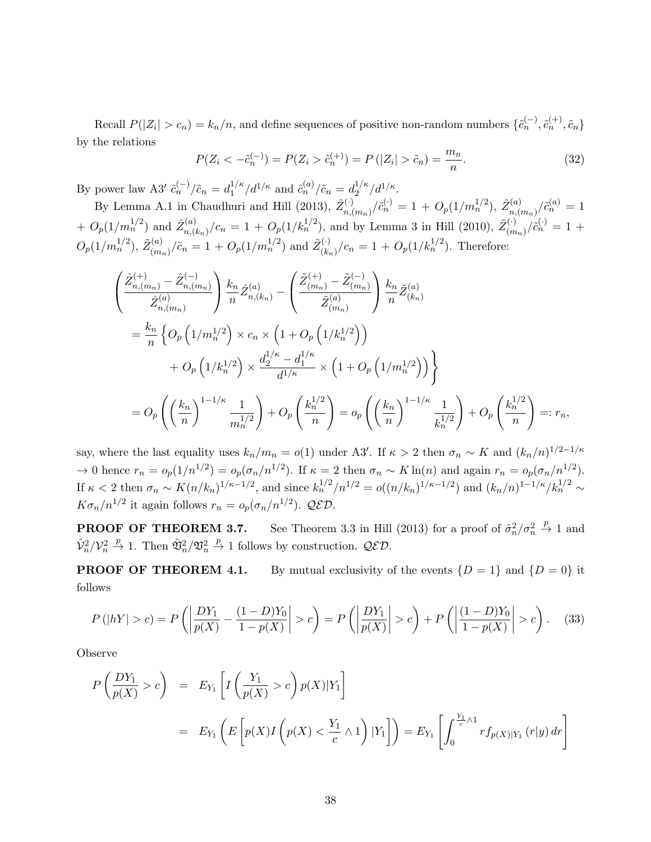Recall  $P(|Z_i| > c_n) = k_n/n$ , and define sequences of positive non-random numbers  $\{\tilde{c}_n^{(-)}, \tilde{c}_n^{(+)}, \tilde{c}_n\}$ by the relations

$$
P(Z_i < -\tilde{c}_n^{(-)}) = P(Z_i > \tilde{c}_n^{(+)}) = P(|Z_i| > \tilde{c}_n) = \frac{m_n}{n}.\tag{32}
$$

By power law A3'  $\tilde{c}_n^{(-)}/\tilde{c}_n = d_1^{1/\kappa}$  $i_1^{1/\kappa}/d^{1/\kappa}$  and  $\tilde{c}_n^{(a)}/\tilde{c}_n = d_2^{1/\kappa}$  $\frac{1/\kappa}{2}/d^{1/\kappa}.$ 

By Lemma A.1 in Chaudhuri and Hill (2013),  $\hat{Z}_{n}^{(\cdot)}$  $\hat{C}_{n,(m_n)}^{(\cdot)}/\tilde{c}_n^{(\cdot)} = 1 + O_p(1/m_n^{1/2}), \ \hat{Z}_{n,(n)}^{(a)}$  $\tilde{c}^{(a)}_{n,(m_n)}/\tilde{c}^{(a)}_{n} = 1$ +  $O_p(1/m_n^{1/2})$  and  $\hat{Z}_{n,l}^{(a)}$  $\int_{n,(k_n)}^{(a)}$ , $(c_n = 1 + O_p(1/k_n^{1/2})$ , and by Lemma 3 in Hill (2010),  $\tilde{Z}_{(m_n)}^{(\cdot)}$  $\binom{(\cdot)}{(m_n)}/\tilde{c}_n^{(\cdot)} = 1 +$  $O_p(1/m_n^{1/2}), \ \tilde{Z}_{(m_n)}^{(a)}$  $\tilde{c}_{(m_n)}^{(a)}/\tilde{c}_n = 1 + O_p(1/m_n^{1/2})$  and  $\tilde{Z}_{(k_n)}^{(\cdot)}$  $\binom{(\cdot)}{(k_n)}$ / $c_n = 1 + O_p(1/k_n^{1/2})$ . Therefore:

$$
\begin{split}\n&\left(\frac{\hat{Z}_{n,(m_{n})}^{(+)} - \hat{Z}_{n,(m_{n})}^{(-)}}{\hat{Z}_{n,(m_{n})}^{(a)}}\right) \frac{k_{n}}{n} \hat{Z}_{n,(k_{n})}^{(a)} - \left(\frac{\tilde{Z}_{(m_{n})}^{(+)} - \tilde{Z}_{(m_{n})}^{(-)}}{\tilde{Z}_{(m_{n})}^{(a)}}\right) \frac{k_{n}}{n} \tilde{Z}_{(k_{n})}^{(a)} \\
&= \frac{k_{n}}{n} \left\{O_{p}\left(1/m_{n}^{1/2}\right) \times c_{n} \times \left(1 + O_{p}\left(1/k_{n}^{1/2}\right)\right) \\
&+ O_{p}\left(1/k_{n}^{1/2}\right) \times \frac{d_{2}^{1/\kappa} - d_{1}^{1/\kappa}}{d_{1/\kappa}} \times \left(1 + O_{p}\left(1/m_{n}^{1/2}\right)\right)\right\} \\
&= O_{p}\left(\left(\frac{k_{n}}{n}\right)^{1-1/\kappa} \frac{1}{m_{n}^{1/2}}\right) + O_{p}\left(\frac{k_{n}^{1/2}}{n}\right) = o_{p}\left(\left(\frac{k_{n}}{n}\right)^{1-1/\kappa} \frac{1}{k_{n}^{1/2}}\right) + O_{p}\left(\frac{k_{n}^{1/2}}{n}\right) =: r_{n},\n\end{split}
$$

say, where the last equality uses  $k_n/m_n = o(1)$  under A3'. If  $\kappa > 2$  then  $\sigma_n \sim K$  and  $(k_n/n)^{1/2-1/\kappa}$  $\to 0$  hence  $r_n = o_p(1/n^{1/2}) = o_p(\sigma_n/n^{1/2})$ . If  $\kappa = 2$  then  $\sigma_n \sim K \ln(n)$  and again  $r_n = o_p(\sigma_n/n^{1/2})$ . If  $\kappa < 2$  then  $\sigma_n \sim K(n/k_n)^{1/\kappa - 1/2}$ , and since  $k_n^{1/2}/n^{1/2} = o((n/k_n)^{1/\kappa - 1/2})$  and  $(k_n/n)^{1-1/\kappa}/k_n^{1/2} \sim$  $K\sigma_n/n^{1/2}$  it again follows  $r_n = o_p(\sigma_n/n^{1/2})$ . QED.

**PROOF OF THEOREM 3.7.** See Theorem 3.3 in Hill (2013) for a proof of  $\hat{\sigma}_n^2/\sigma_n^2 \overset{p}{\to} 1$  and  $\hat{\mathcal{V}}_n^2/\mathcal{V}_n^2 \stackrel{p}{\rightarrow} 1$ . Then  $\hat{\mathfrak{V}}_n^2/\mathfrak{V}_n^2 \stackrel{p}{\rightarrow} 1$  follows by construction.  $\mathcal{QED}$ .

**PROOF OF THEOREM 4.1.** By mutual exclusivity of the events  $\{D = 1\}$  and  $\{D = 0\}$  it follows

$$
P(|hY| > c) = P\left(\left|\frac{DY_1}{p(X)} - \frac{(1-D)Y_0}{1-p(X)}\right| > c\right) = P\left(\left|\frac{DY_1}{p(X)}\right| > c\right) + P\left(\left|\frac{(1-D)Y_0}{1-p(X)}\right| > c\right). \tag{33}
$$

Observe

$$
P\left(\frac{DY_1}{p(X)} > c\right) = E_{Y_1}\left[I\left(\frac{Y_1}{p(X)} > c\right)p(X)|Y_1\right]
$$
  
=  $E_{Y_1}\left(E\left[p(X)I\left(p(X) < \frac{Y_1}{c} \wedge 1\right)|Y_1\right]\right) = E_{Y_1}\left[\int_0^{\frac{Y_1}{c} \wedge 1} rf_{p(X)|Y_1}(r|y) dr\right]$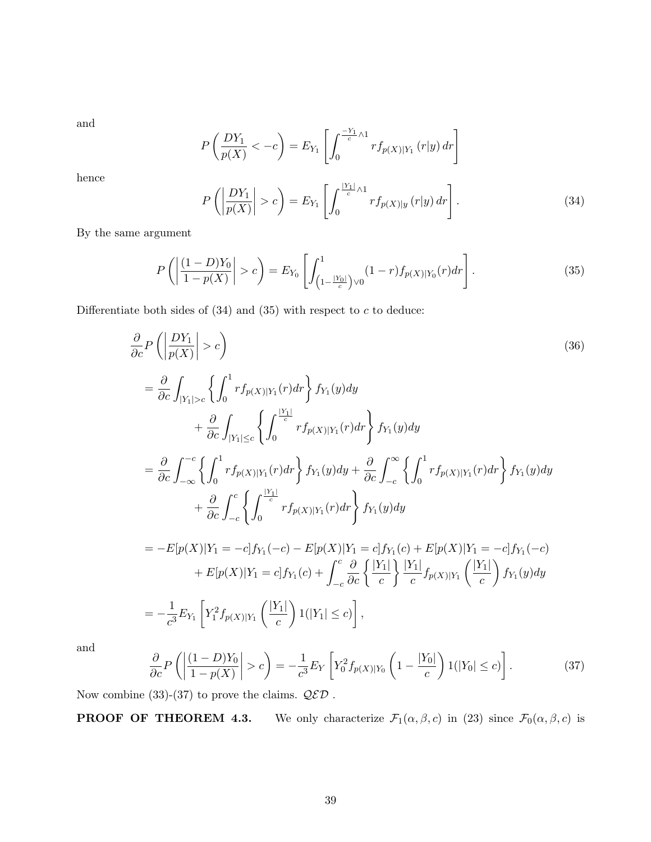and

$$
P\left(\frac{DY_1}{p(X)} < -c\right) = E_{Y_1}\left[\int_0^{\frac{-Y_1}{c} \wedge 1} r f_{p(X)|Y_1} \left(r|y\right) dr\right]
$$

hence

$$
P\left(\left|\frac{DY_1}{p(X)}\right|>c\right)=E_{Y_1}\left[\int_0^{\frac{|Y_1|}{c}\wedge 1}rf_{p(X)|y}(r|y)\,dr\right].\tag{34}
$$

By the same argument

$$
P\left(\left|\frac{(1-D)Y_0}{1-p(X)}\right| > c\right) = E_{Y_0}\left[\int_{\left(1-\frac{|Y_0|}{c}\right)\vee 0}^{1}(1-r)f_{p(X)|Y_0}(r)dr\right].
$$
\n(35)

Differentiate both sides of  $(34)$  and  $(35)$  with respect to  $c$  to deduce:

$$
\frac{\partial}{\partial c} P \left( \left| \frac{DY_1}{p(X)} \right| > c \right) \tag{36}
$$
\n
$$
= \frac{\partial}{\partial c} \int_{|Y_1| > c} \left\{ \int_0^1 r f_{p(X)|Y_1}(r) dr \right\} f_{Y_1}(y) dy + \frac{\partial}{\partial c} \int_{|Y_1| \le c} \left\{ \int_0^{\frac{|Y_1|}{c}} r f_{p(X)|Y_1}(r) dr \right\} f_{Y_1}(y) dy
$$
\n
$$
= \frac{\partial}{\partial c} \int_{-\infty}^{-c} \left\{ \int_0^1 r f_{p(X)|Y_1}(r) dr \right\} f_{Y_1}(y) dy + \frac{\partial}{\partial c} \int_{-c}^{\infty} \left\{ \int_0^1 r f_{p(X)|Y_1}(r) dr \right\} f_{Y_1}(y) dy
$$
\n
$$
+ \frac{\partial}{\partial c} \int_{-c}^c \left\{ \int_0^{\frac{|Y_1|}{c}} r f_{p(X)|Y_1}(r) dr \right\} f_{Y_1}(y) dy
$$
\n
$$
= -E[p(X)|Y_1 = -c] f_{Y_1}(-c) - E[p(X)|Y_1 = c] f_{Y_1}(c) + E[p(X)|Y_1 = -c] f_{Y_1}(-c)
$$
\n
$$
+ E[p(X)|Y_1 = c] f_{Y_1}(c) + \int_{-c}^c \frac{\partial}{\partial c} \left\{ \frac{|Y_1|}{c} \right\} \frac{|Y_1|}{c} f_{p(X)|Y_1} \left( \frac{|Y_1|}{c} \right) f_{Y_1}(y) dy
$$
\n
$$
= -\frac{1}{c^3} E_{Y_1} \left[ Y_1^2 f_{p(X)|Y_1} \left( \frac{|Y_1|}{c} \right) 1(|Y_1| \le c) \right],
$$
\n(11)

and

$$
\frac{\partial}{\partial c}P\left(\left|\frac{(1-D)Y_0}{1-p(X)}\right|>c\right)=-\frac{1}{c^3}E_Y\left[Y_0^2f_{p(X)|Y_0}\left(1-\frac{|Y_0|}{c}\right)1(|Y_0|\leq c)\right].\tag{37}
$$

Now combine (33)-(37) to prove the claims.  $\ensuremath{\mathcal{QED}}$  .

**PROOF OF THEOREM 4.3.** We only characterize  $\mathcal{F}_1(\alpha, \beta, c)$  in (23) since  $\mathcal{F}_0(\alpha, \beta, c)$  is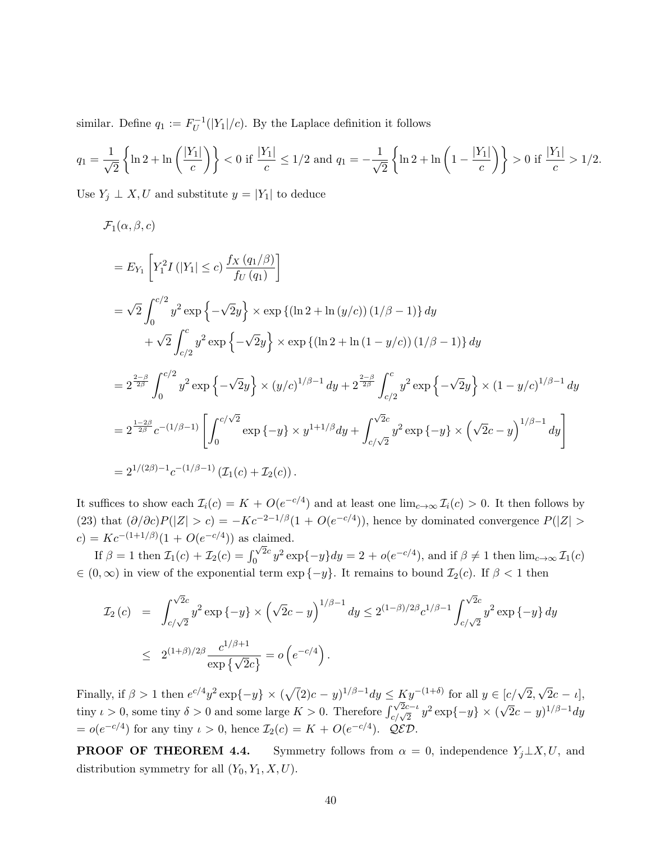similar. Define  $q_1 := F_U^{-1}$  $U^{-1}(|Y_1|/c)$ . By the Laplace definition it follows

$$
q_1 = \frac{1}{\sqrt{2}} \left\{ \ln 2 + \ln \left( \frac{|Y_1|}{c} \right) \right\} < 0 \text{ if } \frac{|Y_1|}{c} \le 1/2 \text{ and } q_1 = -\frac{1}{\sqrt{2}} \left\{ \ln 2 + \ln \left( 1 - \frac{|Y_1|}{c} \right) \right\} > 0 \text{ if } \frac{|Y_1|}{c} > 1/2.
$$

Use  $Y_j \perp X, U$  and substitute  $y = |Y_1|$  to deduce

$$
\mathcal{F}_{1}(\alpha,\beta,c)
$$
\n
$$
= E_{Y_{1}}\left[Y_{1}^{2}I\left(|Y_{1}| \leq c\right)\frac{f_{X}\left(q_{1}/\beta\right)}{f_{U}\left(q_{1}\right)}\right]
$$
\n
$$
= \sqrt{2} \int_{0}^{c/2} y^{2} \exp\left\{-\sqrt{2}y\right\} \times \exp\left\{\left(\ln 2 + \ln\left(y/c\right)\right)\left(1/\beta - 1\right)\right\} dy
$$
\n
$$
+ \sqrt{2} \int_{c/2}^{c} y^{2} \exp\left\{-\sqrt{2}y\right\} \times \exp\left\{\left(\ln 2 + \ln\left(1 - y/c\right)\right)\left(1/\beta - 1\right)\right\} dy
$$
\n
$$
= 2^{\frac{2-\beta}{2\beta}} \int_{0}^{c/2} y^{2} \exp\left\{-\sqrt{2}y\right\} \times \left(y/c\right)^{1/\beta - 1} dy + 2^{\frac{2-\beta}{2\beta}} \int_{c/2}^{c} y^{2} \exp\left\{-\sqrt{2}y\right\} \times \left(1 - y/c\right)^{1/\beta - 1} dy
$$
\n
$$
= 2^{\frac{1-2\beta}{2\beta}} c^{-\left(1/\beta - 1\right)} \left[\int_{0}^{c/\sqrt{2}} \exp\left\{-y\right\} \times y^{1 + 1/\beta} dy + \int_{c/\sqrt{2}}^{\sqrt{2}c} y^{2} \exp\left\{-y\right\} \times \left(\sqrt{2}c - y\right)^{1/\beta - 1} dy\right]
$$
\n
$$
= 2^{1/(2\beta)-1} c^{-\left(1/\beta - 1\right)} \left(\mathcal{I}_{1}(c) + \mathcal{I}_{2}(c)\right).
$$

It suffices to show each  $\mathcal{I}_i(c) = K + O(e^{-c/4})$  and at least one  $\lim_{c\to\infty} \mathcal{I}_i(c) > 0$ . It then follows by (23) that  $(\partial/\partial c)P(|Z| > c) = -Kc^{-2-1/\beta}(1 + O(e^{-c/4}))$ , hence by dominated convergence  $P(|Z| > c)$  $c) = Kc^{-(1+1/\beta)}(1+O(e^{-c/4}))$  as claimed.

If  $\beta = 1$  then  $\mathcal{I}_1(c) + \mathcal{I}_2(c) = \int_0^{\sqrt{2}c}$  $\int_0^{\sqrt{2c}} y^2 \exp\{-y\} dy = 2 + o(e^{-c/4}),$  and if  $\beta \neq 1$  then  $\lim_{c \to \infty} \mathcal{I}_1(c)$  $\in (0,\infty)$  in view of the exponential term exp  $\{-y\}$ . It remains to bound  $\mathcal{I}_2(c)$ . If  $\beta < 1$  then

$$
\mathcal{I}_2(c) = \int_{c/\sqrt{2}}^{\sqrt{2}c} y^2 \exp\{-y\} \times (\sqrt{2}c - y)^{1/\beta - 1} dy \le 2^{(1-\beta)/2\beta} c^{1/\beta - 1} \int_{c/\sqrt{2}}^{\sqrt{2}c} y^2 \exp\{-y\} dy
$$
  

$$
\le 2^{(1+\beta)/2\beta} \frac{c^{1/\beta + 1}}{\exp\{\sqrt{2}c\}} = o(e^{-c/4}).
$$

Finally, if  $\beta > 1$  then  $e^{c/4}y^2 \exp\{-y\} \times (\sqrt{2})c - y^{1/\beta - 1}dy \le Ky^{-(1+\delta)}$  for all  $y \in [c/\sqrt{2}]$ , √  $2c - i,$ tiny  $\iota > 0$ , some tiny  $\delta > 0$  and some large  $K > 0$ . Therefore  $\int_{c/\sqrt{2}}^{\sqrt{2}c-\iota} y^2 \exp\{-y\} \times ($ √  $\overline{2}c - y)^{1/\beta - 1}dy$  $= o(e^{-c/4})$  for any tiny  $\iota > 0$ , hence  $\mathcal{I}_2(c) = K + O(e^{-c/4})$ . QED.

**PROOF OF THEOREM 4.4.** Symmetry follows from  $\alpha = 0$ , independence  $Y_j \perp X, U$ , and distribution symmetry for all  $(Y_0, Y_1, X, U)$ .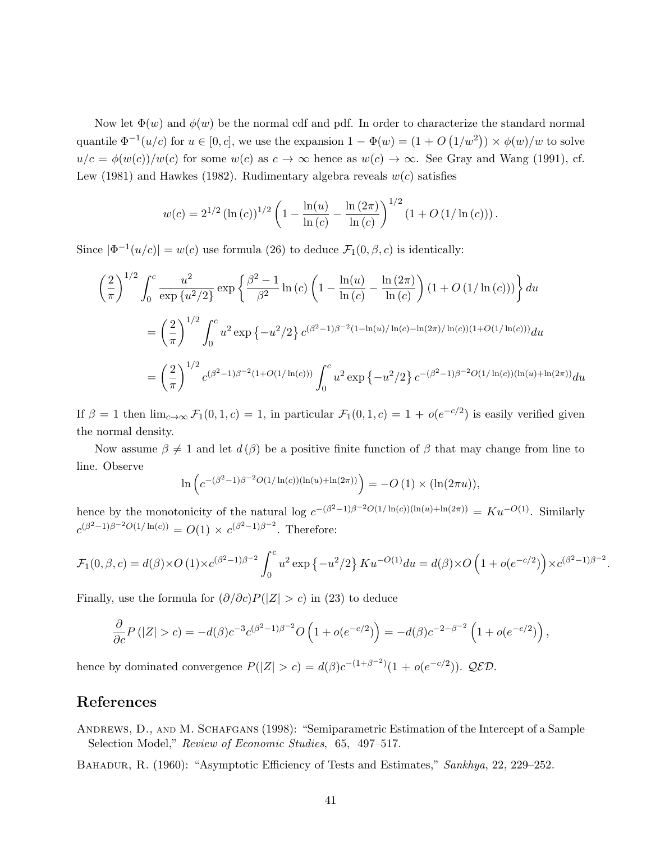Now let  $\Phi(w)$  and  $\phi(w)$  be the normal cdf and pdf. In order to characterize the standard normal quantile  $\Phi^{-1}(u/c)$  for  $u \in [0, c]$ , we use the expansion  $1 - \Phi(w) = (1 + O(1/w^2)) \times \phi(w)/w$  to solve  $u/c = \phi(w(c))/w(c)$  for some  $w(c)$  as  $c \to \infty$  hence as  $w(c) \to \infty$ . See Gray and Wang (1991), cf. Lew (1981) and Hawkes (1982). Rudimentary algebra reveals  $w(c)$  satisfies

$$
w(c) = 2^{1/2} (\ln(c))^{1/2} \left(1 - \frac{\ln(u)}{\ln(c)} - \frac{\ln(2\pi)}{\ln(c)}\right)^{1/2} (1 + O(1/\ln(c))).
$$

Since  $|\Phi^{-1}(u/c)| = w(c)$  use formula (26) to deduce  $\mathcal{F}_1(0,\beta,c)$  is identically:

$$
\left(\frac{2}{\pi}\right)^{1/2} \int_0^c \frac{u^2}{\exp\{u^2/2\}} \exp\left\{\frac{\beta^2 - 1}{\beta^2} \ln\left(c\right) \left(1 - \frac{\ln(u)}{\ln\left(c\right)} - \frac{\ln(2\pi)}{\ln\left(c\right)}\right) \left(1 + O\left(1/\ln\left(c\right)\right)\right)\right\} du
$$
  
= 
$$
\left(\frac{2}{\pi}\right)^{1/2} \int_0^c u^2 \exp\left\{-u^2/2\right\} c^{(\beta^2 - 1)\beta^{-2}(1 - \ln(u)/\ln(c) - \ln(2\pi)/\ln(c)) (1 + O(1/\ln(c)))} du
$$
  
= 
$$
\left(\frac{2}{\pi}\right)^{1/2} c^{(\beta^2 - 1)\beta^{-2}(1 + O(1/\ln(c)))} \int_0^c u^2 \exp\left\{-u^2/2\right\} c^{-(\beta^2 - 1)\beta^{-2}O(1/\ln(c)) (\ln(u) + \ln(2\pi))} du
$$

If  $\beta = 1$  then  $\lim_{c\to\infty} \mathcal{F}_1(0,1,c) = 1$ , in particular  $\mathcal{F}_1(0,1,c) = 1 + o(e^{-c/2})$  is easily verified given the normal density.

Now assume  $\beta \neq 1$  and let  $d(\beta)$  be a positive finite function of  $\beta$  that may change from line to line. Observe

$$
\ln \left( c^{-(\beta^2 - 1)\beta^{-2}O(1/\ln(c))(\ln(u) + \ln(2\pi))} \right) = -O(1) \times (\ln(2\pi u)),
$$

hence by the monotonicity of the natural log  $c^{-(\beta^2-1)\beta^{-2}O(1/\ln(c))(\ln(u)+\ln(2\pi))} = Ku^{-O(1)}$ . Similarly  $c^{(\beta^2-1)\beta^{-2}O(1/\ln(c))} = O(1) \times c^{(\beta^2-1)\beta^{-2}}$ . Therefore:

$$
\mathcal{F}_1(0,\beta,c) = d(\beta) \times O(1) \times c^{(\beta^2 - 1)\beta^{-2}} \int_0^c u^2 \exp\left\{-u^2/2\right\} K u^{-O(1)} du = d(\beta) \times O\left(1 + o(e^{-c/2})\right) \times c^{(\beta^2 - 1)\beta^{-2}}
$$

.

Finally, use the formula for  $(\partial/\partial c)P(|Z| > c)$  in (23) to deduce

$$
\frac{\partial}{\partial c} P(|Z| > c) = -d(\beta) c^{-3} c^{(\beta^2 - 1)\beta^{-2}} O\left(1 + o(e^{-c/2})\right) = -d(\beta) c^{-2 - \beta^{-2}} \left(1 + o(e^{-c/2})\right),
$$

hence by dominated convergence  $P(|Z| > c) = d(\beta)c^{-(1+\beta^{-2})}(1 + o(e^{-c/2}))$ . QED.

## References

Andrews, D., and M. Schafgans (1998): "Semiparametric Estimation of the Intercept of a Sample Selection Model," Review of Economic Studies, 65, 497–517.

BAHADUR, R. (1960): "Asymptotic Efficiency of Tests and Estimates," Sankhya, 22, 229–252.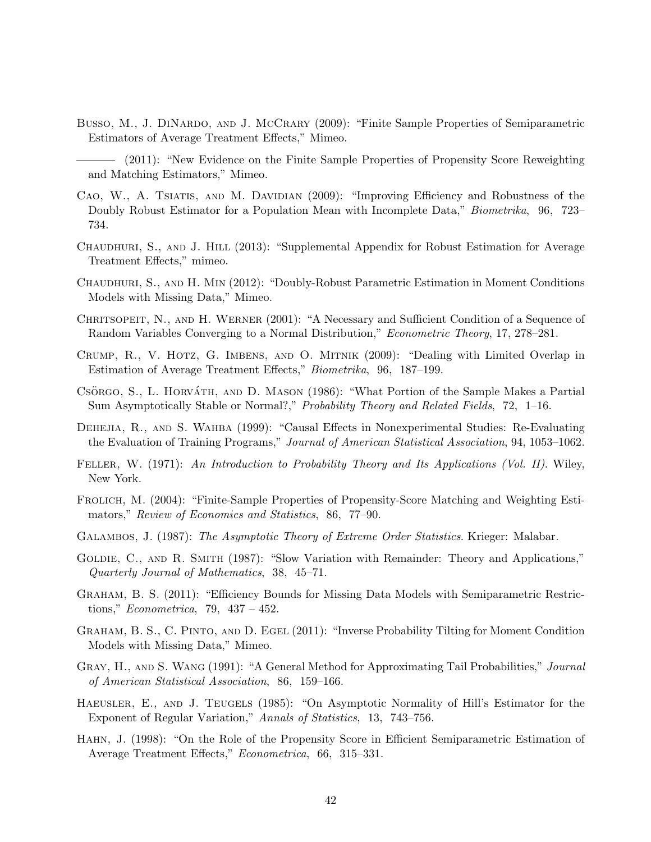- Busso, M., J. DINARDO, AND J. McCRARY (2009): "Finite Sample Properties of Semiparametric Estimators of Average Treatment Effects," Mimeo.
- (2011): "New Evidence on the Finite Sample Properties of Propensity Score Reweighting and Matching Estimators," Mimeo.
- Cao, W., A. Tsiatis, and M. Davidian (2009): "Improving Efficiency and Robustness of the Doubly Robust Estimator for a Population Mean with Incomplete Data," *Biometrika*, 96, 723– 734.
- Chaudhuri, S., and J. Hill (2013): "Supplemental Appendix for Robust Estimation for Average Treatment Effects," mimeo.
- Chaudhuri, S., and H. Min (2012): "Doubly-Robust Parametric Estimation in Moment Conditions Models with Missing Data," Mimeo.
- CHRITSOPEIT, N., AND H. WERNER (2001): "A Necessary and Sufficient Condition of a Sequence of Random Variables Converging to a Normal Distribution," Econometric Theory, 17, 278–281.
- Crump, R., V. Hotz, G. Imbens, and O. Mitnik (2009): "Dealing with Limited Overlap in Estimation of Average Treatment Effects," Biometrika, 96, 187–199.
- CSÖRGO, S., L. HORVÁTH, AND D. MASON (1986): "What Portion of the Sample Makes a Partial Sum Asymptotically Stable or Normal?," Probability Theory and Related Fields, 72, 1–16.
- Dehejia, R., and S. Wahba (1999): "Causal Effects in Nonexperimental Studies: Re-Evaluating the Evaluation of Training Programs," Journal of American Statistical Association, 94, 1053–1062.
- FELLER, W. (1971): An Introduction to Probability Theory and Its Applications (Vol. II). Wiley, New York.
- Frolich, M. (2004): "Finite-Sample Properties of Propensity-Score Matching and Weighting Estimators," Review of Economics and Statistics, 86, 77–90.
- Galambos, J. (1987): The Asymptotic Theory of Extreme Order Statistics. Krieger: Malabar.
- Goldie, C., and R. Smith (1987): "Slow Variation with Remainder: Theory and Applications," Quarterly Journal of Mathematics, 38, 45–71.
- Graham, B. S. (2011): "Efficiency Bounds for Missing Data Models with Semiparametric Restrictions," Econometrica, 79, 437 – 452.
- Graham, B. S., C. Pinto, and D. Egel (2011): "Inverse Probability Tilting for Moment Condition Models with Missing Data," Mimeo.
- GRAY, H., AND S. WANG (1991): "A General Method for Approximating Tail Probabilities," Journal of American Statistical Association, 86, 159–166.
- Haeusler, E., and J. Teugels (1985): "On Asymptotic Normality of Hill's Estimator for the Exponent of Regular Variation," Annals of Statistics, 13, 743–756.
- Hahn, J. (1998): "On the Role of the Propensity Score in Efficient Semiparametric Estimation of Average Treatment Effects," Econometrica, 66, 315–331.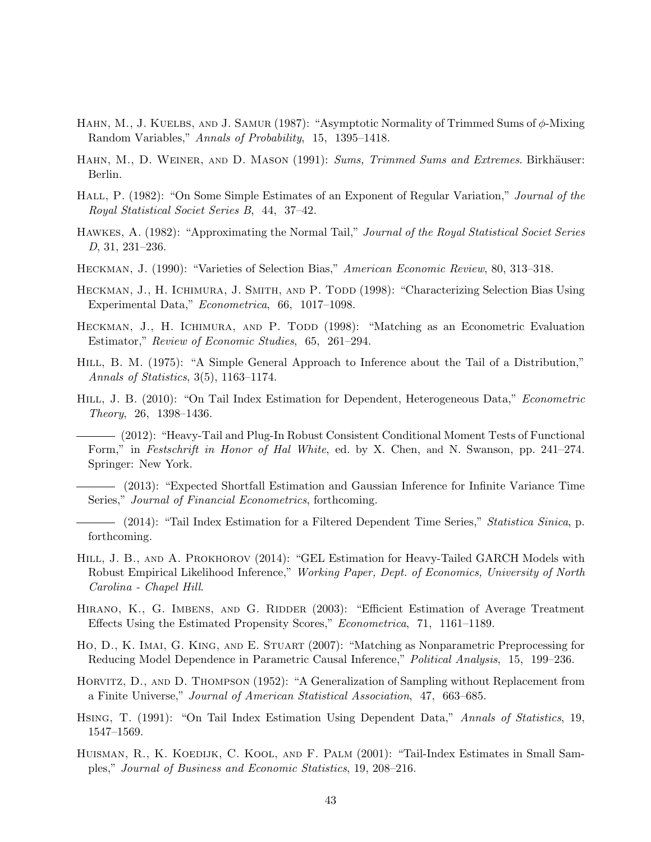- Hahn, M., J. Kuelbs, and J. Samur (1987): "Asymptotic Normality of Trimmed Sums of φ-Mixing Random Variables," Annals of Probability, 15, 1395–1418.
- HAHN, M., D. WEINER, AND D. MASON (1991): Sums, Trimmed Sums and Extremes. Birkhäuser: Berlin.
- HALL, P. (1982): "On Some Simple Estimates of an Exponent of Regular Variation," Journal of the Royal Statistical Societ Series B, 44, 37–42.
- Hawkes, A. (1982): "Approximating the Normal Tail," Journal of the Royal Statistical Societ Series D, 31, 231–236.
- Heckman, J. (1990): "Varieties of Selection Bias," American Economic Review, 80, 313–318.
- HECKMAN, J., H. ICHIMURA, J. SMITH, AND P. TODD (1998): "Characterizing Selection Bias Using Experimental Data," Econometrica, 66, 1017–1098.
- HECKMAN, J., H. ICHIMURA, AND P. TODD (1998): "Matching as an Econometric Evaluation Estimator," Review of Economic Studies, 65, 261–294.
- HILL, B. M. (1975): "A Simple General Approach to Inference about the Tail of a Distribution," Annals of Statistics, 3(5), 1163–1174.
- HILL, J. B. (2010): "On Tail Index Estimation for Dependent, Heterogeneous Data," Econometric Theory, 26, 1398–1436.
	- (2012): "Heavy-Tail and Plug-In Robust Consistent Conditional Moment Tests of Functional Form," in Festschrift in Honor of Hal White, ed. by X. Chen, and N. Swanson, pp. 241–274. Springer: New York.
- (2013): "Expected Shortfall Estimation and Gaussian Inference for Infinite Variance Time Series," Journal of Financial Econometrics, forthcoming.
- (2014): "Tail Index Estimation for a Filtered Dependent Time Series," Statistica Sinica, p. forthcoming.
- HILL, J. B., AND A. PROKHOROV (2014): "GEL Estimation for Heavy-Tailed GARCH Models with Robust Empirical Likelihood Inference," Working Paper, Dept. of Economics, University of North Carolina - Chapel Hill.
- HIRANO, K., G. IMBENS, AND G. RIDDER (2003): "Efficient Estimation of Average Treatment Effects Using the Estimated Propensity Scores," Econometrica, 71, 1161–1189.
- Ho, D., K. Imai, G. King, and E. Stuart (2007): "Matching as Nonparametric Preprocessing for Reducing Model Dependence in Parametric Causal Inference," Political Analysis, 15, 199–236.
- Horvitz, D., and D. Thompson (1952): "A Generalization of Sampling without Replacement from a Finite Universe," Journal of American Statistical Association, 47, 663–685.
- Hsing, T. (1991): "On Tail Index Estimation Using Dependent Data," Annals of Statistics, 19, 1547–1569.
- HUISMAN, R., K. KOEDIJK, C. KOOL, AND F. PALM (2001): "Tail-Index Estimates in Small Samples," Journal of Business and Economic Statistics, 19, 208–216.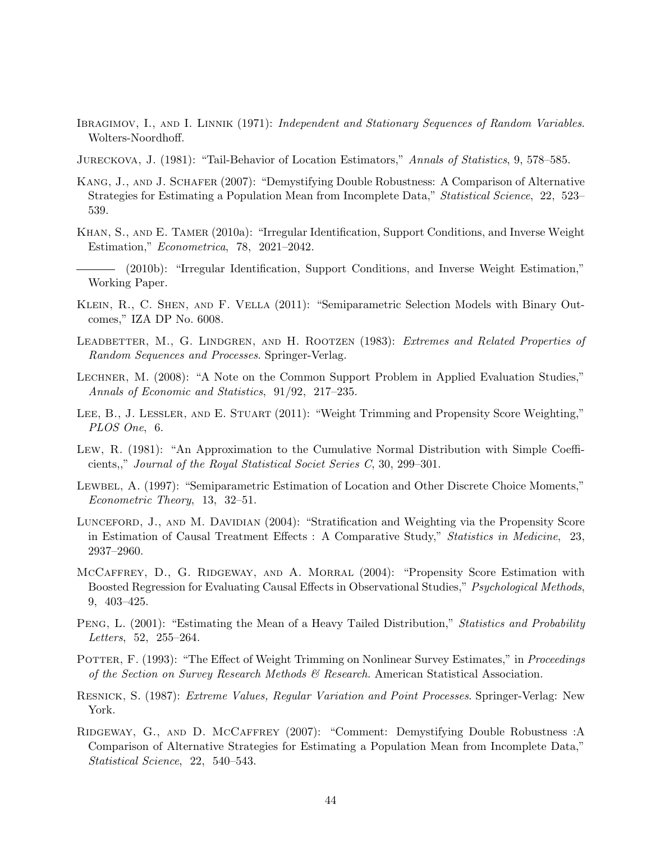- IBRAGIMOV, I., AND I. LINNIK (1971): *Independent and Stationary Sequences of Random Variables.* Wolters-Noordhoff.
- Jureckova, J. (1981): "Tail-Behavior of Location Estimators," Annals of Statistics, 9, 578–585.
- KANG, J., AND J. SCHAFER (2007): "Demystifying Double Robustness: A Comparison of Alternative Strategies for Estimating a Population Mean from Incomplete Data," Statistical Science, 22, 523– 539.
- Khan, S., and E. Tamer (2010a): "Irregular Identification, Support Conditions, and Inverse Weight Estimation," Econometrica, 78, 2021–2042.
- (2010b): "Irregular Identification, Support Conditions, and Inverse Weight Estimation," Working Paper.
- Klein, R., C. Shen, and F. Vella (2011): "Semiparametric Selection Models with Binary Outcomes," IZA DP No. 6008.
- LEADBETTER, M., G. LINDGREN, AND H. ROOTZEN (1983): Extremes and Related Properties of Random Sequences and Processes. Springer-Verlag.
- Lechner, M. (2008): "A Note on the Common Support Problem in Applied Evaluation Studies," Annals of Economic and Statistics, 91/92, 217–235.
- LEE, B., J. LESSLER, AND E. STUART (2011): "Weight Trimming and Propensity Score Weighting," PLOS One, 6.
- Lew, R. (1981): "An Approximation to the Cumulative Normal Distribution with Simple Coefficients,," Journal of the Royal Statistical Societ Series C, 30, 299–301.
- Lewbel, A. (1997): "Semiparametric Estimation of Location and Other Discrete Choice Moments," Econometric Theory, 13, 32–51.
- LUNCEFORD, J., AND M. DAVIDIAN (2004): "Stratification and Weighting via the Propensity Score in Estimation of Causal Treatment Effects : A Comparative Study," Statistics in Medicine, 23, 2937–2960.
- McCaffrey, D., G. Ridgeway, and A. Morral (2004): "Propensity Score Estimation with Boosted Regression for Evaluating Causal Effects in Observational Studies," Psychological Methods, 9, 403–425.
- PENG, L. (2001): "Estimating the Mean of a Heavy Tailed Distribution," Statistics and Probability Letters, 52, 255–264.
- POTTER, F. (1993): "The Effect of Weight Trimming on Nonlinear Survey Estimates," in *Proceedings* of the Section on Survey Research Methods  $\mathcal{C}$  Research. American Statistical Association.
- Resnick, S. (1987): Extreme Values, Regular Variation and Point Processes. Springer-Verlag: New York.
- Ridgeway, G., and D. McCaffrey (2007): "Comment: Demystifying Double Robustness :A Comparison of Alternative Strategies for Estimating a Population Mean from Incomplete Data," Statistical Science, 22, 540–543.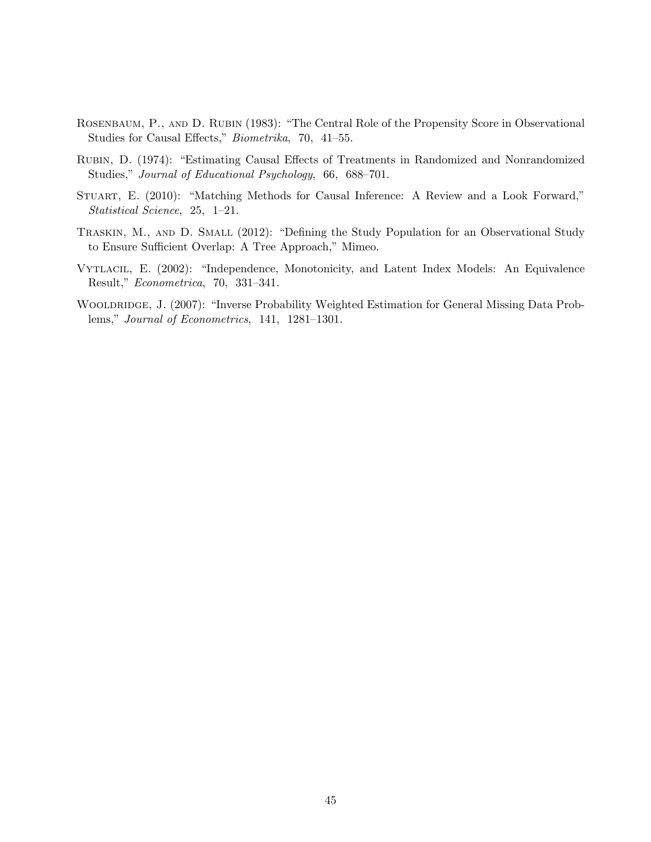- ROSENBAUM, P., AND D. RUBIN (1983): "The Central Role of the Propensity Score in Observational Studies for Causal Effects," Biometrika, 70, 41–55.
- Rubin, D. (1974): "Estimating Causal Effects of Treatments in Randomized and Nonrandomized Studies," Journal of Educational Psychology, 66, 688–701.
- Stuart, E. (2010): "Matching Methods for Causal Inference: A Review and a Look Forward," Statistical Science, 25, 1–21.
- TRASKIN, M., AND D. SMALL (2012): "Defining the Study Population for an Observational Study to Ensure Sufficient Overlap: A Tree Approach," Mimeo.
- Vytlacil, E. (2002): "Independence, Monotonicity, and Latent Index Models: An Equivalence Result," Econometrica, 70, 331–341.
- WOOLDRIDGE, J. (2007): "Inverse Probability Weighted Estimation for General Missing Data Problems," Journal of Econometrics, 141, 1281–1301.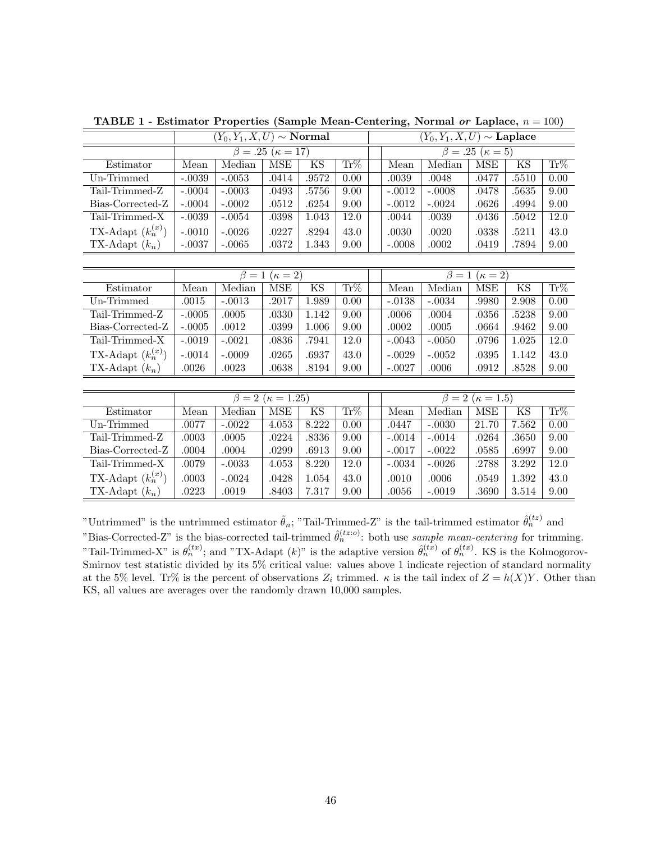| $(Y_0, Y_1, X, U) \sim \textbf{Normal}$ |          |                     |            | $(Y_0, Y_1, X, U) \sim$ Laplace                                   |     |                               |          |            |                        |                                                                                            |
|-----------------------------------------|----------|---------------------|------------|-------------------------------------------------------------------|-----|-------------------------------|----------|------------|------------------------|--------------------------------------------------------------------------------------------|
| $\beta = .25 \; (\kappa = 17)$          |          |                     |            |                                                                   |     |                               |          |            |                        |                                                                                            |
| Mean                                    |          |                     |            |                                                                   |     | Mean                          | Median   | <b>MSE</b> |                        | $Tr\%$                                                                                     |
| $-.0039$                                | $-.0053$ | .0414               | .9572      | 0.00                                                              |     | .0039                         | .0048    | .0477      | .5510                  | 0.00                                                                                       |
| $-.0004$                                |          | .0493               |            | 9.00                                                              |     | $-.0012$                      | $-.0008$ | .0478      |                        | 9.00                                                                                       |
| $-.0004$                                | $-.0002$ | .0512               | .6254      | 9.00                                                              |     | $-.0012$                      | $-.0024$ | .0626      | .4994                  | 9.00                                                                                       |
| $-.0039$                                | $-.0054$ | .0398               | 1.043      | 12.0                                                              |     | .0044                         | .0039    | .0436      | .5042                  | 12.0                                                                                       |
| $-.0010$                                | $-.0026$ | .0227               | .8294      | 43.0                                                              |     | .0030                         | .0020    | .0338      | .5211                  | 43.0                                                                                       |
| $-.0037$                                | $-.0065$ | .0372               | 1.343      | 9.00                                                              |     | $-.0008$                      | .0002    | .0419      | .7894                  | 9.00                                                                                       |
|                                         |          |                     |            |                                                                   |     |                               |          |            |                        |                                                                                            |
| $\beta=1$<br>$(\kappa=2)$               |          |                     |            |                                                                   |     |                               |          |            |                        |                                                                                            |
| Mean                                    | Median   | <b>MSE</b>          | KS         | $\text{Tr}\%$                                                     |     | Mean                          | Median   | <b>MSE</b> | KS                     | $\overline{\text{Tr}\%}$                                                                   |
| .0015                                   | $-.0013$ | .2017               | 1.989      | 0.00                                                              |     | $-.0138$                      | $-.0034$ | .9980      | 2.908                  | 0.00                                                                                       |
| $-.0005$                                | .0005    | .0330               | 1.142      | 9.00                                                              |     | .0006                         | .0004    | .0356      | .5238                  | 9.00                                                                                       |
| $-.0005$                                | .0012    | .0399               | 1.006      | 9.00                                                              |     | .0002                         | .0005    | .0664      | .9462                  | 9.00                                                                                       |
| $-.0019$                                | $-.0021$ | .0836               | .7941      | 12.0                                                              |     | $-.0043$                      | $-.0050$ | .0796      | 1.025                  | 12.0                                                                                       |
| $-.0014$                                | $-.0009$ | .0265               | .6937      | 43.0                                                              |     | $-.0029$                      | $-.0052$ | .0395      | 1.142                  | 43.0                                                                                       |
| $.0026\,$                               | .0023    | .0638               | .8194      | 9.00                                                              |     | $-.0027$                      | .0006    | .0912      | .8528                  | 9.00                                                                                       |
|                                         |          |                     |            |                                                                   |     |                               |          |            |                        |                                                                                            |
|                                         |          |                     |            |                                                                   |     | $\beta = 2 \; (\kappa = 1.5)$ |          |            |                        |                                                                                            |
| Mean                                    | Median   | <b>MSE</b>          | KS         | Tr%                                                               |     | Mean                          | Median   | <b>MSE</b> | KS                     | $Tr\%$                                                                                     |
| .0077                                   | $-.0022$ | 4.053               | 8.222      | 0.00                                                              |     | .0447                         | $-.0030$ | 21.70      | 7.562                  | $\overline{0.00}$                                                                          |
| .0003                                   | .0005    | .0224               | .8336      | 9.00                                                              |     | $-.0014$                      | $-.0014$ | .0264      | .3650                  | 9.00                                                                                       |
| .0004                                   | .0004    | .0299               | .6913      | 9.00                                                              |     | $-.0017$                      | $-.0022$ | .0585      | .6997                  | 9.00                                                                                       |
| .0079                                   | $-.0033$ | 4.053               | 8.220      | 12.0                                                              |     | $-.0034$                      | $-.0026$ | .2788      | 3.292                  | 12.0                                                                                       |
| .0003                                   | $-.0024$ | .0428               | 1.054      | 43.0                                                              |     | .0010                         | .0006    | .0549      | 1.392                  | 43.0                                                                                       |
| .0223                                   | .0019    | .8403               | 7.317      | 9.00                                                              |     | .0056                         | $-.0019$ | .3690      | $3.514\,$              | 9.00                                                                                       |
|                                         |          | Median<br>$-0.0003$ | <b>MSE</b> | $\overline{\text{KS}}$<br>.5756<br>$\beta = 2 \; (\kappa = 1.25)$ | Tr% |                               |          |            | $\overline{\beta} = 1$ | $\overline{\beta} = .25$ $(\kappa = 5)$<br>$\overline{\text{KS}}$<br>.5635<br>$(\kappa=2)$ |

TABLE 1 - Estimator Properties (Sample Mean-Centering, Normal or Laplace,  $n = 100$ )

"Untrimmed" is the untrimmed estimator  $\tilde{\theta}_n$ ; "Tail-Trimmed-Z" is the tail-trimmed estimator  $\hat{\theta}_n^{(tz)}$  and "Bias-Corrected-Z" is the bias-corrected tail-trimmed  $\hat{\theta}_n^{(tz;o)}$ : both use sample mean-centering for trimming. "Tail-Trimmed-X" is  $\theta_n^{(tx)}$ ; and "TX-Adapt  $(k)$ " is the adaptive version  $\hat{\theta}_n^{(tx)}$  of  $\theta_n^{(tx)}$ . KS is the Kolmogorov-Smirnov test statistic divided by its 5% critical value: values above 1 indicate rejection of standard normality at the 5% level. Tr% is the percent of observations  $Z_i$  trimmed.  $\kappa$  is the tail index of  $Z = h(X)Y$ . Other than KS, all values are averages over the randomly drawn 10,000 samples.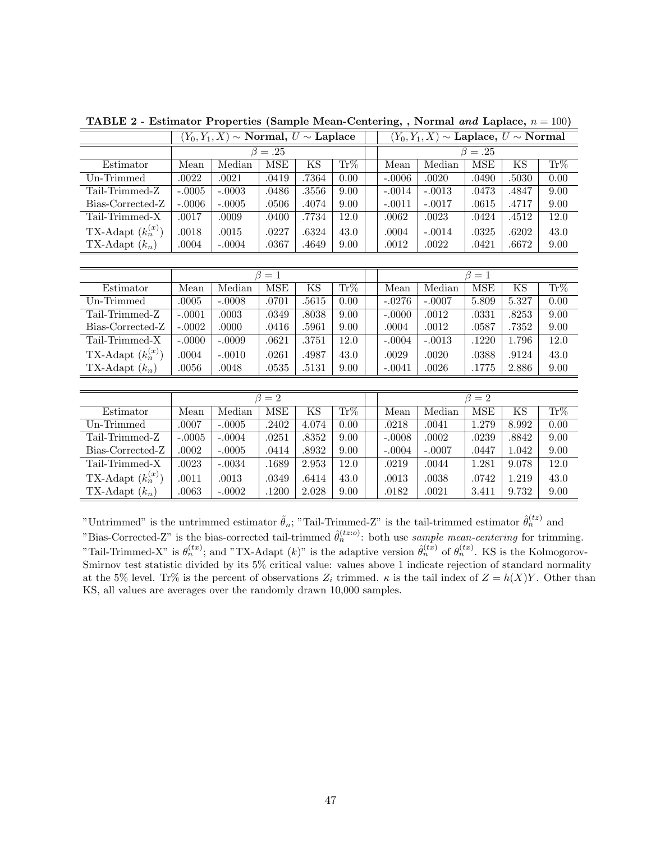|                        | $(Y_0,Y_1,X) \sim \textbf{Normal}, U \sim \textbf{Laplace}$ |                        |             | $(Y_0,Y_1,X) \sim \textbf{Laplace},~U \sim \textbf{Normal}$ |                   |             |          |            |       |          |
|------------------------|-------------------------------------------------------------|------------------------|-------------|-------------------------------------------------------------|-------------------|-------------|----------|------------|-------|----------|
|                        | $\beta=.25$                                                 |                        |             | $\beta=.25$                                                 |                   |             |          |            |       |          |
| Estimator              | Mean                                                        | Median                 | <b>MSE</b>  | KS                                                          | Tr%               | Mean        | Median   | <b>MSE</b> | KS    | $Tr\%$   |
| Un-Trimmed             | .0022                                                       | .0021                  | .0419       | .7364                                                       | 0.00              | $-.0006$    | .0020    | .0490      | .5030 | 0.00     |
| Tail-Trimmed-Z         | $-.0005$                                                    | $-.0003$               | .0486       | .3556                                                       | 9.00              | $-.0014$    | $-.0013$ | .0473      | .4847 | 9.00     |
| Bias-Corrected-Z       | $-.0006$                                                    | $-.0005$               | .0506       | .4074                                                       | 9.00              | $-.0011$    | $-.0017$ | .0615      | .4717 | 9.00     |
| Tail-Trimmed-X         | .0017                                                       | .0009                  | .0400       | .7734                                                       | 12.0              | .0062       | .0023    | .0424      | .4512 | 12.0     |
| TX-Adapt $(k_n^{(x)})$ | .0018                                                       | .0015                  | .0227       | .6324                                                       | 43.0              | .0004       | $-.0014$ | .0325      | .6202 | 43.0     |
| TX-Adapt $(k_n)$       | .0004                                                       | $-.0004$               | .0367       | .4649                                                       | 9.00              | .0012       | .0022    | .0421      | .6672 | 9.00     |
|                        |                                                             |                        |             |                                                             |                   |             |          |            |       |          |
|                        |                                                             | $\overline{\beta} = 1$ |             |                                                             |                   |             |          | $\beta=1$  |       |          |
| Estimator              | Mean                                                        | Median                 | <b>MSE</b>  | $\overline{\text{KS}}$                                      | $\rm{Tr}\%$       | Mean        | Median   | <b>MSE</b> | KS    | $Tr\%$   |
| Un-Trimmed             | .0005                                                       | $-.0008$               | .0701       | .5615                                                       | 0.00              | $-.0276$    | $-.0007$ | 5.809      | 5.327 | 0.00     |
| Tail-Trimmed-Z         | $-.0001$                                                    | .0003                  | .0349       | .8038                                                       | 9.00              | $-.0000$    | .0012    | .0331      | .8253 | 9.00     |
| Bias-Corrected-Z       | $-.0002$                                                    | .0000                  | .0416       | .5961                                                       | 9.00              | .0004       | .0012    | .0587      | .7352 | 9.00     |
| Tail-Trimmed-X         | $-.0000$                                                    | $-.0009$               | .0621       | .3751                                                       | 12.0              | $-.0004$    | $-.0013$ | .1220      | 1.796 | 12.0     |
| TX-Adapt $(k_n^{(x)})$ | .0004                                                       | $-.0010$               | .0261       | .4987                                                       | 43.0              | .0029       | .0020    | .0388      | .9124 | 43.0     |
| TX-Adapt $(k_n)$       | .0056                                                       | .0048                  | .0535       | .5131                                                       | 9.00              | $-.0041$    | .0026    | .1775      | 2.886 | $9.00\,$ |
|                        |                                                             |                        |             |                                                             |                   |             |          |            |       |          |
|                        |                                                             |                        | $\beta = 2$ |                                                             |                   | $\beta = 2$ |          |            |       |          |
| Estimator              | Mean                                                        | Median                 | <b>MSE</b>  | KS                                                          | $Tr\%$            | Mean        | Median   | <b>MSE</b> | KS    | Tr%      |
| Un-Trimmed             | .0007                                                       | $-.0005$               | .2402       | 4.074                                                       | $\overline{0.00}$ | .0218       | .0041    | 1.279      | 8.992 | 0.00     |
| Tail-Trimmed-Z         | $-.0005$                                                    | $-.0004$               | .0251       | .8352                                                       | 9.00              | $-.0008$    | .0002    | .0239      | .8842 | 9.00     |
| Bias-Corrected-Z       | .0002                                                       | $-.0005$               | .0414       | .8932                                                       | 9.00              | $-.0004$    | $-.0007$ | .0447      | 1.042 | 9.00     |
| Tail-Trimmed-X         | .0023                                                       | $-.0034$               | .1689       | 2.953                                                       | 12.0              | .0219       | .0044    | 1.281      | 9.078 | 12.0     |
| TX-Adapt $(k_n^{(x)})$ | .0011                                                       | .0013                  | .0349       | .6414                                                       | 43.0              | .0013       | .0038    | .0742      | 1.219 | 43.0     |
| TX-Adapt $(k_n)$       | .0063                                                       | $-.0002$               | .1200       | 2.028                                                       | 9.00              | .0182       | .0021    | 3.411      | 9.732 | 9.00     |

**TABLE 2 - Estimator Properties (Sample Mean-Centering, , Normal and Laplace,**  $n = 100$ )

"Untrimmed" is the untrimmed estimator  $\tilde{\theta}_n$ ; "Tail-Trimmed-Z" is the tail-trimmed estimator  $\hat{\theta}_n^{(tz)}$  and "Bias-Corrected-Z" is the bias-corrected tail-trimmed  $\hat{\theta}_n^{(tz;o)}$ : both use sample mean-centering for trimming. "Tail-Trimmed-X" is  $\theta_n^{(tx)}$ ; and "TX-Adapt  $(k)$ " is the adaptive version  $\hat{\theta}_n^{(tx)}$  of  $\theta_n^{(tx)}$ . KS is the Kolmogorov-Smirnov test statistic divided by its 5% critical value: values above 1 indicate rejection of standard normality at the 5% level. Tr% is the percent of observations  $Z_i$  trimmed.  $\kappa$  is the tail index of  $Z = h(X)Y$ . Other than KS, all values are averages over the randomly drawn 10,000 samples.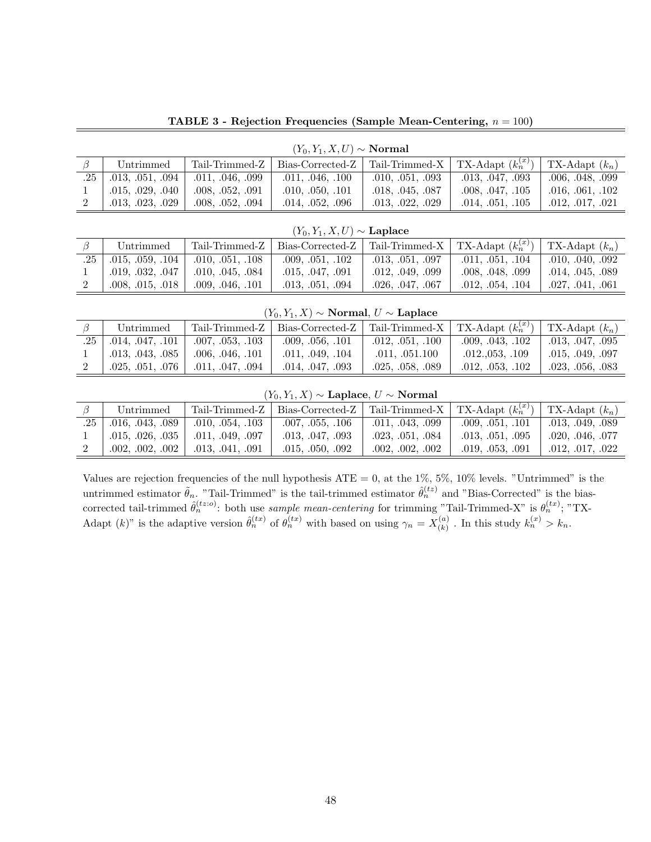TABLE 3 - Rejection Frequencies (Sample Mean-Centering,  $n = 100$ )

| $(Y_0, Y_1, X, U) \sim \textbf{Normal}$ |                  |                  |                  |                  |                                                            |                  |  |  |  |
|-----------------------------------------|------------------|------------------|------------------|------------------|------------------------------------------------------------|------------------|--|--|--|
|                                         | Untrimmed        | Tail-Trimmed-Z   |                  |                  | Bias-Corrected-Z   Tail-Trimmed-X   TX-Adapt $(k_n^{(x)})$ | TX-Adapt $(k_n)$ |  |  |  |
| $.25$                                   | .013, .051, .094 | .011, .046, .099 | .011, .046, .100 | .010, .051, .093 | .013, .047, .093                                           | .006, .048, .099 |  |  |  |
|                                         | .015, .029, .040 | .008, .052, .091 | .010, .050, .101 | .018, .045, .087 | $.008$ , $.047$ , $.105$                                   | .016, .061, .102 |  |  |  |
|                                         | .013, .023, .029 | .008, .052, .094 | .014, .052, .096 | .013, .022, .029 | $.014$ , $.051$ , $.105$                                   | .012, .017, .021 |  |  |  |

| $(Y_0, Y_1, X, U) \sim$ Laplace |                                  |                                                   |                  |                  |                                                                               |                          |  |  |  |
|---------------------------------|----------------------------------|---------------------------------------------------|------------------|------------------|-------------------------------------------------------------------------------|--------------------------|--|--|--|
|                                 | Untrimmed                        | $\perp$ Tail-Trimmed-Z                            |                  |                  | Bias-Corrected-Z   Tail-Trimmed-X   TX-Adapt $(k_n^{(x)})$   TX-Adapt $(k_n)$ |                          |  |  |  |
|                                 | $.25$   $.015$ , $.059$ , $.104$ | .010, .051, .108                                  | .009, .051, .102 | .013, .051, .097 | .011, .051, .104                                                              | $\vert$ .010, .040, .092 |  |  |  |
|                                 |                                  | $\vert$ .019, .032, .047 $\vert$ .010, .045, .084 | .015, .047, .091 | .012, .049, .099 | .008, .048, .099                                                              | $\vert$ .014, .045, .089 |  |  |  |
|                                 | .008, .015, .018                 | .009, .046, .101                                  | .013, .051, .094 | .026, .047, .067 | .012, .054, .104                                                              | .027, .041, .061         |  |  |  |

 $(Y_0, Y_1, X)$  ∼ Normal,  $U$  ∼ Laplace

|                                 | Untrimmed           | Tail-Trimmed-Z     | Bias-Corrected-Z   Tail-Trimmed-X   TX-Adapt $(k_n^{(x)})$ |                  |                    | TX-Adapt $(k_n)$ |
|---------------------------------|---------------------|--------------------|------------------------------------------------------------|------------------|--------------------|------------------|
| $.25$ <sup><math>+</math></sup> | .014, .047, .101    | .007, .053, .103   | $.009.$ $.056.$ $.101$                                     | .012, .051, .100 | .009, .043, .102   | .013, .047, .095 |
|                                 | 0.013, 0.043, 0.085 | .006, .046, .101   | .011. .049. .104                                           | .011, .051.100   | $.012053$ , $.109$ | .015, .049, .097 |
|                                 | .025, .051, .076    | 10.011, .047, .094 | .014, .047, .093                                           | .025, .058, .089 | .012, .053, .102   | .023, .056, .083 |

 $(Y_0, Y_1, X)$  ∼ Laplace,  $U$  ∼ Normal

|     | Untrimmed                | Tail-Trimmed-Z   | Bias-Corrected-Z   Tail-Trimmed-X   TX-Adapt $(k_n^{(x)})$ |                  |                  | TX-Adapt $(k_n)$ |
|-----|--------------------------|------------------|------------------------------------------------------------|------------------|------------------|------------------|
| .25 | $\vert$ .016, .043, .089 | .010, .054, .103 | .007, .055, .106                                           | .011, .043, .099 | .009, .051, .101 | .013, .049, .089 |
|     | .015, .026, .035         | .011, .049, .097 | $.013$ , $.047$ , $.093$                                   | .023, .051, .084 | .013, .051, .095 | .020, .046, .077 |
|     | .002, .002, .002         | .013, .041, .091 | $.015$ , $.050$ , $.092$                                   | .002, .002, .002 | .019, .053, .091 | .012, .017, .022 |

Values are rejection frequencies of the null hypothesis  $ATE = 0$ , at the 1%, 5%, 10% levels. "Untrimmed" is the untrimmed estimator  $\tilde{\theta}_n$ . "Tail-Trimmed" is the tail-trimmed estimator  $\hat{\theta}_n^{(tz)}$  and "Bias-Corrected" is the biascorrected tail-trimmed  $\hat{\theta}_n^{(tz)}$ : both use sample mean-centering for trimming "Tail-Trimmed-X" is  $\theta_n^{(tx)}$ ; "TX-Adapt  $(k)$ " is the adaptive version  $\hat{\theta}_n^{(tx)}$  of  $\theta_n^{(tx)}$  with based on using  $\gamma_n = X_{(k)}^{(a)}$  $\binom{a}{k}$ . In this study  $k_n^{(x)} > k_n$ .